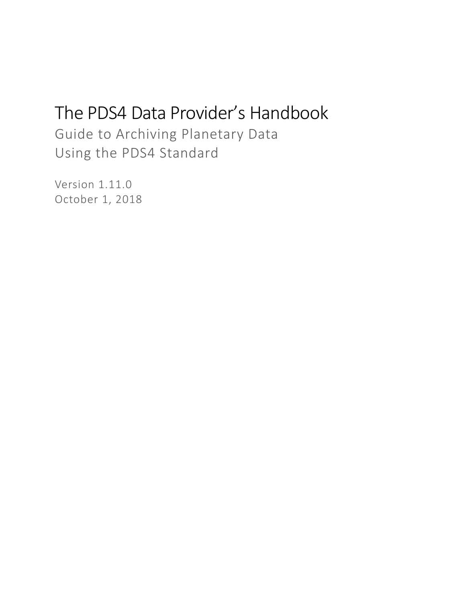# The PDS4 Data Provider's Handbook

Guide to Archiving Planetary Data Using the PDS4 Standard

Version 1.11.0 October 1, 2018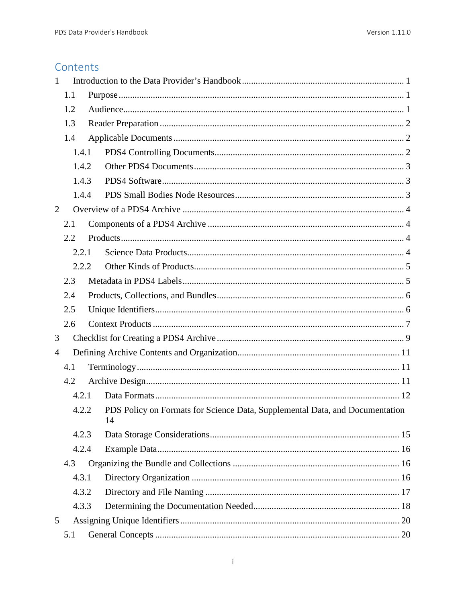## Contents

| $\mathbf{1}$         |       |                                                                              |  |  |
|----------------------|-------|------------------------------------------------------------------------------|--|--|
|                      | 1.1   |                                                                              |  |  |
|                      | 1.2   |                                                                              |  |  |
|                      | 1.3   |                                                                              |  |  |
|                      | 1.4   |                                                                              |  |  |
|                      | 1.4.1 |                                                                              |  |  |
|                      | 1.4.2 |                                                                              |  |  |
|                      | 1.4.3 |                                                                              |  |  |
|                      | 1.4.4 |                                                                              |  |  |
| $\overline{2}$       |       |                                                                              |  |  |
|                      | 2.1   |                                                                              |  |  |
|                      | 2.2   |                                                                              |  |  |
|                      | 2.2.1 |                                                                              |  |  |
|                      | 2.2.2 |                                                                              |  |  |
|                      | 2.3   |                                                                              |  |  |
|                      | 2.4   |                                                                              |  |  |
|                      | 2.5   |                                                                              |  |  |
|                      | 2.6   |                                                                              |  |  |
| 3                    |       |                                                                              |  |  |
| 4                    |       |                                                                              |  |  |
|                      | 4.1   |                                                                              |  |  |
|                      | 4.2   |                                                                              |  |  |
|                      | 4.2.1 |                                                                              |  |  |
| 4.2.2<br>14<br>4.2.3 |       | PDS Policy on Formats for Science Data, Supplemental Data, and Documentation |  |  |
|                      |       |                                                                              |  |  |
|                      | 4.2.4 |                                                                              |  |  |
|                      | 4.3   |                                                                              |  |  |
|                      | 4.3.1 |                                                                              |  |  |
|                      | 4.3.2 |                                                                              |  |  |
|                      | 4.3.3 |                                                                              |  |  |
| 5                    |       |                                                                              |  |  |
|                      | 5.1   |                                                                              |  |  |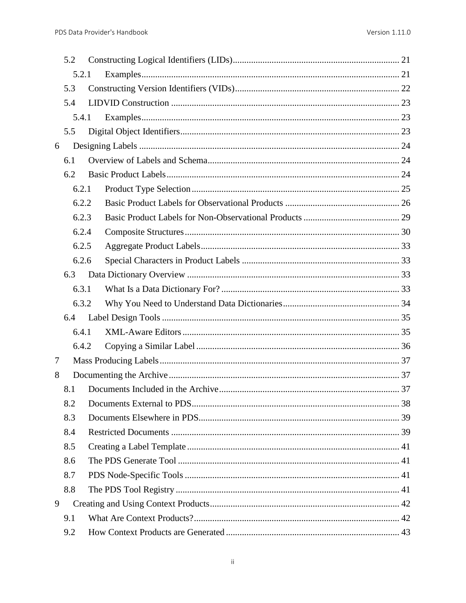|   | 5.2   |  |  |
|---|-------|--|--|
|   | 5.2.1 |  |  |
|   | 5.3   |  |  |
|   | 5.4   |  |  |
|   | 5.4.1 |  |  |
|   | 5.5   |  |  |
| 6 |       |  |  |
|   | 6.1   |  |  |
|   | 6.2   |  |  |
|   | 6.2.1 |  |  |
|   | 6.2.2 |  |  |
|   | 6.2.3 |  |  |
|   | 6.2.4 |  |  |
|   | 6.2.5 |  |  |
|   | 6.2.6 |  |  |
|   | 6.3   |  |  |
|   | 6.3.1 |  |  |
|   | 6.3.2 |  |  |
|   | 6.4   |  |  |
|   | 6.4.1 |  |  |
|   | 6.4.2 |  |  |
| 7 |       |  |  |
| 8 |       |  |  |
|   | 8.1   |  |  |
|   | 8.2   |  |  |
|   | 8.3   |  |  |
|   | 8.4   |  |  |
|   | 8.5   |  |  |
|   | 8.6   |  |  |
|   | 8.7   |  |  |
|   | 8.8   |  |  |
| 9 |       |  |  |
|   | 9.1   |  |  |
|   | 9.2   |  |  |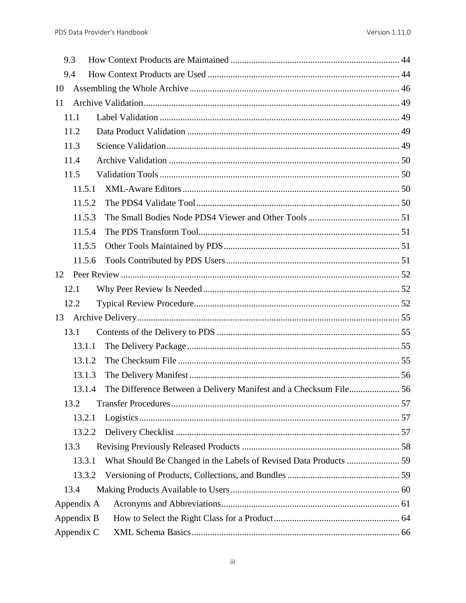| 9.3        |                                                                   |  |
|------------|-------------------------------------------------------------------|--|
| 9.4        |                                                                   |  |
| 10         |                                                                   |  |
| 11         |                                                                   |  |
| 11.1       |                                                                   |  |
| 11.2       |                                                                   |  |
| 11.3       |                                                                   |  |
| 11.4       |                                                                   |  |
| 11.5       |                                                                   |  |
| 11.5.1     |                                                                   |  |
| 11.5.2     |                                                                   |  |
| 11.5.3     |                                                                   |  |
| 11.5.4     |                                                                   |  |
| 11.5.5     |                                                                   |  |
| 11.5.6     |                                                                   |  |
| 12         |                                                                   |  |
| 12.1       |                                                                   |  |
| 12.2       |                                                                   |  |
|            |                                                                   |  |
| 13.1       |                                                                   |  |
| 13.1.1     |                                                                   |  |
| 13.1.2     |                                                                   |  |
| 13.1.3     |                                                                   |  |
| 13.1.4     | The Difference Between a Delivery Manifest and a Checksum File 56 |  |
| 13.2       |                                                                   |  |
| 13.2.1     |                                                                   |  |
| 13.2.2     |                                                                   |  |
| 13.3       |                                                                   |  |
| 13.3.1     |                                                                   |  |
| 13.3.2     |                                                                   |  |
| 13.4       |                                                                   |  |
| Appendix A |                                                                   |  |
| Appendix B |                                                                   |  |
| Appendix C |                                                                   |  |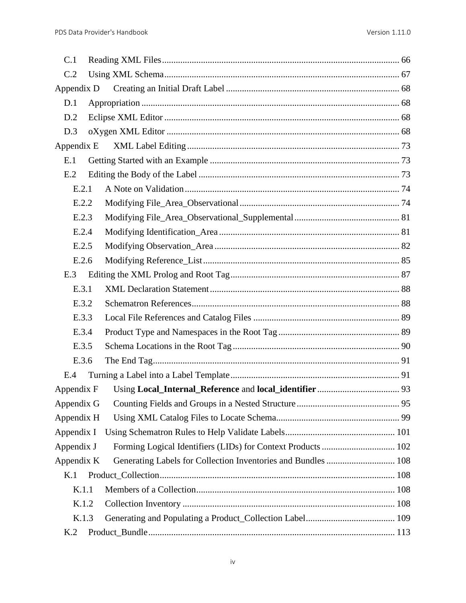| C.1        |                                                               |  |
|------------|---------------------------------------------------------------|--|
| C.2        |                                                               |  |
| Appendix D |                                                               |  |
| D.1        |                                                               |  |
| D.2        |                                                               |  |
| D.3        |                                                               |  |
| Appendix E |                                                               |  |
| E.1        |                                                               |  |
| E.2        |                                                               |  |
| E.2.1      |                                                               |  |
| E.2.2      |                                                               |  |
| E.2.3      |                                                               |  |
| E.2.4      |                                                               |  |
| E.2.5      |                                                               |  |
| E.2.6      |                                                               |  |
| E.3        |                                                               |  |
| E.3.1      |                                                               |  |
| E.3.2      |                                                               |  |
| E.3.3      |                                                               |  |
| E.3.4      |                                                               |  |
| E.3.5      |                                                               |  |
| E.3.6      |                                                               |  |
| E.4        |                                                               |  |
| Appendix F |                                                               |  |
| Appendix G |                                                               |  |
| Appendix H |                                                               |  |
| Appendix I |                                                               |  |
| Appendix J |                                                               |  |
| Appendix K | Generating Labels for Collection Inventories and Bundles  108 |  |
| K.1        |                                                               |  |
| K.1.1      |                                                               |  |
| K.1.2      |                                                               |  |
| K.1.3      |                                                               |  |
| K.2        |                                                               |  |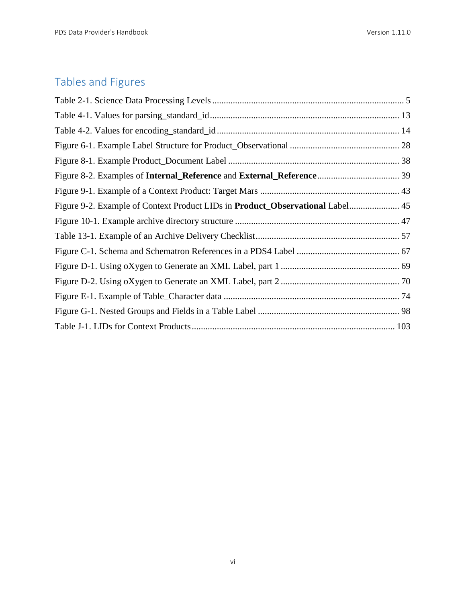## Tables and Figures

| Figure 9-2. Example of Context Product LIDs in Product_Observational Label 45 |  |
|-------------------------------------------------------------------------------|--|
|                                                                               |  |
|                                                                               |  |
|                                                                               |  |
|                                                                               |  |
|                                                                               |  |
|                                                                               |  |
|                                                                               |  |
|                                                                               |  |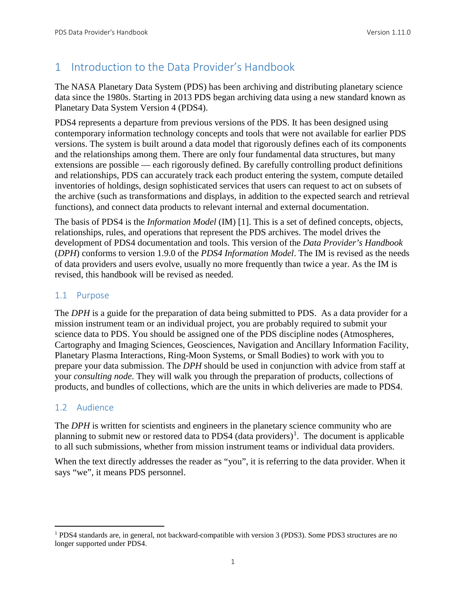### <span id="page-7-0"></span>1 Introduction to the Data Provider's Handbook

The NASA Planetary Data System (PDS) has been archiving and distributing planetary science data since the 1980s. Starting in 2013 PDS began archiving data using a new standard known as Planetary Data System Version 4 (PDS4).

PDS4 represents a departure from previous versions of the PDS. It has been designed using contemporary information technology concepts and tools that were not available for earlier PDS versions. The system is built around a data model that rigorously defines each of its components and the relationships among them. There are only four fundamental data structures, but many extensions are possible — each rigorously defined. By carefully controlling product definitions and relationships, PDS can accurately track each product entering the system, compute detailed inventories of holdings, design sophisticated services that users can request to act on subsets of the archive (such as transformations and displays, in addition to the expected search and retrieval functions), and connect data products to relevant internal and external documentation.

The basis of PDS4 is the *Information Model* (IM) [1]. This is a set of defined concepts, objects, relationships, rules, and operations that represent the PDS archives. The model drives the development of PDS4 documentation and tools. This version of the *Data Provider's Handbook* (*DPH*) conforms to version 1.9.0 of the *PDS4 Information Model*. The IM is revised as the needs of data providers and users evolve, usually no more frequently than twice a year. As the IM is revised, this handbook will be revised as needed.

#### <span id="page-7-1"></span>1.1 Purpose

The *DPH* is a guide for the preparation of data being submitted to PDS. As a data provider for a mission instrument team or an individual project, you are probably required to submit your science data to PDS. You should be assigned one of the PDS discipline nodes (Atmospheres, Cartography and Imaging Sciences, Geosciences, Navigation and Ancillary Information Facility, Planetary Plasma Interactions, Ring-Moon Systems, or Small Bodies) to work with you to prepare your data submission. The *DPH* should be used in conjunction with advice from staff at your *consulting node*. They will walk you through the preparation of products, collections of products, and bundles of collections, which are the units in which deliveries are made to PDS4.

#### <span id="page-7-2"></span>1.2 Audience

The *DPH* is written for scientists and engineers in the planetary science community who are planning to submit new or restored data to PDS4 (data providers)<sup>[1](#page-7-3)</sup>. The document is applicable to all such submissions, whether from mission instrument teams or individual data providers.

When the text directly addresses the reader as "you", it is referring to the data provider. When it says "we", it means PDS personnel.

<span id="page-7-3"></span> <sup>1</sup> PDS4 standards are, in general, not backward-compatible with version 3 (PDS3). Some PDS3 structures are no longer supported under PDS4.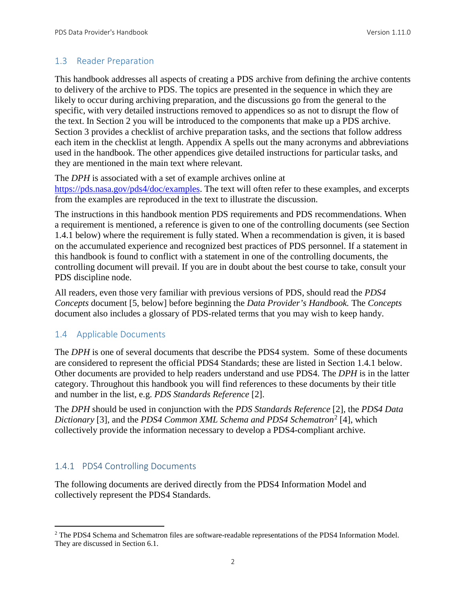#### <span id="page-8-0"></span>1.3 Reader Preparation

This handbook addresses all aspects of creating a PDS archive from defining the archive contents to delivery of the archive to PDS. The topics are presented in the sequence in which they are likely to occur during archiving preparation, and the discussions go from the general to the specific, with very detailed instructions removed to appendices so as not to disrupt the flow of the text. In Section 2 you will be introduced to the components that make up a PDS archive. Section 3 provides a checklist of archive preparation tasks, and the sections that follow address each item in the checklist at length. Appendix A spells out the many acronyms and abbreviations used in the handbook. The other appendices give detailed instructions for particular tasks, and they are mentioned in the main text where relevant.

The *DPH* is associated with a set of example archives online at [https://pds.nasa.gov/pds4/doc/examples.](https://pds.nasa.gov/pds4/doc/examples) The text will often refer to these examples, and excerpts from the examples are reproduced in the text to illustrate the discussion.

The instructions in this handbook mention PDS requirements and PDS recommendations. When a requirement is mentioned, a reference is given to one of the controlling documents (see Section 1.4.1 below) where the requirement is fully stated. When a recommendation is given, it is based on the accumulated experience and recognized best practices of PDS personnel. If a statement in this handbook is found to conflict with a statement in one of the controlling documents, the controlling document will prevail. If you are in doubt about the best course to take, consult your PDS discipline node.

All readers, even those very familiar with previous versions of PDS, should read the *PDS4 Concepts* document [5, below] before beginning the *Data Provider's Handbook.* The *Concepts* document also includes a glossary of PDS-related terms that you may wish to keep handy.

#### <span id="page-8-1"></span>1.4 Applicable Documents

The *DPH* is one of several documents that describe the PDS4 system. Some of these documents are considered to represent the official PDS4 Standards; these are listed in Section 1.4.1 below. Other documents are provided to help readers understand and use PDS4. The *DPH* is in the latter category. Throughout this handbook you will find references to these documents by their title and number in the list, e.g. *PDS Standards Reference* [2].

The *DPH* should be used in conjunction with the *PDS Standards Reference* [2], the *PDS4 Data Dictionary* [3], and the *PDS4 Common XML Schema and PDS4 Schematron*[2](#page-8-3) [4], which collectively provide the information necessary to develop a PDS4-compliant archive.

#### <span id="page-8-2"></span>1.4.1 PDS4 Controlling Documents

The following documents are derived directly from the PDS4 Information Model and collectively represent the PDS4 Standards.

<span id="page-8-3"></span><sup>&</sup>lt;sup>2</sup> The PDS4 Schema and Schematron files are software-readable representations of the PDS4 Information Model. They are discussed in Section 6.1.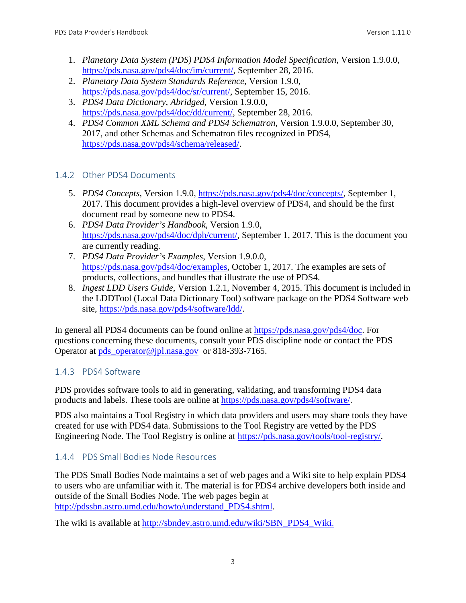- 1. *Planetary Data System (PDS) PDS4 Information Model Specification*, Version 1.9.0.0, [https://pds.nasa.gov/pds4/doc/im/current/,](https://pds.nasa.gov/pds4/doc/im/current/) September 28, 2016.
- 2. *Planetary Data System Standards Reference*, Version 1.9.0, [https://pds.nasa.gov/pds4/doc/sr/current/,](https://pds.nasa.gov/pds4/doc/sr/current/) September 15, 2016.
- 3. *PDS4 Data Dictionary, Abridged*, Version 1.9.0.0, [https://pds.nasa.gov/pds4/doc/dd/current/,](https://pds.nasa.gov/pds4/doc/dd/current/) September 28, 2016.
- 4. *PDS4 Common XML Schema and PDS4 Schematron*, Version 1.9.0.0, September 30, 2017, and other Schemas and Schematron files recognized in PDS4, [https://pds.nasa.gov/pds4/schema/released/.](https://pds.nasa.gov/pds4/schema/released/)

#### <span id="page-9-0"></span>1.4.2 Other PDS4 Documents

- 5. *PDS4 Concepts*, Version 1.9.0, [https://pds.nasa.gov/pds4/doc/concepts/,](https://pds.nasa.gov/pds4/doc/concepts/) September 1, 2017. This document provides a high-level overview of PDS4, and should be the first document read by someone new to PDS4.
- 6. *PDS4 Data Provider's Handbook*, Version 1.9.0, [https://pds.nasa.gov/pds4/doc/dph/current/,](https://pds.nasa.gov/pds4/doc/dph/current/) September 1, 2017. This is the document you are currently reading.
- 7. *PDS4 Data Provider's Examples*, Version 1.9.0.0, [https://pds.nasa.gov/pds4/doc/examples,](https://pds.nasa.gov/pds4/doc/examples) October 1, 2017. The examples are sets of products, collections, and bundles that illustrate the use of PDS4.
- 8. *Ingest LDD Users Guide*, Version 1.2.1, November 4, 2015. This document is included in the LDDTool (Local Data Dictionary Tool) software package on the PDS4 Software web site, [https://pds.nasa.gov/pds4/software/ldd/.](https://pds.nasa.gov/pds4/software/ldd/)

In general all PDS4 documents can be found online at [https://pds.nasa.gov/pds4/doc.](https://pds.nasa.gov/pds4/doc) For questions concerning these documents, consult your PDS discipline node or contact the PDS Operator at [pds\\_operator@jpl.nasa.gov](mailto:pds_operator@jpl.nasa.gov) or 818-393-7165.

#### <span id="page-9-1"></span>1.4.3 PDS4 Software

PDS provides software tools to aid in generating, validating, and transforming PDS4 data products and labels. These tools are online at [https://pds.nasa.gov/pds4/software/.](http://pds.nasa.gov/pds4/software/)

PDS also maintains a Tool Registry in which data providers and users may share tools they have created for use with PDS4 data. Submissions to the Tool Registry are vetted by the PDS Engineering Node. The Tool Registry is online at [https://pds.nasa.gov/tools/tool-registry/.](https://pds.nasa.gov/tools/tool-registry/)

#### <span id="page-9-2"></span>1.4.4 PDS Small Bodies Node Resources

The PDS Small Bodies Node maintains a set of web pages and a Wiki site to help explain PDS4 to users who are unfamiliar with it. The material is for PDS4 archive developers both inside and outside of the Small Bodies Node. The web pages begin at [http://pdssbn.astro.umd.edu/howto/understand\\_PDS4.shtml.](http://pdssbn.astro.umd.edu/howto/understand_PDS4.shtml)

The wiki is available at [http://sbndev.astro.umd.edu/wiki/SBN\\_PDS4\\_Wiki](http://sbndev.astro.umd.edu/wiki/SBN_PDS4_Wiki).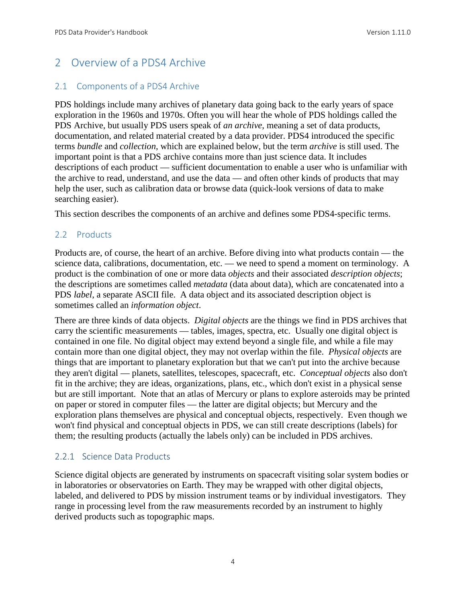## <span id="page-10-0"></span>2 Overview of a PDS4 Archive

#### <span id="page-10-1"></span>2.1 Components of a PDS4 Archive

PDS holdings include many archives of planetary data going back to the early years of space exploration in the 1960s and 1970s. Often you will hear the whole of PDS holdings called the PDS Archive, but usually PDS users speak of *an archive*, meaning a set of data products, documentation, and related material created by a data provider. PDS4 introduced the specific terms *bundle* and *collection*, which are explained below, but the term *archive* is still used. The important point is that a PDS archive contains more than just science data. It includes descriptions of each product — sufficient documentation to enable a user who is unfamiliar with the archive to read, understand, and use the data — and often other kinds of products that may help the user, such as calibration data or browse data (quick-look versions of data to make searching easier).

This section describes the components of an archive and defines some PDS4-specific terms.

#### <span id="page-10-2"></span>2.2 Products

Products are, of course, the heart of an archive. Before diving into what products contain — the science data, calibrations, documentation, etc. — we need to spend a moment on terminology. A product is the combination of one or more data *objects* and their associated *description objects*; the descriptions are sometimes called *metadata* (data about data), which are concatenated into a PDS *label*, a separate ASCII file. A data object and its associated description object is sometimes called an *information object*.

There are three kinds of data objects. *Digital objects* are the things we find in PDS archives that carry the scientific measurements — tables, images, spectra, etc. Usually one digital object is contained in one file. No digital object may extend beyond a single file, and while a file may contain more than one digital object, they may not overlap within the file. *Physical objects* are things that are important to planetary exploration but that we can't put into the archive because they aren't digital — planets, satellites, telescopes, spacecraft, etc. *Conceptual objects* also don't fit in the archive; they are ideas, organizations, plans, etc., which don't exist in a physical sense but are still important. Note that an atlas of Mercury or plans to explore asteroids may be printed on paper or stored in computer files — the latter are digital objects; but Mercury and the exploration plans themselves are physical and conceptual objects, respectively. Even though we won't find physical and conceptual objects in PDS, we can still create descriptions (labels) for them; the resulting products (actually the labels only) can be included in PDS archives.

#### <span id="page-10-3"></span>2.2.1 Science Data Products

Science digital objects are generated by instruments on spacecraft visiting solar system bodies or in laboratories or observatories on Earth. They may be wrapped with other digital objects, labeled, and delivered to PDS by mission instrument teams or by individual investigators. They range in processing level from the raw measurements recorded by an instrument to highly derived products such as topographic maps.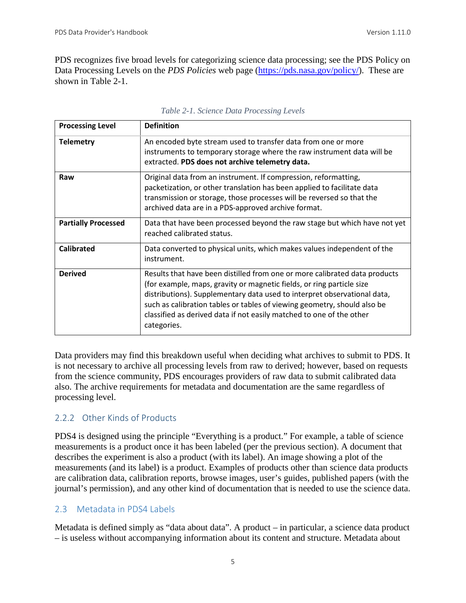PDS recognizes five broad levels for categorizing science data processing; see the PDS Policy on Data Processing Levels on the *PDS Policies* web page [\(https://pds.nasa.gov/policy/\)](http://pds.nasa.gov/policy/). These are shown in Table 2-1.

| <b>Processing Level</b>    | <b>Definition</b>                                                                                                                                                                                                                                                                                                                                                                                  |  |
|----------------------------|----------------------------------------------------------------------------------------------------------------------------------------------------------------------------------------------------------------------------------------------------------------------------------------------------------------------------------------------------------------------------------------------------|--|
| <b>Telemetry</b>           | An encoded byte stream used to transfer data from one or more<br>instruments to temporary storage where the raw instrument data will be<br>extracted. PDS does not archive telemetry data.                                                                                                                                                                                                         |  |
| Raw                        | Original data from an instrument. If compression, reformatting,<br>packetization, or other translation has been applied to facilitate data<br>transmission or storage, those processes will be reversed so that the<br>archived data are in a PDS-approved archive format.                                                                                                                         |  |
| <b>Partially Processed</b> | Data that have been processed beyond the raw stage but which have not yet<br>reached calibrated status.                                                                                                                                                                                                                                                                                            |  |
| <b>Calibrated</b>          | Data converted to physical units, which makes values independent of the<br>instrument.                                                                                                                                                                                                                                                                                                             |  |
| <b>Derived</b>             | Results that have been distilled from one or more calibrated data products<br>(for example, maps, gravity or magnetic fields, or ring particle size<br>distributions). Supplementary data used to interpret observational data,<br>such as calibration tables or tables of viewing geometry, should also be<br>classified as derived data if not easily matched to one of the other<br>categories. |  |

Data providers may find this breakdown useful when deciding what archives to submit to PDS. It is not necessary to archive all processing levels from raw to derived; however, based on requests from the science community, PDS encourages providers of raw data to submit calibrated data also. The archive requirements for metadata and documentation are the same regardless of processing level.

#### <span id="page-11-0"></span>2.2.2 Other Kinds of Products

PDS4 is designed using the principle "Everything is a product." For example, a table of science measurements is a product once it has been labeled (per the previous section). A document that describes the experiment is also a product (with its label). An image showing a plot of the measurements (and its label) is a product. Examples of products other than science data products are calibration data, calibration reports, browse images, user's guides, published papers (with the journal's permission), and any other kind of documentation that is needed to use the science data.

#### <span id="page-11-1"></span>2.3 Metadata in PDS4 Labels

Metadata is defined simply as "data about data". A product – in particular, a science data product – is useless without accompanying information about its content and structure. Metadata about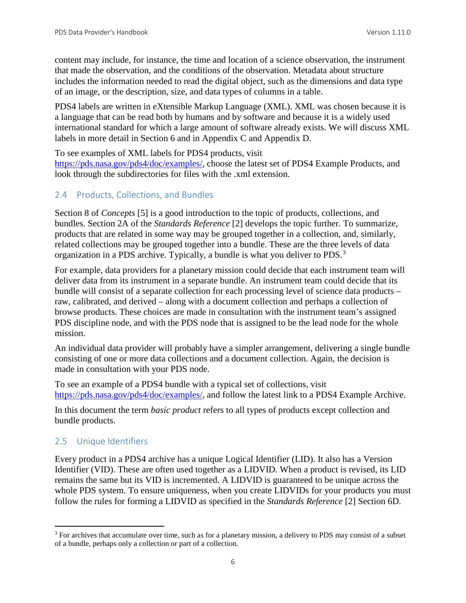content may include, for instance, the time and location of a science observation, the instrument that made the observation, and the conditions of the observation. Metadata about structure includes the information needed to read the digital object, such as the dimensions and data type of an image, or the description, size, and data types of columns in a table.

PDS4 labels are written in eXtensible Markup Language (XML). XML was chosen because it is a language that can be read both by humans and by software and because it is a widely used international standard for which a large amount of software already exists. We will discuss XML labels in more detail in Section 6 and in Appendix C and Appendix D.

To see examples of XML labels for PDS4 products, visit

[https://pds.nasa.gov/pds4/doc/examples/,](https://pds.nasa.gov/pds4/doc/examples/) choose the latest set of PDS4 Example Products, and look through the subdirectories for files with the .xml extension.

#### <span id="page-12-0"></span>2.4 Products, Collections, and Bundles

Section 8 of *Concepts* [5] is a good introduction to the topic of products, collections, and bundles. Section 2A of the *Standards Reference* [2] develops the topic further. To summarize, products that are related in some way may be grouped together in a collection, and, similarly, related collections may be grouped together into a bundle. These are the three levels of data organization in a PDS archive. Typically, a bundle is what you deliver to PDS.[3](#page-12-2)

For example, data providers for a planetary mission could decide that each instrument team will deliver data from its instrument in a separate bundle. An instrument team could decide that its bundle will consist of a separate collection for each processing level of science data products – raw, calibrated, and derived – along with a document collection and perhaps a collection of browse products. These choices are made in consultation with the instrument team's assigned PDS discipline node, and with the PDS node that is assigned to be the lead node for the whole mission.

An individual data provider will probably have a simpler arrangement, delivering a single bundle consisting of one or more data collections and a document collection. Again, the decision is made in consultation with your PDS node.

To see an example of a PDS4 bundle with a typical set of collections, visit [https://pds.nasa.gov/pds4/doc/examples/,](https://pds.nasa.gov/pds4/doc/examples/) and follow the latest link to a PDS4 Example Archive.

In this document the term *basic product* refers to all types of products except collection and bundle products.

#### <span id="page-12-1"></span>2.5 Unique Identifiers

Every product in a PDS4 archive has a unique Logical Identifier (LID). It also has a Version Identifier (VID). These are often used together as a LIDVID. When a product is revised, its LID remains the same but its VID is incremented. A LIDVID is guaranteed to be unique across the whole PDS system. To ensure uniqueness, when you create LIDVIDs for your products you must follow the rules for forming a LIDVID as specified in the *Standards Reference* [2] Section 6D.

<span id="page-12-2"></span><sup>&</sup>lt;sup>3</sup> For archives that accumulate over time, such as for a planetary mission, a delivery to PDS may consist of a subset of a bundle, perhaps only a collection or part of a collection.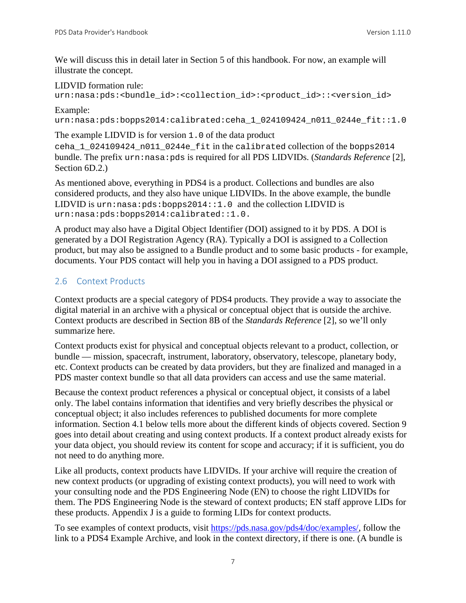We will discuss this in detail later in Section 5 of this handbook. For now, an example will illustrate the concept.

LIDVID formation rule:

urn:nasa:pds:<bundle\_id>:<collection\_id>:<product\_id>::<version\_id>

Example:

urn:nasa:pds:bopps2014:calibrated:ceha\_1\_024109424\_n011\_0244e\_fit::1.0

The example LIDVID is for version 1.0 of the data product

ceha\_1\_024109424\_n011\_0244e\_fit in the calibrated collection of the bopps2014 bundle. The prefix urn:nasa:pds is required for all PDS LIDVIDs. (*Standards Reference* [2], Section 6D.2.)

As mentioned above, everything in PDS4 is a product. Collections and bundles are also considered products, and they also have unique LIDVIDs. In the above example, the bundle LIDVID is  $urn: nasa: pds: bopps2014::1.0$  and the collection LIDVID is urn:nasa:pds:bopps2014:calibrated::1.0.

A product may also have a Digital Object Identifier (DOI) assigned to it by PDS. A DOI is generated by a DOI Registration Agency (RA). Typically a DOI is assigned to a Collection product, but may also be assigned to a Bundle product and to some basic products - for example, documents. Your PDS contact will help you in having a DOI assigned to a PDS product.

#### <span id="page-13-0"></span>2.6 Context Products

Context products are a special category of PDS4 products. They provide a way to associate the digital material in an archive with a physical or conceptual object that is outside the archive. Context products are described in Section 8B of the *Standards Reference* [2], so we'll only summarize here.

Context products exist for physical and conceptual objects relevant to a product, collection, or bundle — mission, spacecraft, instrument, laboratory, observatory, telescope, planetary body, etc. Context products can be created by data providers, but they are finalized and managed in a PDS master context bundle so that all data providers can access and use the same material.

Because the context product references a physical or conceptual object, it consists of a label only. The label contains information that identifies and very briefly describes the physical or conceptual object; it also includes references to published documents for more complete information. Section 4.1 below tells more about the different kinds of objects covered. Section 9 goes into detail about creating and using context products. If a context product already exists for your data object, you should review its content for scope and accuracy; if it is sufficient, you do not need to do anything more.

Like all products, context products have LIDVIDs. If your archive will require the creation of new context products (or upgrading of existing context products), you will need to work with your consulting node and the PDS Engineering Node (EN) to choose the right LIDVIDs for them. The PDS Engineering Node is the steward of context products; EN staff approve LIDs for these products. Appendix J is a guide to forming LIDs for context products.

To see examples of context products, visit [https://pds.nasa.gov/pds4/doc/examples/,](https://pds.nasa.gov/pds4/doc/examples/) follow the link to a PDS4 Example Archive, and look in the context directory, if there is one. (A bundle is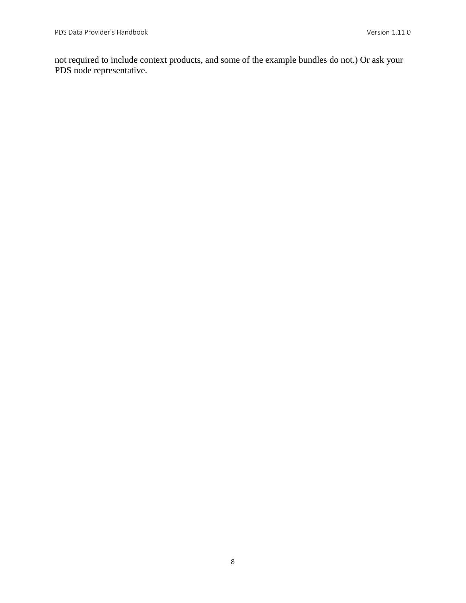not required to include context products, and some of the example bundles do not.) Or ask your PDS node representative.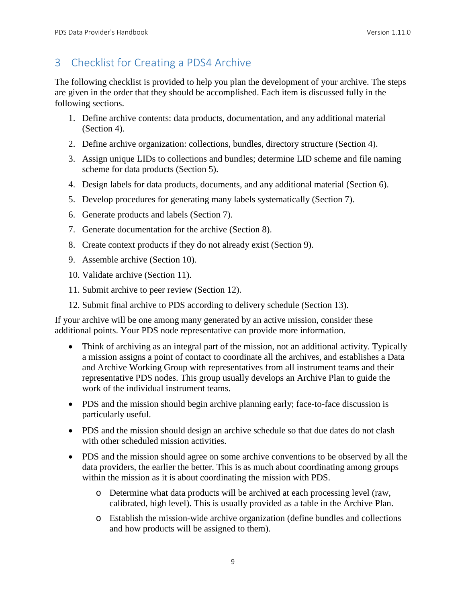## <span id="page-15-0"></span>3 Checklist for Creating a PDS4 Archive

The following checklist is provided to help you plan the development of your archive. The steps are given in the order that they should be accomplished. Each item is discussed fully in the following sections.

- 1. Define archive contents: data products, documentation, and any additional material (Section 4).
- 2. Define archive organization: collections, bundles, directory structure (Section 4).
- 3. Assign unique LIDs to collections and bundles; determine LID scheme and file naming scheme for data products (Section 5).
- 4. Design labels for data products, documents, and any additional material (Section 6).
- 5. Develop procedures for generating many labels systematically (Section 7).
- 6. Generate products and labels (Section 7).
- 7. Generate documentation for the archive (Section 8).
- 8. Create context products if they do not already exist (Section 9).
- 9. Assemble archive (Section 10).
- 10. Validate archive (Section 11).
- 11. Submit archive to peer review (Section 12).
- 12. Submit final archive to PDS according to delivery schedule (Section 13).

If your archive will be one among many generated by an active mission, consider these additional points. Your PDS node representative can provide more information.

- Think of archiving as an integral part of the mission, not an additional activity. Typically a mission assigns a point of contact to coordinate all the archives, and establishes a Data and Archive Working Group with representatives from all instrument teams and their representative PDS nodes. This group usually develops an Archive Plan to guide the work of the individual instrument teams.
- PDS and the mission should begin archive planning early; face-to-face discussion is particularly useful.
- PDS and the mission should design an archive schedule so that due dates do not clash with other scheduled mission activities.
- PDS and the mission should agree on some archive conventions to be observed by all the data providers, the earlier the better. This is as much about coordinating among groups within the mission as it is about coordinating the mission with PDS.
	- o Determine what data products will be archived at each processing level (raw, calibrated, high level). This is usually provided as a table in the Archive Plan.
	- o Establish the mission-wide archive organization (define bundles and collections and how products will be assigned to them).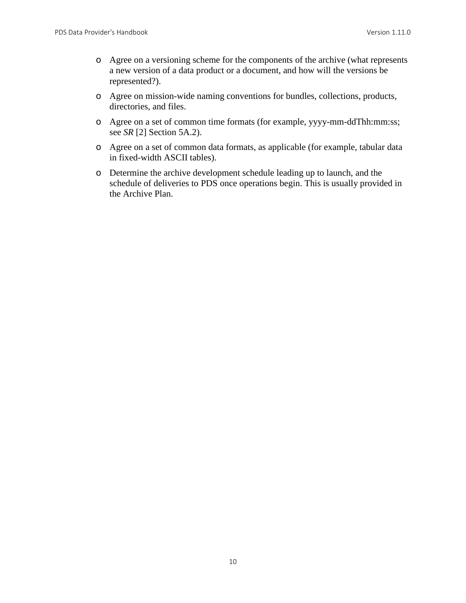- o Agree on a versioning scheme for the components of the archive (what represents a new version of a data product or a document, and how will the versions be represented?).
- o Agree on mission-wide naming conventions for bundles, collections, products, directories, and files.
- o Agree on a set of common time formats (for example, yyyy-mm-ddThh:mm:ss; see *SR* [2] Section 5A.2).
- o Agree on a set of common data formats, as applicable (for example, tabular data in fixed-width ASCII tables).
- o Determine the archive development schedule leading up to launch, and the schedule of deliveries to PDS once operations begin. This is usually provided in the Archive Plan.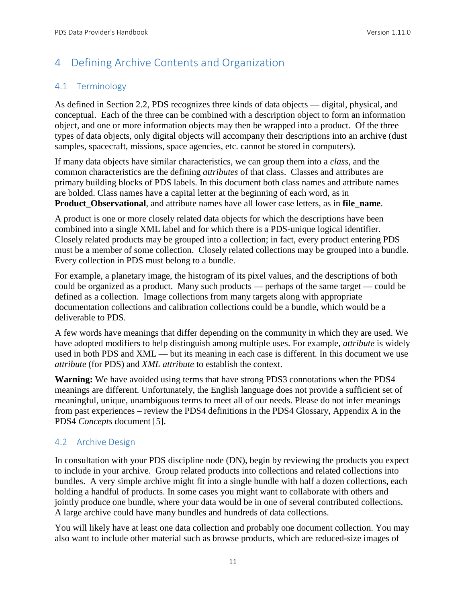## <span id="page-17-0"></span>4 Defining Archive Contents and Organization

#### <span id="page-17-1"></span>4.1 Terminology

As defined in Section 2.2, PDS recognizes three kinds of data objects — digital, physical, and conceptual. Each of the three can be combined with a description object to form an information object, and one or more information objects may then be wrapped into a product. Of the three types of data objects, only digital objects will accompany their descriptions into an archive (dust samples, spacecraft, missions, space agencies, etc. cannot be stored in computers).

If many data objects have similar characteristics, we can group them into a *class,* and the common characteristics are the defining *attributes* of that class. Classes and attributes are primary building blocks of PDS labels. In this document both class names and attribute names are bolded. Class names have a capital letter at the beginning of each word, as in **Product\_Observational**, and attribute names have all lower case letters, as in **file\_name**.

A product is one or more closely related data objects for which the descriptions have been combined into a single XML label and for which there is a PDS-unique logical identifier. Closely related products may be grouped into a collection; in fact, every product entering PDS must be a member of some collection. Closely related collections may be grouped into a bundle. Every collection in PDS must belong to a bundle.

For example, a planetary image, the histogram of its pixel values, and the descriptions of both could be organized as a product. Many such products — perhaps of the same target — could be defined as a collection. Image collections from many targets along with appropriate documentation collections and calibration collections could be a bundle, which would be a deliverable to PDS.

A few words have meanings that differ depending on the community in which they are used. We have adopted modifiers to help distinguish among multiple uses. For example, *attribute* is widely used in both PDS and XML — but its meaning in each case is different. In this document we use *attribute* (for PDS) and *XML attribute* to establish the context.

**Warning:** We have avoided using terms that have strong PDS3 connotations when the PDS4 meanings are different. Unfortunately, the English language does not provide a sufficient set of meaningful, unique, unambiguous terms to meet all of our needs. Please do not infer meanings from past experiences – review the PDS4 definitions in the PDS4 Glossary, Appendix A in the PDS4 *Concepts* document [5].

#### <span id="page-17-2"></span>4.2 Archive Design

In consultation with your PDS discipline node (DN), begin by reviewing the products you expect to include in your archive. Group related products into collections and related collections into bundles. A very simple archive might fit into a single bundle with half a dozen collections, each holding a handful of products. In some cases you might want to collaborate with others and jointly produce one bundle, where your data would be in one of several contributed collections. A large archive could have many bundles and hundreds of data collections.

You will likely have at least one data collection and probably one document collection. You may also want to include other material such as browse products, which are reduced-size images of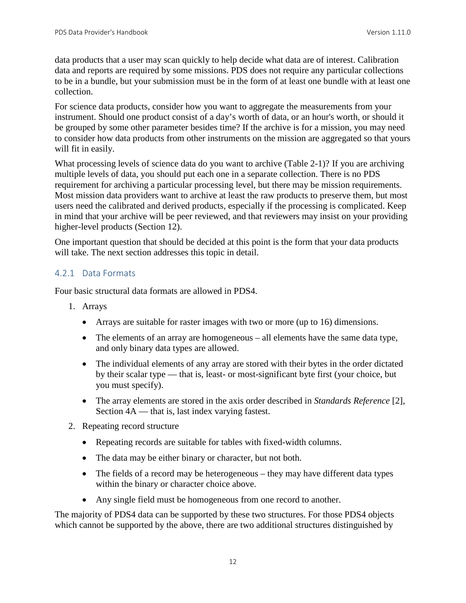data products that a user may scan quickly to help decide what data are of interest. Calibration data and reports are required by some missions. PDS does not require any particular collections to be in a bundle, but your submission must be in the form of at least one bundle with at least one collection.

For science data products, consider how you want to aggregate the measurements from your instrument. Should one product consist of a day's worth of data, or an hour's worth, or should it be grouped by some other parameter besides time? If the archive is for a mission, you may need to consider how data products from other instruments on the mission are aggregated so that yours will fit in easily.

What processing levels of science data do you want to archive (Table 2-1)? If you are archiving multiple levels of data, you should put each one in a separate collection. There is no PDS requirement for archiving a particular processing level, but there may be mission requirements. Most mission data providers want to archive at least the raw products to preserve them, but most users need the calibrated and derived products, especially if the processing is complicated. Keep in mind that your archive will be peer reviewed, and that reviewers may insist on your providing higher-level products (Section 12).

One important question that should be decided at this point is the form that your data products will take. The next section addresses this topic in detail.

#### <span id="page-18-0"></span>4.2.1 Data Formats

Four basic structural data formats are allowed in PDS4.

- 1. Arrays
	- Arrays are suitable for raster images with two or more (up to 16) dimensions.
	- The elements of an array are homogeneous all elements have the same data type, and only binary data types are allowed.
	- The individual elements of any array are stored with their bytes in the order dictated by their scalar type — that is, least- or most-significant byte first (your choice, but you must specify).
	- The array elements are stored in the axis order described in *Standards Reference* [2], Section 4A — that is, last index varying fastest.
- 2. Repeating record structure
	- Repeating records are suitable for tables with fixed-width columns.
	- The data may be either binary or character, but not both.
	- The fields of a record may be heterogeneous they may have different data types within the binary or character choice above.
	- Any single field must be homogeneous from one record to another.

The majority of PDS4 data can be supported by these two structures. For those PDS4 objects which cannot be supported by the above, there are two additional structures distinguished by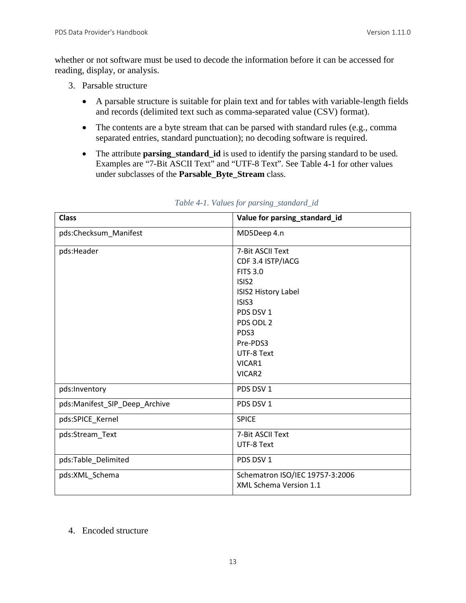whether or not software must be used to decode the information before it can be accessed for reading, display, or analysis.

- 3. Parsable structure
	- A parsable structure is suitable for plain text and for tables with variable-length fields and records (delimited text such as comma-separated value (CSV) format).
	- The contents are a byte stream that can be parsed with standard rules (e.g., comma separated entries, standard punctuation); no decoding software is required.
	- The attribute **parsing\_standard\_id** is used to identify the parsing standard to be used. Examples are "7-Bit ASCII Text" and "UTF-8 Text". See Table 4-1 for other values under subclasses of the **Parsable\_Byte\_Stream** class.

| <b>Class</b>                  | Value for parsing_standard_id   |
|-------------------------------|---------------------------------|
| pds:Checksum_Manifest         | MD5Deep 4.n                     |
| pds:Header                    | 7-Bit ASCII Text                |
|                               | CDF 3.4 ISTP/IACG               |
|                               | <b>FITS 3.0</b>                 |
|                               | ISIS <sub>2</sub>               |
|                               | ISIS2 History Label             |
|                               | ISIS <sub>3</sub>               |
|                               | PDS DSV 1                       |
|                               | PDS ODL 2                       |
|                               | PDS3                            |
|                               | Pre-PDS3                        |
|                               | UTF-8 Text                      |
|                               | VICAR1                          |
|                               | VICAR2                          |
| pds:Inventory                 | PDS DSV 1                       |
| pds:Manifest_SIP_Deep_Archive | PDS DSV 1                       |
| pds:SPICE_Kernel              | <b>SPICE</b>                    |
| pds:Stream_Text               | 7-Bit ASCII Text                |
|                               | UTF-8 Text                      |
| pds:Table_Delimited           | PDS DSV 1                       |
| pds:XML_Schema                | Schematron ISO/IEC 19757-3:2006 |
|                               | <b>XML Schema Version 1.1</b>   |

#### *Table 4-1. Values for parsing\_standard\_id*

#### 4. Encoded structure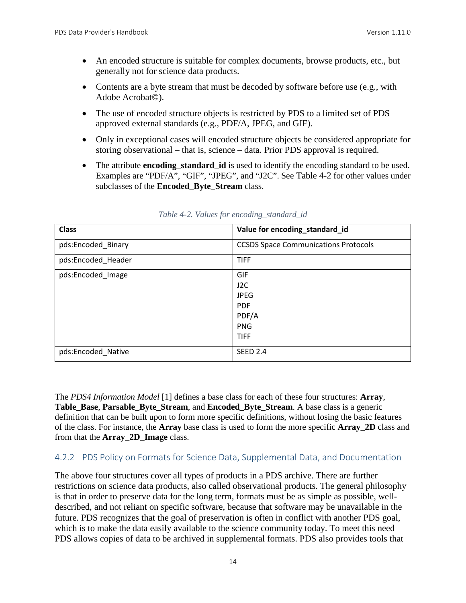- An encoded structure is suitable for complex documents, browse products, etc., but generally not for science data products.
- Contents are a byte stream that must be decoded by software before use (e.g., with Adobe Acrobat©).
- The use of encoded structure objects is restricted by PDS to a limited set of PDS approved external standards (e.g., PDF/A, JPEG, and GIF).
- Only in exceptional cases will encoded structure objects be considered appropriate for storing observational – that is, science – data. Prior PDS approval is required.
- The attribute **encoding\_standard\_id** is used to identify the encoding standard to be used. Examples are "PDF/A", "GIF", "JPEG", and "J2C". See Table 4-2 for other values under subclasses of the **Encoded\_Byte\_Stream** class.

| <b>Class</b>       | Value for encoding_standard_id              |
|--------------------|---------------------------------------------|
| pds:Encoded_Binary | <b>CCSDS Space Communications Protocols</b> |
| pds:Encoded Header | <b>TIFF</b>                                 |
| pds:Encoded Image  | GIF                                         |
|                    | J2C                                         |
|                    | <b>JPEG</b>                                 |
|                    | <b>PDF</b>                                  |
|                    | PDF/A                                       |
|                    | <b>PNG</b>                                  |
|                    | <b>TIFF</b>                                 |
| pds:Encoded_Native | <b>SEED 2.4</b>                             |

*Table 4-2. Values for encoding\_standard\_id*

The *PDS4 Information Model* [1] defines a base class for each of these four structures: **Array**, **Table\_Base**, **Parsable\_Byte\_Stream**, and **Encoded\_Byte\_Stream**. A base class is a generic definition that can be built upon to form more specific definitions, without losing the basic features of the class. For instance, the **Array** base class is used to form the more specific **Array\_2D** class and from that the **Array\_2D\_Image** class.

#### <span id="page-20-0"></span>4.2.2 PDS Policy on Formats for Science Data, Supplemental Data, and Documentation

The above four structures cover all types of products in a PDS archive. There are further restrictions on science data products, also called observational products. The general philosophy is that in order to preserve data for the long term, formats must be as simple as possible, welldescribed, and not reliant on specific software, because that software may be unavailable in the future. PDS recognizes that the goal of preservation is often in conflict with another PDS goal, which is to make the data easily available to the science community today. To meet this need PDS allows copies of data to be archived in supplemental formats. PDS also provides tools that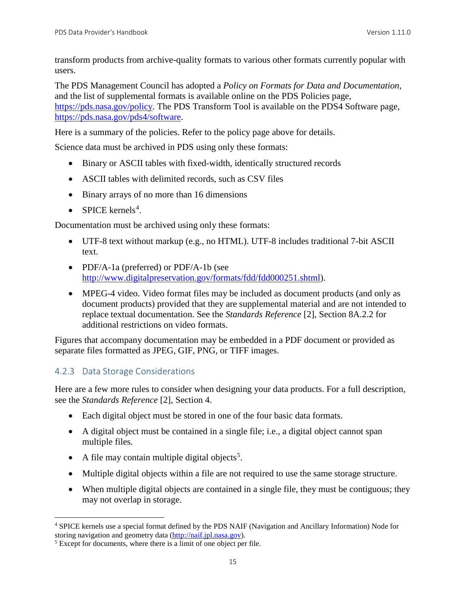transform products from archive-quality formats to various other formats currently popular with users.

The PDS Management Council has adopted a *Policy on Formats for Data and Documentation,* and the list of supplemental formats is available online on the PDS Policies page, [https://pds.nasa.gov/policy.](https://pds.nasa.gov/policy) The PDS Transform Tool is available on the PDS4 Software page, [https://pds.nasa.gov/pds4/software.](https://pds.nasa.gov/pds4/software)

Here is a summary of the policies. Refer to the policy page above for details.

Science data must be archived in PDS using only these formats:

- Binary or ASCII tables with fixed-width, identically structured records
- ASCII tables with delimited records, such as CSV files
- Binary arrays of no more than 16 dimensions
- SPICE kernels<sup>[4](#page-21-1)</sup>.

Documentation must be archived using only these formats:

- UTF-8 text without markup (e.g., no HTML). UTF-8 includes traditional 7-bit ASCII text.
- PDF/A-1a (preferred) or PDF/A-1b (see [http://www.digitalpreservation.gov/formats/fdd/fdd000251.shtml\)](http://www.digitalpreservation.gov/formats/fdd/fdd000251.shtml).
- MPEG-4 video. Video format files may be included as document products (and only as document products) provided that they are supplemental material and are not intended to replace textual documentation. See the *Standards Reference* [2], Section 8A.2.2 for additional restrictions on video formats.

Figures that accompany documentation may be embedded in a PDF document or provided as separate files formatted as JPEG, GIF, PNG, or TIFF images.

#### <span id="page-21-0"></span>4.2.3 Data Storage Considerations

Here are a few more rules to consider when designing your data products. For a full description, see the *Standards Reference* [2], Section 4.

- Each digital object must be stored in one of the four basic data formats.
- A digital object must be contained in a single file; i.e., a digital object cannot span multiple files.
- A file may contain multiple digital objects<sup>[5](#page-21-2)</sup>.
- Multiple digital objects within a file are not required to use the same storage structure.
- When multiple digital objects are contained in a single file, they must be contiguous; they may not overlap in storage.

<span id="page-21-1"></span><sup>&</sup>lt;sup>4</sup> SPICE kernels use a special format defined by the PDS NAIF (Navigation and Ancillary Information) Node for storing navigation and geometry data ( $\frac{http://nair.jpl.nasa.gov)}{http://nair.jpl.nasa.gov)}$ .

<span id="page-21-2"></span><sup>&</sup>lt;sup>5</sup> Except for documents, where there is a limit of one object per file.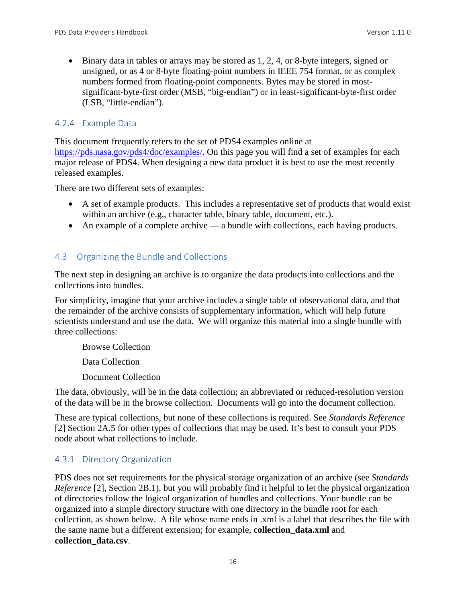• Binary data in tables or arrays may be stored as 1, 2, 4, or 8-byte integers, signed or unsigned, or as 4 or 8-byte floating-point numbers in IEEE 754 format, or as complex numbers formed from floating-point components. Bytes may be stored in mostsignificant-byte-first order (MSB, "big-endian") or in least-significant-byte-first order (LSB, "little-endian").

#### <span id="page-22-0"></span>4.2.4 Example Data

This document frequently refers to the set of PDS4 examples online at [https://pds.nasa.gov/pds4/doc/examples/.](https://pds.nasa.gov/pds4/doc/examples/) On this page you will find a set of examples for each major release of PDS4. When designing a new data product it is best to use the most recently released examples.

There are two different sets of examples:

- A set of example products. This includes a representative set of products that would exist within an archive (e.g., character table, binary table, document, etc.).
- An example of a complete archive a bundle with collections, each having products.

#### <span id="page-22-1"></span>4.3 Organizing the Bundle and Collections

The next step in designing an archive is to organize the data products into collections and the collections into bundles.

For simplicity, imagine that your archive includes a single table of observational data, and that the remainder of the archive consists of supplementary information, which will help future scientists understand and use the data. We will organize this material into a single bundle with three collections:

Browse Collection

Data Collection

Document Collection

The data, obviously, will be in the data collection; an abbreviated or reduced-resolution version of the data will be in the browse collection. Documents will go into the document collection.

These are typical collections, but none of these collections is required. See *Standards Reference* [2] Section 2A.5 for other types of collections that may be used. It's best to consult your PDS node about what collections to include.

#### <span id="page-22-2"></span>4.3.1 Directory Organization

PDS does not set requirements for the physical storage organization of an archive (see *Standards Reference* [2], Section 2B.1), but you will probably find it helpful to let the physical organization of directories follow the logical organization of bundles and collections. Your bundle can be organized into a simple directory structure with one directory in the bundle root for each collection, as shown below. A file whose name ends in .xml is a label that describes the file with the same name but a different extension; for example, **collection\_data.xml** and **collection\_data.csv**.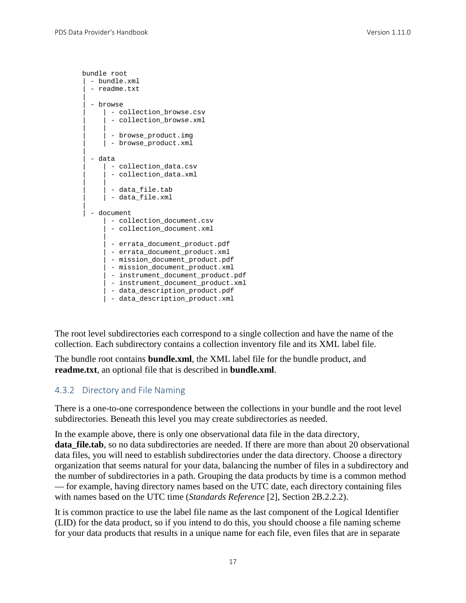```
bundle root
 | - bundle.xml
  - readme.txt
|
  - browse
     | - collection browse.csv
      - collection_browse.xml
| |
     | - browse_product.img
     | | - browse_product.xml
|
  | - data
     | - collection_data.csv
      - collection_data.xml
| |
      - data file.tab
     | - data_file.xml
|
  - document
       - collection_document.csv
       - collection_document.xml
|| || || || || ||
     | - errata document product.pdf
      | - errata_document_product.xml
      | - mission_document_product.pdf
       | - mission_document_product.xml
      - instrument_document_product.pdf
       | - instrument_document_product.xml
      - data_description_product.pdf
      | - data_description_product.xml
```
The root level subdirectories each correspond to a single collection and have the name of the collection. Each subdirectory contains a collection inventory file and its XML label file.

The bundle root contains **bundle.xml**, the XML label file for the bundle product, and **readme.txt**, an optional file that is described in **bundle.xml**.

#### <span id="page-23-0"></span>4.3.2 Directory and File Naming

There is a one-to-one correspondence between the collections in your bundle and the root level subdirectories. Beneath this level you may create subdirectories as needed.

In the example above, there is only one observational data file in the data directory, **data\_file.tab**, so no data subdirectories are needed. If there are more than about 20 observational data files, you will need to establish subdirectories under the data directory. Choose a directory organization that seems natural for your data, balancing the number of files in a subdirectory and the number of subdirectories in a path. Grouping the data products by time is a common method — for example, having directory names based on the UTC date, each directory containing files with names based on the UTC time (*Standards Reference* [2], Section 2B.2.2.2).

It is common practice to use the label file name as the last component of the Logical Identifier (LID) for the data product, so if you intend to do this, you should choose a file naming scheme for your data products that results in a unique name for each file, even files that are in separate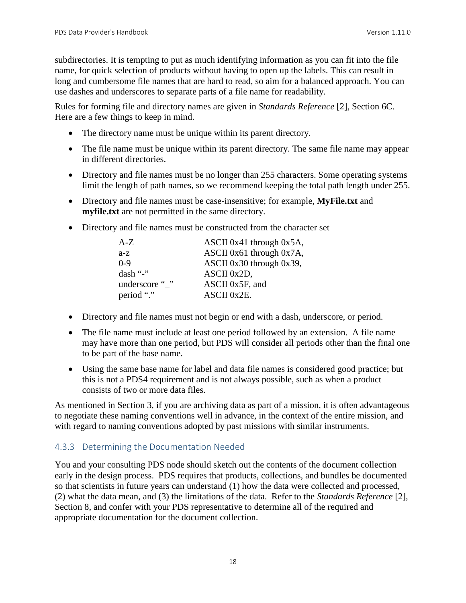subdirectories. It is tempting to put as much identifying information as you can fit into the file name, for quick selection of products without having to open up the labels. This can result in long and cumbersome file names that are hard to read, so aim for a balanced approach. You can use dashes and underscores to separate parts of a file name for readability.

Rules for forming file and directory names are given in *Standards Reference* [2], Section 6C. Here are a few things to keep in mind.

- The directory name must be unique within its parent directory.
- The file name must be unique within its parent directory. The same file name may appear in different directories.
- Directory and file names must be no longer than 255 characters. Some operating systems limit the length of path names, so we recommend keeping the total path length under 255.
- Directory and file names must be case-insensitive; for example, **MyFile.txt** and **myfile.txt** are not permitted in the same directory.
- Directory and file names must be constructed from the character set

| $A-Z$          | ASCII 0x41 through $0x5A$ ,   |
|----------------|-------------------------------|
| $a-z$          | ASCII 0x61 through $0x7A$ ,   |
| $0-9$          | ASCII $0x30$ through $0x39$ , |
| dash "-"       | ASCII 0x2D,                   |
| underscore " " | ASCII 0x5F, and               |
| period "."     | ASCII 0x2E.                   |

- Directory and file names must not begin or end with a dash, underscore, or period.
- The file name must include at least one period followed by an extension. A file name may have more than one period, but PDS will consider all periods other than the final one to be part of the base name.
- Using the same base name for label and data file names is considered good practice; but this is not a PDS4 requirement and is not always possible, such as when a product consists of two or more data files.

As mentioned in Section 3, if you are archiving data as part of a mission, it is often advantageous to negotiate these naming conventions well in advance, in the context of the entire mission, and with regard to naming conventions adopted by past missions with similar instruments.

#### <span id="page-24-0"></span>4.3.3 Determining the Documentation Needed

You and your consulting PDS node should sketch out the contents of the document collection early in the design process. PDS requires that products, collections, and bundles be documented so that scientists in future years can understand (1) how the data were collected and processed, (2) what the data mean, and (3) the limitations of the data. Refer to the *Standards Reference* [2], Section 8, and confer with your PDS representative to determine all of the required and appropriate documentation for the document collection.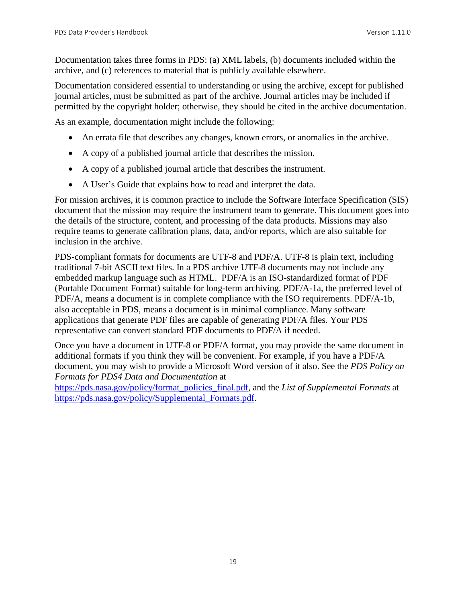Documentation takes three forms in PDS: (a) XML labels, (b) documents included within the archive, and (c) references to material that is publicly available elsewhere.

Documentation considered essential to understanding or using the archive, except for published journal articles, must be submitted as part of the archive. Journal articles may be included if permitted by the copyright holder; otherwise, they should be cited in the archive documentation.

As an example, documentation might include the following:

- An errata file that describes any changes, known errors, or anomalies in the archive.
- A copy of a published journal article that describes the mission.
- A copy of a published journal article that describes the instrument.
- A User's Guide that explains how to read and interpret the data.

For mission archives, it is common practice to include the Software Interface Specification (SIS) document that the mission may require the instrument team to generate. This document goes into the details of the structure, content, and processing of the data products. Missions may also require teams to generate calibration plans, data, and/or reports, which are also suitable for inclusion in the archive.

PDS-compliant formats for documents are UTF-8 and PDF/A. UTF-8 is plain text, including traditional 7-bit ASCII text files. In a PDS archive UTF-8 documents may not include any embedded markup language such as HTML. PDF/A is an ISO-standardized format of PDF (Portable Document Format) suitable for long-term archiving. PDF/A-1a, the preferred level of PDF/A, means a document is in complete compliance with the ISO requirements. PDF/A-1b, also acceptable in PDS, means a document is in minimal compliance. Many software applications that generate PDF files are capable of generating PDF/A files. Your PDS representative can convert standard PDF documents to PDF/A if needed.

Once you have a document in UTF-8 or PDF/A format, you may provide the same document in additional formats if you think they will be convenient. For example, if you have a PDF/A document, you may wish to provide a Microsoft Word version of it also. See the *PDS Policy on Formats for PDS4 Data and Documentation* at

[https://pds.nasa.gov/policy/format\\_policies\\_final.pdf,](https://pds.nasa.gov/policy/format_policies_final.pdf) and the *List of Supplemental Formats* at [https://pds.nasa.gov/policy/Supplemental\\_Formats.pdf.](https://pds.nasa.gov/policy/Supplemental_Formats.pdf)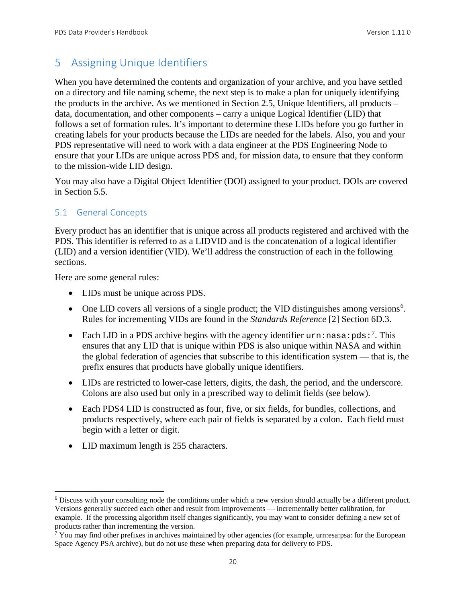## <span id="page-26-0"></span>5 Assigning Unique Identifiers

When you have determined the contents and organization of your archive, and you have settled on a directory and file naming scheme, the next step is to make a plan for uniquely identifying the products in the archive. As we mentioned in Section 2.5, Unique Identifiers, all products – data, documentation, and other components – carry a unique Logical Identifier (LID) that follows a set of formation rules. It's important to determine these LIDs before you go further in creating labels for your products because the LIDs are needed for the labels. Also, you and your PDS representative will need to work with a data engineer at the PDS Engineering Node to ensure that your LIDs are unique across PDS and, for mission data, to ensure that they conform to the mission-wide LID design.

You may also have a Digital Object Identifier (DOI) assigned to your product. DOIs are covered in Section 5.5.

#### <span id="page-26-1"></span>5.1 General Concepts

Every product has an identifier that is unique across all products registered and archived with the PDS. This identifier is referred to as a LIDVID and is the concatenation of a logical identifier (LID) and a version identifier (VID). We'll address the construction of each in the following sections.

Here are some general rules:

- LIDs must be unique across PDS.
- One LID covers all versions of a single product; the VID distinguishes among versions<sup>[6](#page-26-2)</sup>. Rules for incrementing VIDs are found in the *Standards Reference* [2] Section 6D.3.
- Each LID in a PDS archive begins with the agency identifier  $urn:nas: pds:$ <sup>[7](#page-26-3)</sup>. This ensures that any LID that is unique within PDS is also unique within NASA and within the global federation of agencies that subscribe to this identification system — that is, the prefix ensures that products have globally unique identifiers.
- LIDs are restricted to lower-case letters, digits, the dash, the period, and the underscore. Colons are also used but only in a prescribed way to delimit fields (see below).
- Each PDS4 LID is constructed as four, five, or six fields, for bundles, collections, and products respectively, where each pair of fields is separated by a colon. Each field must begin with a letter or digit.
- LID maximum length is 255 characters.

<span id="page-26-2"></span> <sup>6</sup> Discuss with your consulting node the conditions under which a new version should actually be a different product. Versions generally succeed each other and result from improvements — incrementally better calibration, for example. If the processing algorithm itself changes significantly, you may want to consider defining a new set of products rather than incrementing the version.

<span id="page-26-3"></span> $7$  You may find other prefixes in archives maintained by other agencies (for example, urn:esa:psa: for the European Space Agency PSA archive), but do not use these when preparing data for delivery to PDS.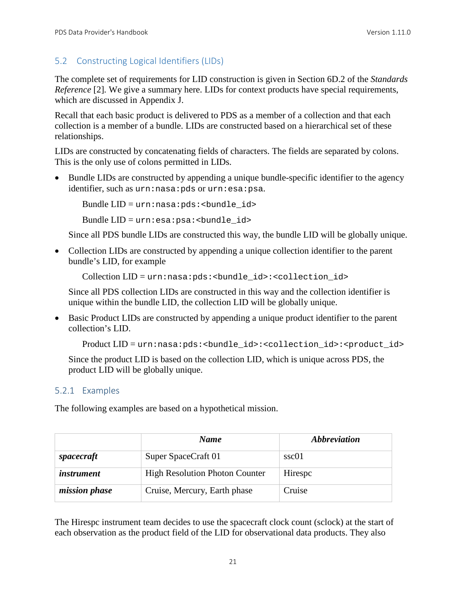#### <span id="page-27-0"></span>5.2 Constructing Logical Identifiers (LIDs)

The complete set of requirements for LID construction is given in Section 6D.2 of the *Standards Reference* [2]. We give a summary here. LIDs for context products have special requirements, which are discussed in Appendix J.

Recall that each basic product is delivered to PDS as a member of a collection and that each collection is a member of a bundle. LIDs are constructed based on a hierarchical set of these relationships.

LIDs are constructed by concatenating fields of characters. The fields are separated by colons. This is the only use of colons permitted in LIDs.

• Bundle LIDs are constructed by appending a unique bundle-specific identifier to the agency identifier, such as urn:nasa:pds or urn:esa:psa.

Bundle  $LID = urn: nasa: pds: **bundle_id**$ 

Bundle  $LID = urn: esa: psa: **bundle** id>$ 

Since all PDS bundle LIDs are constructed this way, the bundle LID will be globally unique.

• Collection LIDs are constructed by appending a unique collection identifier to the parent bundle's LID, for example

Collection LID = urn:nasa:pds:<br/>cbundle\_id>:<collection\_id>

Since all PDS collection LIDs are constructed in this way and the collection identifier is unique within the bundle LID, the collection LID will be globally unique.

• Basic Product LIDs are constructed by appending a unique product identifier to the parent collection's LID.

Product LID = urn:nasa:pds:<br/>bundle\_id>:<collection\_id>:<product\_id>

Since the product LID is based on the collection LID, which is unique across PDS, the product LID will be globally unique.

#### <span id="page-27-1"></span>5.2.1 Examples

The following examples are based on a hypothetical mission.

|                      | <b>Name</b>                           | <i><b>Abbreviation</b></i> |
|----------------------|---------------------------------------|----------------------------|
| spacecraft           | Super SpaceCraft 01                   | ssc01                      |
| <i>instrument</i>    | <b>High Resolution Photon Counter</b> | Hirespc                    |
| <i>mission phase</i> | Cruise, Mercury, Earth phase          | Cruise                     |

The Hirespc instrument team decides to use the spacecraft clock count (sclock) at the start of each observation as the product field of the LID for observational data products. They also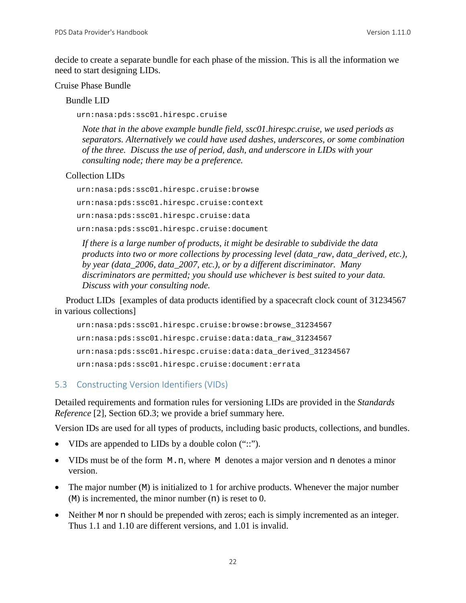decide to create a separate bundle for each phase of the mission. This is all the information we need to start designing LIDs.

#### Cruise Phase Bundle

Bundle LID

urn:nasa:pds:ssc01.hirespc.cruise

*Note that in the above example bundle field, ssc01.hirespc.cruise, we used periods as separators. Alternatively we could have used dashes, underscores, or some combination of the three. Discuss the use of period, dash, and underscore in LIDs with your consulting node; there may be a preference.*

#### Collection LIDs

urn:nasa:pds:ssc01.hirespc.cruise:browse urn:nasa:pds:ssc01.hirespc.cruise:context urn:nasa:pds:ssc01.hirespc.cruise:data urn:nasa:pds:ssc01.hirespc.cruise:document

*If there is a large number of products, it might be desirable to subdivide the data products into two or more collections by processing level (data\_raw, data\_derived, etc.), by year (data\_2006, data\_2007, etc.), or by a different discriminator. Many discriminators are permitted; you should use whichever is best suited to your data. Discuss with your consulting node.*

Product LIDs [examples of data products identified by a spacecraft clock count of 31234567 in various collections]

```
urn:nasa:pds:ssc01.hirespc.cruise:browse:browse_31234567
urn:nasa:pds:ssc01.hirespc.cruise:data:data_raw_31234567
urn:nasa:pds:ssc01.hirespc.cruise:data:data_derived_31234567
urn:nasa:pds:ssc01.hirespc.cruise:document:errata
```
#### <span id="page-28-0"></span>5.3 Constructing Version Identifiers (VIDs)

Detailed requirements and formation rules for versioning LIDs are provided in the *Standards Reference* [2]*,* Section 6D.3; we provide a brief summary here.

Version IDs are used for all types of products, including basic products, collections, and bundles.

- VIDs are appended to LIDs by a double colon ("::").
- VIDs must be of the form M.n, where M denotes a major version and n denotes a minor version.
- The major number (M) is initialized to 1 for archive products. Whenever the major number  $(M)$  is incremented, the minor number  $(n)$  is reset to 0.
- Neither M nor n should be prepended with zeros; each is simply incremented as an integer. Thus 1.1 and 1.10 are different versions, and 1.01 is invalid.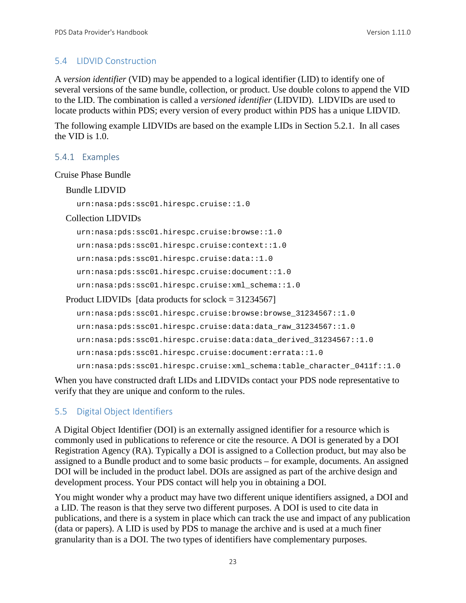#### <span id="page-29-0"></span>5.4 LIDVID Construction

A *version identifier* (VID) may be appended to a logical identifier (LID) to identify one of several versions of the same bundle, collection, or product. Use double colons to append the VID to the LID. The combination is called a *versioned identifier* (LIDVID). LIDVIDs are used to locate products within PDS; every version of every product within PDS has a unique LIDVID.

The following example LIDVIDs are based on the example LIDs in Section 5.2.1. In all cases the VID is 1.0.

#### <span id="page-29-1"></span>5.4.1 Examples

#### Cruise Phase Bundle

Bundle LIDVID

urn:nasa:pds:ssc01.hirespc.cruise::1.0

#### Collection LIDVIDs

```
urn:nasa:pds:ssc01.hirespc.cruise:browse::1.0
urn:nasa:pds:ssc01.hirespc.cruise:context::1.0
urn:nasa:pds:ssc01.hirespc.cruise:data::1.0
urn:nasa:pds:ssc01.hirespc.cruise:document::1.0
urn:nasa:pds:ssc01.hirespc.cruise:xml_schema::1.0
```
Product LIDVIDs [data products for sclock = 31234567]

```
urn:nasa:pds:ssc01.hirespc.cruise:browse:browse_31234567::1.0
urn:nasa:pds:ssc01.hirespc.cruise:data:data_raw_31234567::1.0
urn:nasa:pds:ssc01.hirespc.cruise:data:data derived 31234567::1.0
urn:nasa:pds:ssc01.hirespc.cruise:document:errata::1.0
urn:nasa:pds:ssc01.hirespc.cruise:xml schema:table character 0411f::1.0
```
When you have constructed draft LIDs and LIDVIDs contact your PDS node representative to verify that they are unique and conform to the rules.

#### <span id="page-29-2"></span>5.5 Digital Object Identifiers

A Digital Object Identifier (DOI) is an externally assigned identifier for a resource which is commonly used in publications to reference or cite the resource. A DOI is generated by a DOI Registration Agency (RA). Typically a DOI is assigned to a Collection product, but may also be assigned to a Bundle product and to some basic products – for example, documents. An assigned DOI will be included in the product label. DOIs are assigned as part of the archive design and development process. Your PDS contact will help you in obtaining a DOI.

You might wonder why a product may have two different unique identifiers assigned, a DOI and a LID. The reason is that they serve two different purposes. A DOI is used to cite data in publications, and there is a system in place which can track the use and impact of any publication (data or papers). A LID is used by PDS to manage the archive and is used at a much finer granularity than is a DOI. The two types of identifiers have complementary purposes.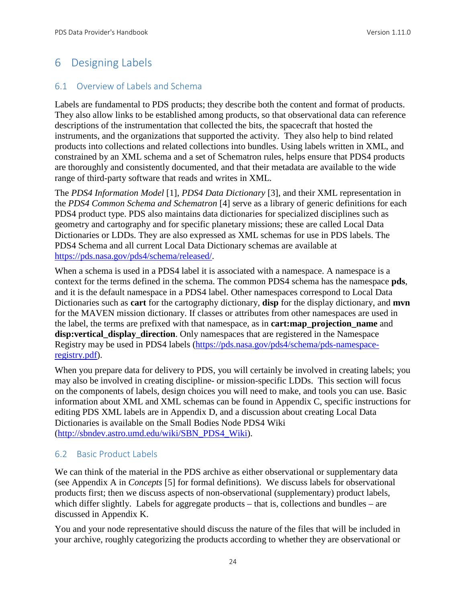## <span id="page-30-0"></span>6 Designing Labels

#### <span id="page-30-1"></span>6.1 Overview of Labels and Schema

Labels are fundamental to PDS products; they describe both the content and format of products. They also allow links to be established among products, so that observational data can reference descriptions of the instrumentation that collected the bits, the spacecraft that hosted the instruments, and the organizations that supported the activity. They also help to bind related products into collections and related collections into bundles. Using labels written in XML, and constrained by an XML schema and a set of Schematron rules, helps ensure that PDS4 products are thoroughly and consistently documented, and that their metadata are available to the wide range of third-party software that reads and writes in XML.

The *PDS4 Information Model* [1], *PDS4 Data Dictionary* [3], and their XML representation in the *PDS4 Common Schema and Schematron* [4] serve as a library of generic definitions for each PDS4 product type. PDS also maintains data dictionaries for specialized disciplines such as geometry and cartography and for specific planetary missions; these are called Local Data Dictionaries or LDDs. They are also expressed as XML schemas for use in PDS labels. The PDS4 Schema and all current Local Data Dictionary schemas are available at [https://pds.nasa.gov/pds4/schema/released/.](https://pds.nasa.gov/pds4/schema/released/)

When a schema is used in a PDS4 label it is associated with a namespace. A namespace is a context for the terms defined in the schema. The common PDS4 schema has the namespace **pds**, and it is the default namespace in a PDS4 label. Other namespaces correspond to Local Data Dictionaries such as **cart** for the cartography dictionary, **disp** for the display dictionary, and **mvn** for the MAVEN mission dictionary. If classes or attributes from other namespaces are used in the label, the terms are prefixed with that namespace, as in **cart:map\_projection\_name** and **disp:vertical\_display\_direction**. Only namespaces that are registered in the Namespace Registry may be used in PDS4 labels [\(https://pds.nasa.gov/pds4/schema/pds-namespace](https://pds.nasa.gov/pds4/schema/pds-namespace-registry.pdf)[registry.pdf\)](https://pds.nasa.gov/pds4/schema/pds-namespace-registry.pdf).

When you prepare data for delivery to PDS, you will certainly be involved in creating labels; you may also be involved in creating discipline- or mission-specific LDDs. This section will focus on the components of labels, design choices you will need to make, and tools you can use. Basic information about XML and XML schemas can be found in Appendix C, specific instructions for editing PDS XML labels are in Appendix D, and a discussion about creating Local Data Dictionaries is available on the Small Bodies Node PDS4 Wiki [\(http://sbndev.astro.umd.edu/wiki/SBN\\_PDS4\\_Wiki\)](http://sbndev.astro.umd.edu/wiki/SBN_PDS4_Wiki).

#### <span id="page-30-2"></span>6.2 Basic Product Labels

We can think of the material in the PDS archive as either observational or supplementary data (see Appendix A in *Concepts* [5] for formal definitions). We discuss labels for observational products first; then we discuss aspects of non-observational (supplementary) product labels, which differ slightly. Labels for aggregate products – that is, collections and bundles – are discussed in Appendix K.

You and your node representative should discuss the nature of the files that will be included in your archive, roughly categorizing the products according to whether they are observational or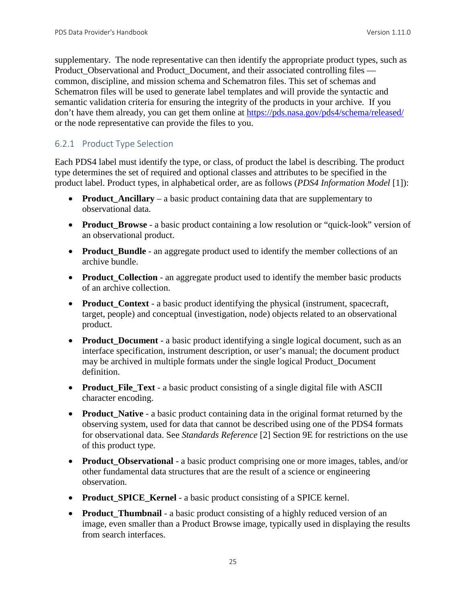supplementary. The node representative can then identify the appropriate product types, such as Product Observational and Product Document, and their associated controlling files common, discipline, and mission schema and Schematron files. This set of schemas and Schematron files will be used to generate label templates and will provide the syntactic and semantic validation criteria for ensuring the integrity of the products in your archive. If you don't have them already, you can get them online at<https://pds.nasa.gov/pds4/schema/released/> or the node representative can provide the files to you.

#### <span id="page-31-0"></span>6.2.1 Product Type Selection

Each PDS4 label must identify the type, or class, of product the label is describing. The product type determines the set of required and optional classes and attributes to be specified in the product label. Product types, in alphabetical order, are as follows (*PDS4 Information Model* [1]):

- **Product Ancillary** a basic product containing data that are supplementary to observational data.
- **Product\_Browse** a basic product containing a low resolution or "quick-look" version of an observational product.
- **Product\_Bundle** an aggregate product used to identify the member collections of an archive bundle.
- **Product Collection** an aggregate product used to identify the member basic products of an archive collection.
- **Product Context** a basic product identifying the physical (instrument, spacecraft, target, people) and conceptual (investigation, node) objects related to an observational product.
- **Product\_Document** a basic product identifying a single logical document, such as an interface specification, instrument description, or user's manual; the document product may be archived in multiple formats under the single logical Product\_Document definition.
- **Product File Text** a basic product consisting of a single digital file with ASCII character encoding.
- **Product\_Native** a basic product containing data in the original format returned by the observing system, used for data that cannot be described using one of the PDS4 formats for observational data. See *Standards Reference* [2] Section 9E for restrictions on the use of this product type.
- **Product\_Observational**  a basic product comprising one or more images, tables, and/or other fundamental data structures that are the result of a science or engineering observation.
- **Product\_SPICE\_Kernel** a basic product consisting of a SPICE kernel.
- **Product\_Thumbnail** a basic product consisting of a highly reduced version of an image, even smaller than a Product Browse image, typically used in displaying the results from search interfaces.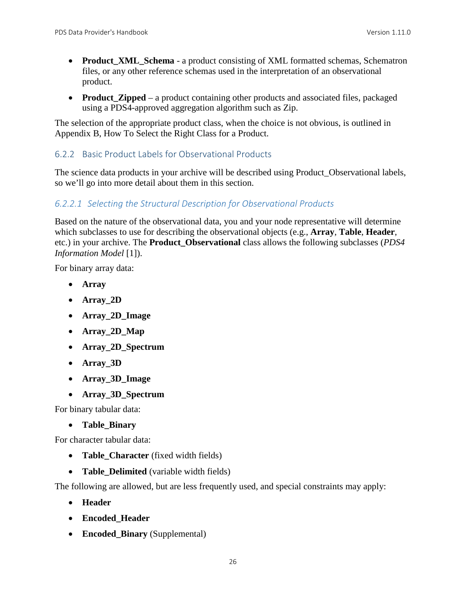- **Product\_XML\_Schema** a product consisting of XML formatted schemas, Schematron files, or any other reference schemas used in the interpretation of an observational product.
- **Product Zipped** a product containing other products and associated files, packaged using a PDS4-approved aggregation algorithm such as Zip.

The selection of the appropriate product class, when the choice is not obvious, is outlined in Appendix B, How To Select the Right Class for a Product.

#### <span id="page-32-0"></span>6.2.2 Basic Product Labels for Observational Products

The science data products in your archive will be described using Product\_Observational labels, so we'll go into more detail about them in this section.

#### *6.2.2.1 Selecting the Structural Description for Observational Products*

Based on the nature of the observational data, you and your node representative will determine which subclasses to use for describing the observational objects (e.g., **Array**, **Table**, **Header**, etc.) in your archive. The **Product\_Observational** class allows the following subclasses (*PDS4 Information Model* [1]).

For binary array data:

- **Array**
- **Array\_2D**
- **Array\_2D\_Image**
- **Array\_2D\_Map**
- **Array\_2D\_Spectrum**
- **Array\_3D**
- **Array\_3D\_Image**
- **Array\_3D\_Spectrum**

For binary tabular data:

• **Table\_Binary**

For character tabular data:

- **Table Character** (fixed width fields)
- **Table Delimited** (variable width fields)

The following are allowed, but are less frequently used, and special constraints may apply:

- **Header**
- **Encoded\_Header**
- **Encoded\_Binary** (Supplemental)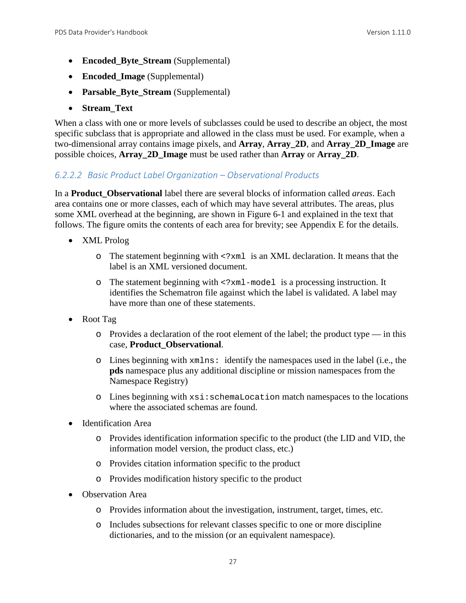- **Encoded\_Byte\_Stream** (Supplemental)
- **Encoded\_Image** (Supplemental)
- **Parsable\_Byte\_Stream** (Supplemental)
- **Stream\_Text**

When a class with one or more levels of subclasses could be used to describe an object, the most specific subclass that is appropriate and allowed in the class must be used. For example, when a two-dimensional array contains image pixels, and **Array**, **Array\_2D**, and **Array\_2D\_Image** are possible choices, **Array\_2D\_Image** must be used rather than **Array** or **Array\_2D**.

#### *6.2.2.2 Basic Product Label Organization – Observational Products*

In a **Product\_Observational** label there are several blocks of information called *areas*. Each area contains one or more classes, each of which may have several attributes. The areas, plus some XML overhead at the beginning, are shown in Figure 6-1 and explained in the text that follows. The figure omits the contents of each area for brevity; see Appendix E for the details.

- XML Prolog
	- o The statement beginning with <?xml is an XML declaration. It means that the label is an XML versioned document.
	- o The statement beginning with <?xml-model is a processing instruction. It identifies the Schematron file against which the label is validated. A label may have more than one of these statements.
- Root Tag
	- $\circ$  Provides a declaration of the root element of the label; the product type in this case, **Product\_Observational**.
	- o Lines beginning with xmlns: identify the namespaces used in the label (i.e., the **pds** namespace plus any additional discipline or mission namespaces from the Namespace Registry)
	- o Lines beginning with xsi:schemaLocation match namespaces to the locations where the associated schemas are found.
- Identification Area
	- o Provides identification information specific to the product (the LID and VID, the information model version, the product class, etc.)
	- o Provides citation information specific to the product
	- o Provides modification history specific to the product
- Observation Area
	- o Provides information about the investigation, instrument, target, times, etc.
	- o Includes subsections for relevant classes specific to one or more discipline dictionaries, and to the mission (or an equivalent namespace).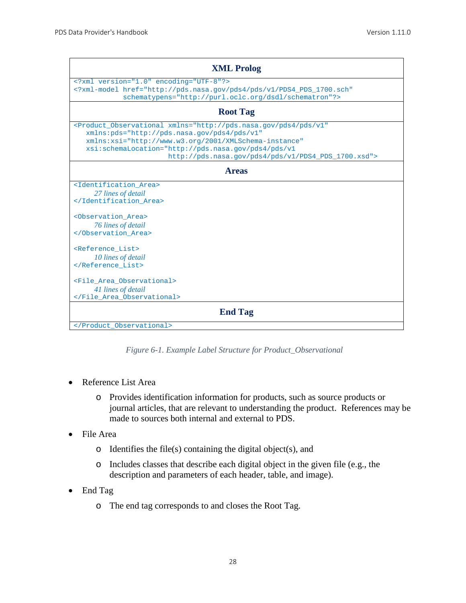| <b>XML Prolog</b>                                                                                                                                                                                                                                                                                            |
|--------------------------------------------------------------------------------------------------------------------------------------------------------------------------------------------------------------------------------------------------------------------------------------------------------------|
| xml version="1.0" encoding="UTF-8"?<br>xml-model href="http://pds.nasa.gov/pds4/pds/v1/PDS4_PDS_1700.sch"<br schematypens="http://purl.oclc.org/dsdl/schematron"?>                                                                                                                                           |
| <b>Root Tag</b>                                                                                                                                                                                                                                                                                              |
| <product <br="" observational="" xmlns="http://pds.nasa.qov/pds4/pds/v1">xmlns: pds="http://pds.nasa.qov/pds4/pds/v1"<br/>xmlns:xsi="http://www.w3.org/2001/XMLSchema-instance"<br/>xsi:schemaLocation="http://pds.nasa.qov/pds4/pds/vl<br/>http://pds.nasa.gov/pds4/pds/v1/PDS4_PDS_1700.xsd"&gt;</product> |
| <b>Areas</b>                                                                                                                                                                                                                                                                                                 |
| <identification area=""><br/>27 lines of detail<br/></identification><br><observation area=""><br/>76 lines of detail<br/></observation><br><reference list=""><br/>10 lines of detail<br/></reference><br><file area="" observational=""><br/>41 lines of detail<br/></file>                                |
| <b>End Tag</b>                                                                                                                                                                                                                                                                                               |
|                                                                                                                                                                                                                                                                                                              |

*Figure 6-1. Example Label Structure for Product\_Observational*

- Reference List Area
	- o Provides identification information for products, such as source products or journal articles, that are relevant to understanding the product. References may be made to sources both internal and external to PDS.
- File Area
	- $\circ$  Identifies the file(s) containing the digital object(s), and
	- o Includes classes that describe each digital object in the given file (e.g., the description and parameters of each header, table, and image).
- End Tag
	- o The end tag corresponds to and closes the Root Tag.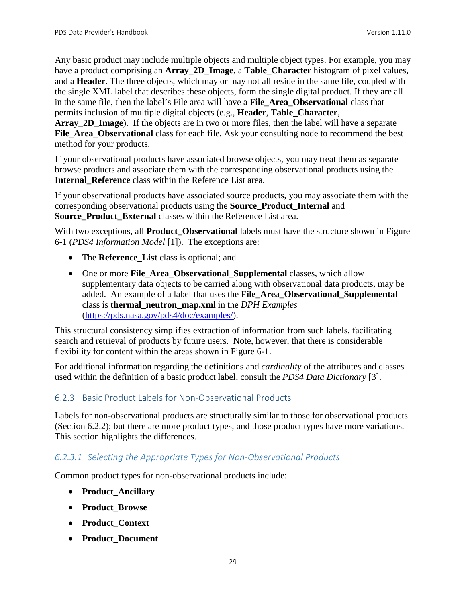Any basic product may include multiple objects and multiple object types. For example, you may have a product comprising an **Array\_2D\_Image**, a **Table\_Character** histogram of pixel values, and a **Header**. The three objects, which may or may not all reside in the same file, coupled with the single XML label that describes these objects, form the single digital product. If they are all in the same file, then the label's File area will have a **File\_Area\_Observational** class that permits inclusion of multiple digital objects (e.g., **Header**, **Table\_Character**,

Array 2D Image). If the objects are in two or more files, then the label will have a separate **File\_Area\_Observational** class for each file. Ask your consulting node to recommend the best method for your products.

If your observational products have associated browse objects, you may treat them as separate browse products and associate them with the corresponding observational products using the **Internal\_Reference** class within the Reference List area.

If your observational products have associated source products, you may associate them with the corresponding observational products using the **Source\_Product\_Internal** and **Source Product External classes within the Reference List area.** 

With two exceptions, all **Product\_Observational** labels must have the structure shown in Figure 6-1 (*PDS4 Information Model* [1]). The exceptions are:

- The **Reference** List class is optional; and
- One or more **File Area Observational Supplemental** classes, which allow supplementary data objects to be carried along with observational data products, may be added. An example of a label that uses the **File\_Area\_Observational\_Supplemental** class is **thermal\_neutron\_map.xml** in the *DPH Examples*  [\(https://pds.nasa.gov/pds4/doc/examples/\)](https://pds.nasa.gov/pds4/doc/examples/).

This structural consistency simplifies extraction of information from such labels, facilitating search and retrieval of products by future users. Note, however, that there is considerable flexibility for content within the areas shown in Figure 6-1.

For additional information regarding the definitions and *cardinality* of the attributes and classes used within the definition of a basic product label, consult the *PDS4 Data Dictionary* [3].

#### <span id="page-35-0"></span>6.2.3 Basic Product Labels for Non-Observational Products

Labels for non-observational products are structurally similar to those for observational products (Section 6.2.2); but there are more product types, and those product types have more variations. This section highlights the differences.

#### *6.2.3.1 Selecting the Appropriate Types for Non-Observational Products*

Common product types for non-observational products include:

- **Product\_Ancillary**
- **Product\_Browse**
- **Product\_Context**
- **Product\_Document**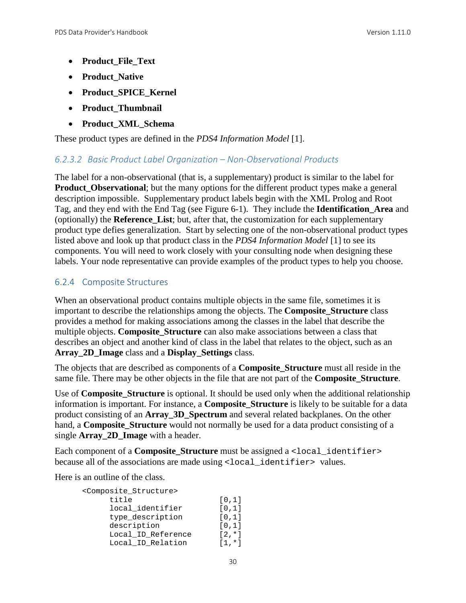- **Product\_File\_Text**
- **Product\_Native**
- **Product\_SPICE\_Kernel**
- **Product\_Thumbnail**
- **Product\_XML\_Schema**

These product types are defined in the *PDS4 Information Model* [1].

#### *6.2.3.2 Basic Product Label Organization – Non-Observational Products*

The label for a non-observational (that is, a supplementary) product is similar to the label for **Product\_Observational**; but the many options for the different product types make a general description impossible. Supplementary product labels begin with the XML Prolog and Root Tag, and they end with the End Tag (see Figure 6-1). They include the **Identification\_Area** and (optionally) the **Reference\_List**; but, after that, the customization for each supplementary product type defies generalization. Start by selecting one of the non-observational product types listed above and look up that product class in the *PDS4 Information Model* [1] to see its components. You will need to work closely with your consulting node when designing these labels. Your node representative can provide examples of the product types to help you choose.

#### 6.2.4 Composite Structures

When an observational product contains multiple objects in the same file, sometimes it is important to describe the relationships among the objects. The **Composite\_Structure** class provides a method for making associations among the classes in the label that describe the multiple objects. **Composite\_Structure** can also make associations between a class that describes an object and another kind of class in the label that relates to the object, such as an **Array\_2D\_Image** class and a **Display\_Settings** class.

The objects that are described as components of a **Composite\_Structure** must all reside in the same file. There may be other objects in the file that are not part of the **Composite\_Structure**.

Use of **Composite\_Structure** is optional. It should be used only when the additional relationship information is important. For instance, a **Composite\_Structure** is likely to be suitable for a data product consisting of an **Array\_3D\_Spectrum** and several related backplanes. On the other hand, a **Composite\_Structure** would not normally be used for a data product consisting of a single **Array\_2D\_Image** with a header.

Each component of a **Composite\_Structure** must be assigned a <local\_identifier> because all of the associations are made using <local identifier> values.

Here is an outline of the class.

| <composite structure=""></composite> |           |
|--------------------------------------|-----------|
| title                                | [0,1]     |
| local identifier                     | [0,1]     |
| type description                     | [0,1]     |
| description                          | [0,1]     |
| Local ID Reference                   | $12. * 1$ |
| Local ID Relation                    | $[1, *]$  |
|                                      |           |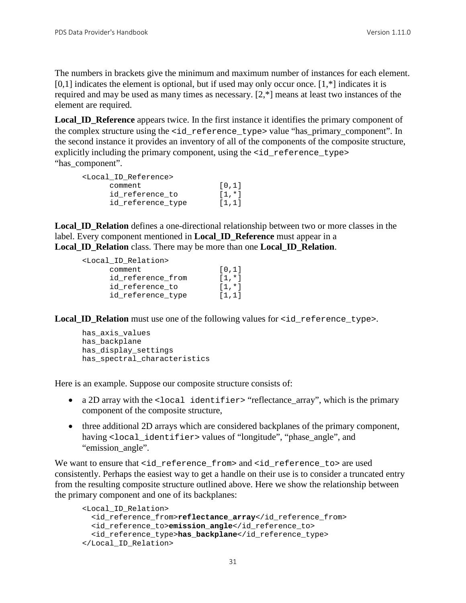The numbers in brackets give the minimum and maximum number of instances for each element.  $[0,1]$  indicates the element is optional, but if used may only occur once.  $[1, *]$  indicates it is required and may be used as many times as necessary. [2,\*] means at least two instances of the element are required.

**Local\_ID\_Reference** appears twice. In the first instance it identifies the primary component of the complex structure using the <id\_reference\_type> value "has\_primary\_component". In the second instance it provides an inventory of all of the components of the composite structure, explicitly including the primary component, using the  $\leq$  id\_reference\_type> "has\_component".

```
<Local_ID_Reference>
         \begin{array}{cc}\n\text{comment} & [0,1] \\
\text{id reference to} & [1,*]\n\end{array}id_reference_to [1,*]<br>id reference type [1,1]
          id_reference_type
```
**Local\_ID\_Relation** defines a one-directional relationship between two or more classes in the label. Every component mentioned in **Local\_ID\_Reference** must appear in a **Local\_ID\_Relation** class. There may be more than one **Local\_ID\_Relation**.

```
<Local_ID_Relation>
        \begin{align} \text{comment} & [0,1] \\ \text{id reference from} & [1,*] \end{align}id_reference_from [1,*]<br>id reference to [1,*]
        id reference to
        id_reference_type [1,1]
```
**Local ID Relation** must use one of the following values for  $\leq$  id reference type>.

```
has_axis_values
has backplane
has display settings
has_spectral_characteristics
```
Here is an example. Suppose our composite structure consists of:

- a 2D array with the <local identifier> "reflectance\_array", which is the primary component of the composite structure,
- three additional 2D arrays which are considered backplanes of the primary component, having <local\_identifier> values of "longitude", "phase\_angle", and "emission\_angle".

We want to ensure that <id\_reference\_from> and <id\_reference\_to> are used consistently. Perhaps the easiest way to get a handle on their use is to consider a truncated entry from the resulting composite structure outlined above. Here we show the relationship between the primary component and one of its backplanes:

```
<Local_ID_Relation>
   <id_reference_from>reflectance_array</id_reference_from> 
   <id_reference_to>emission_angle</id_reference_to>
   <id_reference_type>has_backplane</id_reference_type>
</Local_ID_Relation>
```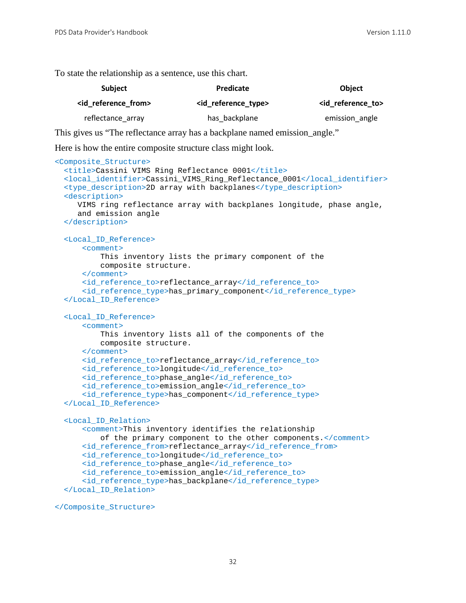To state the relationship as a sentence, use this chart.

| <b>Subject</b>                 | <b>Predicate</b>            | <b>Object</b>                |
|--------------------------------|-----------------------------|------------------------------|
| <id from="" reference=""></id> | <id reference_type=""></id> | <id reference="" to=""></id> |
| reflectance array              | has backplane               | emission angle               |

This gives us "The reflectance array has a backplane named emission\_angle."

Here is how the entire composite structure class might look.

```
<Composite_Structure>
 <title>Cassini VIMS Ring Reflectance 0001</title>
  <local_identifier>Cassini_VIMS_Ring_Reflectance_0001</local_identifier>
  <type_description>2D array with backplanes</type_description>
  <description>
     VIMS ring reflectance array with backplanes longitude, phase angle,
     and emission angle
  </description>
  <Local_ID_Reference>
       <comment>
           This inventory lists the primary component of the 
           composite structure.
       </comment>
       <id_reference_to>reflectance_array</id_reference_to>
       <id_reference_type>has_primary_component</id_reference_type>
  </Local_ID_Reference>
  <Local_ID_Reference>
       <comment>
           This inventory lists all of the components of the 
           composite structure.
       </comment>
       <id_reference_to>reflectance_array</id_reference_to>
       <id_reference_to>longitude</id_reference_to>
       <id_reference_to>phase_angle</id_reference_to>
       <id_reference_to>emission_angle</id_reference_to>
       <id_reference_type>has_component</id_reference_type>
  </Local_ID_Reference>
  <Local_ID_Relation>
       <comment>This inventory identifies the relationship
           of the primary component to the other components.</comment>
       <id_reference_from>reflectance_array</id_reference_from>
       <id_reference_to>longitude</id_reference_to>
       <id_reference_to>phase_angle</id_reference_to>
       <id_reference_to>emission_angle</id_reference_to>
       <id_reference_type>has_backplane</id_reference_type>
  </Local_ID_Relation>
```
</Composite\_Structure>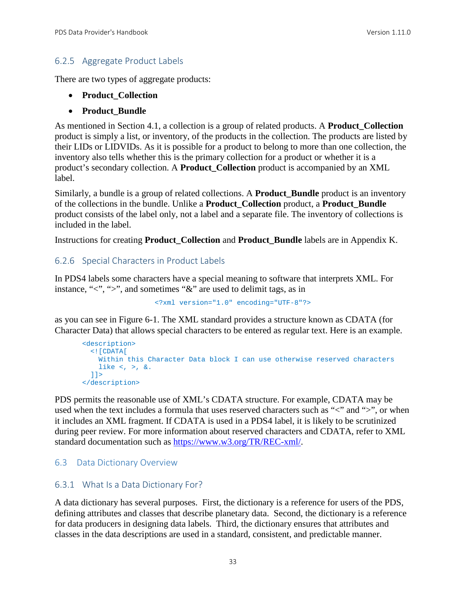#### 6.2.5 Aggregate Product Labels

There are two types of aggregate products:

- **Product\_Collection**
- **Product\_Bundle**

As mentioned in Section 4.1, a collection is a group of related products. A **Product\_Collection** product is simply a list, or inventory, of the products in the collection. The products are listed by their LIDs or LIDVIDs. As it is possible for a product to belong to more than one collection, the inventory also tells whether this is the primary collection for a product or whether it is a product's secondary collection. A **Product\_Collection** product is accompanied by an XML label.

Similarly, a bundle is a group of related collections. A **Product\_Bundle** product is an inventory of the collections in the bundle. Unlike a **Product\_Collection** product, a **Product\_Bundle** product consists of the label only, not a label and a separate file. The inventory of collections is included in the label.

Instructions for creating **Product\_Collection** and **Product\_Bundle** labels are in Appendix K.

#### 6.2.6 Special Characters in Product Labels

In PDS4 labels some characters have a special meaning to software that interprets XML. For instance, "<", ">", and sometimes "&" are used to delimit tags, as in

```
<?xml version="1.0" encoding="UTF-8"?>
```
as you can see in Figure 6-1. The XML standard provides a structure known as CDATA (for Character Data) that allows special characters to be entered as regular text. Here is an example.

```
<description>
   <![CDATA[
    Within this Character Data block I can use otherwise reserved characters 
    like \langle , \rangle, &.
  11</description>
```
PDS permits the reasonable use of XML's CDATA structure. For example, CDATA may be used when the text includes a formula that uses reserved characters such as "<" and ">", or when it includes an XML fragment. If CDATA is used in a PDS4 label, it is likely to be scrutinized during peer review. For more information about reserved characters and CDATA, refer to XML standard documentation such as [https://www.w3.org/TR/REC-xml/.](https://www.w3.org/TR/REC-xml/)

#### 6.3 Data Dictionary Overview

#### 6.3.1 What Is a Data Dictionary For?

A data dictionary has several purposes. First, the dictionary is a reference for users of the PDS, defining attributes and classes that describe planetary data. Second, the dictionary is a reference for data producers in designing data labels. Third, the dictionary ensures that attributes and classes in the data descriptions are used in a standard, consistent, and predictable manner.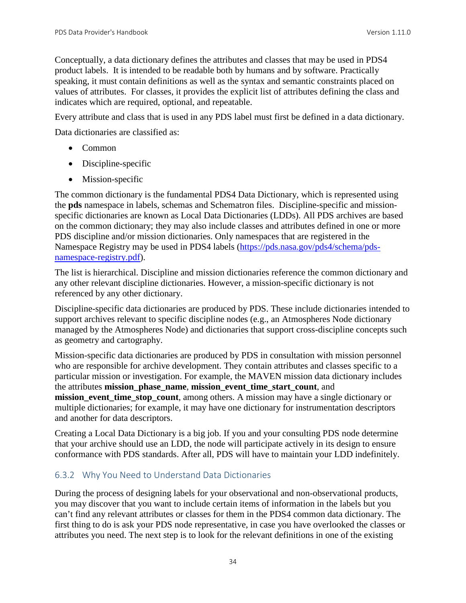Conceptually, a data dictionary defines the attributes and classes that may be used in PDS4 product labels. It is intended to be readable both by humans and by software. Practically speaking, it must contain definitions as well as the syntax and semantic constraints placed on values of attributes. For classes, it provides the explicit list of attributes defining the class and indicates which are required, optional, and repeatable.

Every attribute and class that is used in any PDS label must first be defined in a data dictionary.

Data dictionaries are classified as:

- Common
- Discipline-specific
- Mission-specific

The common dictionary is the fundamental PDS4 Data Dictionary, which is represented using the **pds** namespace in labels, schemas and Schematron files. Discipline-specific and missionspecific dictionaries are known as Local Data Dictionaries (LDDs). All PDS archives are based on the common dictionary; they may also include classes and attributes defined in one or more PDS discipline and/or mission dictionaries. Only namespaces that are registered in the Namespace Registry may be used in PDS4 labels [\(https://pds.nasa.gov/pds4/schema/pds](https://pds.nasa.gov/pds4/schema/pds-namespace-registry.pdf)[namespace-registry.pdf\)](https://pds.nasa.gov/pds4/schema/pds-namespace-registry.pdf).

The list is hierarchical. Discipline and mission dictionaries reference the common dictionary and any other relevant discipline dictionaries. However, a mission-specific dictionary is not referenced by any other dictionary.

Discipline-specific data dictionaries are produced by PDS. These include dictionaries intended to support archives relevant to specific discipline nodes (e.g., an Atmospheres Node dictionary managed by the Atmospheres Node) and dictionaries that support cross-discipline concepts such as geometry and cartography.

Mission-specific data dictionaries are produced by PDS in consultation with mission personnel who are responsible for archive development. They contain attributes and classes specific to a particular mission or investigation. For example, the MAVEN mission data dictionary includes the attributes **mission\_phase\_name**, **mission\_event\_time\_start\_count**, and **mission\_event\_time\_stop\_count**, among others. A mission may have a single dictionary or multiple dictionaries; for example, it may have one dictionary for instrumentation descriptors and another for data descriptors.

Creating a Local Data Dictionary is a big job. If you and your consulting PDS node determine that your archive should use an LDD, the node will participate actively in its design to ensure conformance with PDS standards. After all, PDS will have to maintain your LDD indefinitely.

#### 6.3.2 Why You Need to Understand Data Dictionaries

During the process of designing labels for your observational and non-observational products, you may discover that you want to include certain items of information in the labels but you can't find any relevant attributes or classes for them in the PDS4 common data dictionary. The first thing to do is ask your PDS node representative, in case you have overlooked the classes or attributes you need. The next step is to look for the relevant definitions in one of the existing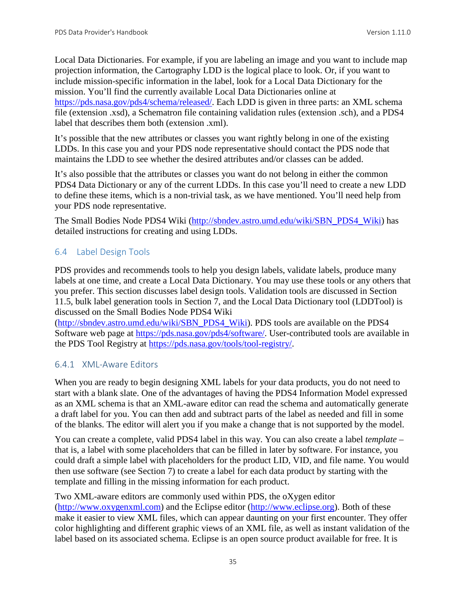Local Data Dictionaries. For example, if you are labeling an image and you want to include map projection information, the Cartography LDD is the logical place to look. Or, if you want to include mission-specific information in the label, look for a Local Data Dictionary for the mission. You'll find the currently available Local Data Dictionaries online at [https://pds.nasa.gov/pds4/schema/released/.](https://pds.nasa.gov/pds4/schema/released/) Each LDD is given in three parts: an XML schema file (extension .xsd), a Schematron file containing validation rules (extension .sch), and a PDS4 label that describes them both (extension .xml).

It's possible that the new attributes or classes you want rightly belong in one of the existing LDDs. In this case you and your PDS node representative should contact the PDS node that maintains the LDD to see whether the desired attributes and/or classes can be added.

It's also possible that the attributes or classes you want do not belong in either the common PDS4 Data Dictionary or any of the current LDDs. In this case you'll need to create a new LDD to define these items, which is a non-trivial task, as we have mentioned. You'll need help from your PDS node representative.

The Small Bodies Node PDS4 Wiki [\(http://sbndev.astro.umd.edu/wiki/SBN\\_PDS4\\_Wiki\)](http://sbndev.astro.umd.edu/wiki/SBN_PDS4_Wiki) has detailed instructions for creating and using LDDs.

# 6.4 Label Design Tools

PDS provides and recommends tools to help you design labels, validate labels, produce many labels at one time, and create a Local Data Dictionary. You may use these tools or any others that you prefer. This section discusses label design tools. Validation tools are discussed in Section 11.5, bulk label generation tools in Section 7, and the Local Data Dictionary tool (LDDTool) is discussed on the Small Bodies Node PDS4 Wiki

[\(http://sbndev.astro.umd.edu/wiki/SBN\\_PDS4\\_Wiki\)](http://sbndev.astro.umd.edu/wiki/SBN_PDS4_Wiki). PDS tools are available on the PDS4 Software web page at [https://pds.nasa.gov/pds4/software/.](https://pds.nasa.gov/pds4/software/) User-contributed tools are available in the PDS Tool Registry at [https://pds.nasa.gov/tools/tool-registry/.](https://pds.nasa.gov/tools/tool-registry/)

# 6.4.1 XML-Aware Editors

When you are ready to begin designing XML labels for your data products, you do not need to start with a blank slate. One of the advantages of having the PDS4 Information Model expressed as an XML schema is that an XML-aware editor can read the schema and automatically generate a draft label for you. You can then add and subtract parts of the label as needed and fill in some of the blanks. The editor will alert you if you make a change that is not supported by the model.

You can create a complete, valid PDS4 label in this way. You can also create a label *template* – that is, a label with some placeholders that can be filled in later by software. For instance, you could draft a simple label with placeholders for the product LID, VID, and file name. You would then use software (see Section 7) to create a label for each data product by starting with the template and filling in the missing information for each product.

Two XML-aware editors are commonly used within PDS, the oXygen editor [\(http://www.oxygenxml.com\)](http://www.oxygenxml.com/) and the Eclipse editor [\(http://www.eclipse.org\)](http://www.eclipse.org/). Both of these make it easier to view XML files, which can appear daunting on your first encounter. They offer color highlighting and different graphic views of an XML file, as well as instant validation of the label based on its associated schema. Eclipse is an open source product available for free. It is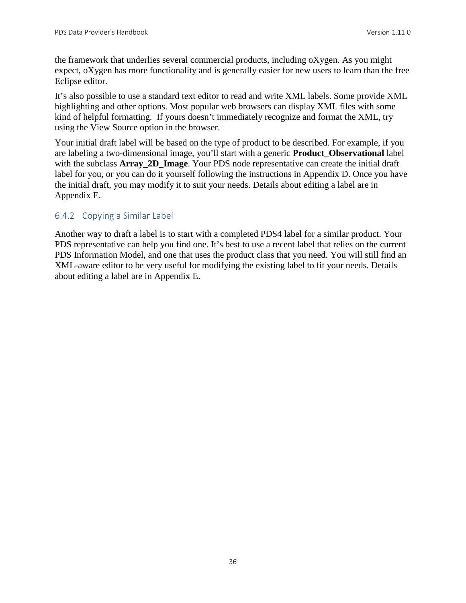the framework that underlies several commercial products, including oXygen. As you might expect, oXygen has more functionality and is generally easier for new users to learn than the free Eclipse editor.

It's also possible to use a standard text editor to read and write XML labels. Some provide XML highlighting and other options. Most popular web browsers can display XML files with some kind of helpful formatting. If yours doesn't immediately recognize and format the XML, try using the View Source option in the browser.

Your initial draft label will be based on the type of product to be described. For example, if you are labeling a two-dimensional image, you'll start with a generic **Product\_Observational** label with the subclass **Array** 2D Image. Your PDS node representative can create the initial draft label for you, or you can do it yourself following the instructions in Appendix D. Once you have the initial draft, you may modify it to suit your needs. Details about editing a label are in Appendix E.

# 6.4.2 Copying a Similar Label

Another way to draft a label is to start with a completed PDS4 label for a similar product. Your PDS representative can help you find one. It's best to use a recent label that relies on the current PDS Information Model, and one that uses the product class that you need. You will still find an XML-aware editor to be very useful for modifying the existing label to fit your needs. Details about editing a label are in Appendix E.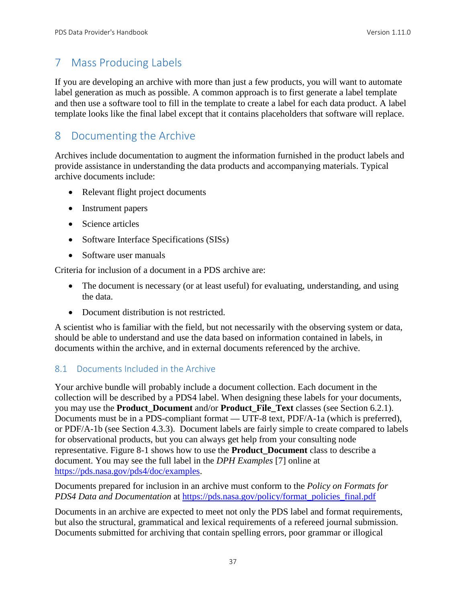# 7 Mass Producing Labels

If you are developing an archive with more than just a few products, you will want to automate label generation as much as possible. A common approach is to first generate a label template and then use a software tool to fill in the template to create a label for each data product. A label template looks like the final label except that it contains placeholders that software will replace.

# 8 Documenting the Archive

Archives include documentation to augment the information furnished in the product labels and provide assistance in understanding the data products and accompanying materials. Typical archive documents include:

- Relevant flight project documents
- Instrument papers
- Science articles
- Software Interface Specifications (SISs)
- Software user manuals

Criteria for inclusion of a document in a PDS archive are:

- The document is necessary (or at least useful) for evaluating, understanding, and using the data.
- Document distribution is not restricted.

A scientist who is familiar with the field, but not necessarily with the observing system or data, should be able to understand and use the data based on information contained in labels, in documents within the archive, and in external documents referenced by the archive.

#### 8.1 Documents Included in the Archive

Your archive bundle will probably include a document collection. Each document in the collection will be described by a PDS4 label. When designing these labels for your documents, you may use the **Product\_Document** and/or **Product\_File\_Text** classes (see Section 6.2.1). Documents must be in a PDS-compliant format — UTF-8 text, PDF/A-1a (which is preferred), or PDF/A-1b (see Section 4.3.3). Document labels are fairly simple to create compared to labels for observational products, but you can always get help from your consulting node representative. Figure 8-1 shows how to use the **Product\_Document** class to describe a document. You may see the full label in the *DPH Examples* [7] online at [https://pds.nasa.gov/pds4/doc/examples.](https://pds.nasa.gov/pds4/doc/examples)

Documents prepared for inclusion in an archive must conform to the *Policy on Formats for PDS4 Data and Documentation* at [https://pds.nasa.gov/policy/format\\_policies\\_final.pdf](http://pds.nasa.gov/policy/format_policies_final.pdf)

Documents in an archive are expected to meet not only the PDS label and format requirements, but also the structural, grammatical and lexical requirements of a refereed journal submission. Documents submitted for archiving that contain spelling errors, poor grammar or illogical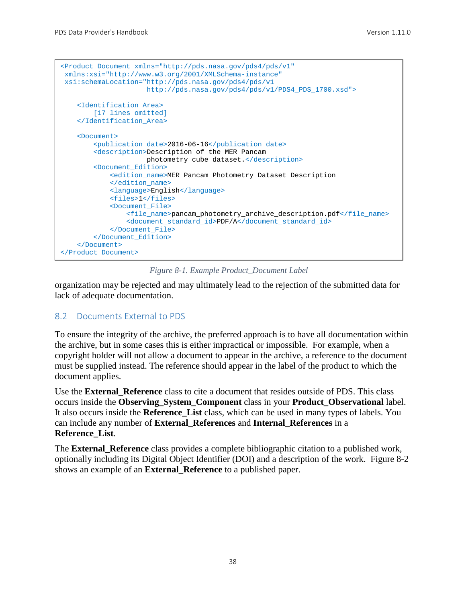```
<Product_Document xmlns="http://pds.nasa.gov/pds4/pds/v1"
xmlns:xsi="http://www.w3.org/2001/XMLSchema-instance"
xsi:schemaLocation="http://pds.nasa.gov/pds4/pds/v1 
                      http://pds.nasa.gov/pds4/pds/v1/PDS4_PDS_1700.xsd">
    <Identification_Area> 
       [17 lines omitted]
     </Identification_Area>
     <Document>
         <publication_date>2016-06-16</publication_date>
         <description>Description of the MER Pancam 
                      photometry cube dataset.</description>
         <Document_Edition>
            <edition_name>MER Pancam Photometry Dataset Description
             </edition_name>
             <language>English</language>
             <files>1</files>
             <Document_File>
                 <file_name>pancam_photometry_archive_description.pdf</file_name>
                 <document_standard_id>PDF/A</document_standard_id>
            </Document_File>
         </Document_Edition>
     </Document>
</Product_Document>
```
*Figure 8-1. Example Product\_Document Label*

organization may be rejected and may ultimately lead to the rejection of the submitted data for lack of adequate documentation.

#### 8.2 Documents External to PDS

To ensure the integrity of the archive, the preferred approach is to have all documentation within the archive, but in some cases this is either impractical or impossible. For example, when a copyright holder will not allow a document to appear in the archive, a reference to the document must be supplied instead. The reference should appear in the label of the product to which the document applies.

Use the **External\_Reference** class to cite a document that resides outside of PDS. This class occurs inside the **Observing\_System\_Component** class in your **Product\_Observational** label. It also occurs inside the **Reference\_List** class, which can be used in many types of labels. You can include any number of **External\_References** and **Internal\_References** in a **Reference\_List**.

The **External\_Reference** class provides a complete bibliographic citation to a published work, optionally including its Digital Object Identifier (DOI) and a description of the work. Figure 8-2 shows an example of an **External\_Reference** to a published paper.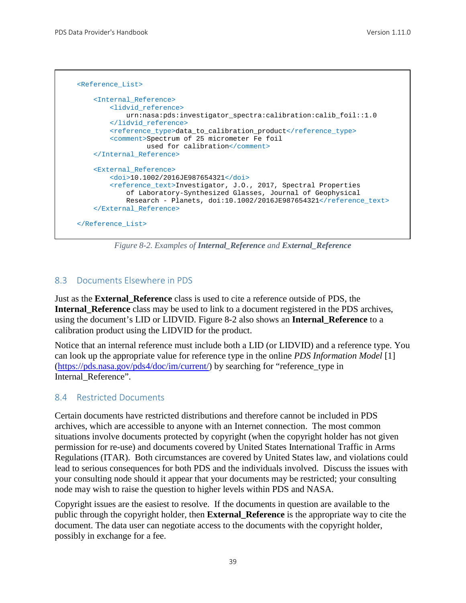```
 <Reference_List>
     <Internal_Reference>
        <lidvid_reference>
             urn:nasa:pds:investigator_spectra:calibration:calib_foil::1.0
        </lidvid_reference>
        <reference_type>data_to_calibration_product</reference_type>
        <comment>Spectrum of 25 micrometer Fe foil 
                  used for calibration</comment>
     </Internal_Reference>
     <External_Reference>
        <doi>10.1002/2016JE987654321</doi>
         <reference_text>Investigator, J.O., 2017, Spectral Properties 
             of Laboratory-Synthesized Glasses, Journal of Geophysical 
            Research - Planets, doi:10.1002/2016JE987654321</reference_text>
     </External_Reference>
 </Reference_List>
```
*Figure 8-2. Examples of Internal\_Reference and External\_Reference*

#### 8.3 Documents Elsewhere in PDS

Just as the **External\_Reference** class is used to cite a reference outside of PDS, the **Internal\_Reference** class may be used to link to a document registered in the PDS archives, using the document's LID or LIDVID. Figure 8-2 also shows an **Internal\_Reference** to a calibration product using the LIDVID for the product.

Notice that an internal reference must include both a LID (or LIDVID) and a reference type. You can look up the appropriate value for reference type in the online *PDS Information Model* [1] [\(https://pds.nasa.gov/pds4/doc/im/current/\)](https://pds.nasa.gov/pds4/doc/im/current/) by searching for "reference\_type in Internal Reference".

#### 8.4 Restricted Documents

Certain documents have restricted distributions and therefore cannot be included in PDS archives, which are accessible to anyone with an Internet connection. The most common situations involve documents protected by copyright (when the copyright holder has not given permission for re-use) and documents covered by United States International Traffic in Arms Regulations (ITAR). Both circumstances are covered by United States law, and violations could lead to serious consequences for both PDS and the individuals involved. Discuss the issues with your consulting node should it appear that your documents may be restricted; your consulting node may wish to raise the question to higher levels within PDS and NASA.

Copyright issues are the easiest to resolve. If the documents in question are available to the public through the copyright holder, then **External\_Reference** is the appropriate way to cite the document. The data user can negotiate access to the documents with the copyright holder, possibly in exchange for a fee.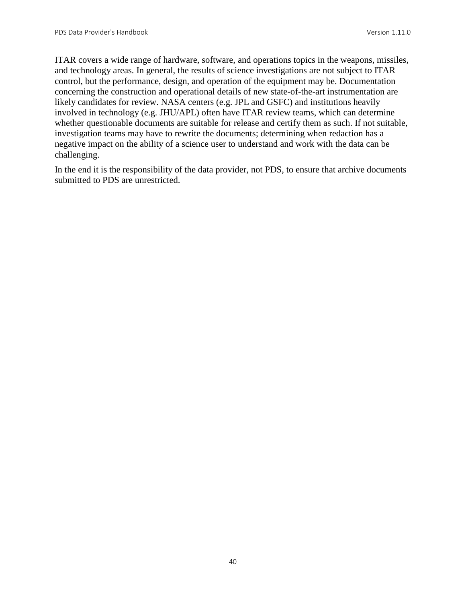ITAR covers a wide range of hardware, software, and operations topics in the weapons, missiles, and technology areas. In general, the results of science investigations are not subject to ITAR control, but the performance, design, and operation of the equipment may be. Documentation concerning the construction and operational details of new state-of-the-art instrumentation are likely candidates for review. NASA centers (e.g. JPL and GSFC) and institutions heavily involved in technology (e.g. JHU/APL) often have ITAR review teams, which can determine whether questionable documents are suitable for release and certify them as such. If not suitable, investigation teams may have to rewrite the documents; determining when redaction has a negative impact on the ability of a science user to understand and work with the data can be challenging.

In the end it is the responsibility of the data provider, not PDS, to ensure that archive documents submitted to PDS are unrestricted.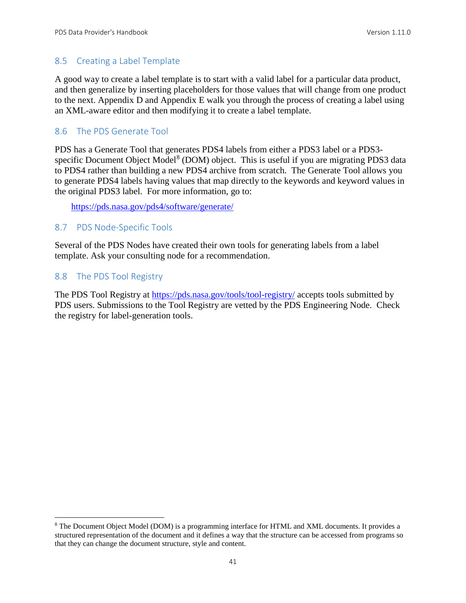#### 8.5 Creating a Label Template

A good way to create a label template is to start with a valid label for a particular data product, and then generalize by inserting placeholders for those values that will change from one product to the next. Appendix D and Appendix E walk you through the process of creating a label using an XML-aware editor and then modifying it to create a label template.

#### 8.6 The PDS Generate Tool

PDS has a Generate Tool that generates PDS4 labels from either a PDS3 label or a PDS3- specific Document Object Model<sup>[8](#page-47-0)</sup> (DOM) object. This is useful if you are migrating PDS3 data to PDS4 rather than building a new PDS4 archive from scratch. The Generate Tool allows you to generate PDS4 labels having values that map directly to the keywords and keyword values in the original PDS3 label. For more information, go to:

[https://pds.nasa.gov/pds4/software/generate/](http://pds.nasa.gov/pds4/software/generate/)

#### 8.7 PDS Node-Specific Tools

Several of the PDS Nodes have created their own tools for generating labels from a label template. Ask your consulting node for a recommendation.

#### 8.8 The PDS Tool Registry

The PDS Tool Registry at<https://pds.nasa.gov/tools/tool-registry/> accepts tools submitted by PDS users. Submissions to the Tool Registry are vetted by the PDS Engineering Node. Check the registry for label-generation tools.

<span id="page-47-0"></span> <sup>8</sup> The Document Object Model (DOM) is a programming interface for HTML and XML documents. It provides a structured representation of the document and it defines a way that the structure can be accessed from programs so that they can change the document structure, style and content.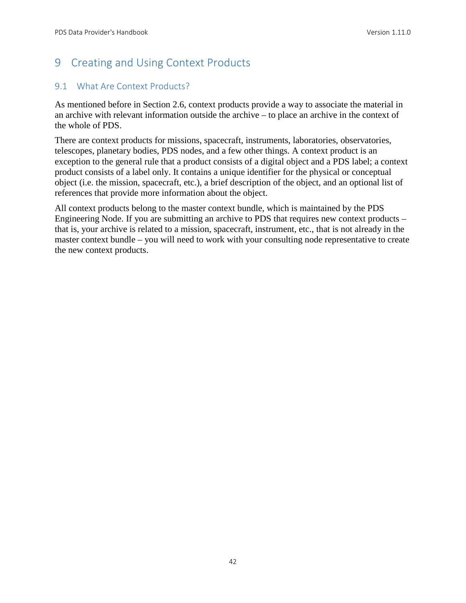# 9 Creating and Using Context Products

## 9.1 What Are Context Products?

As mentioned before in Section 2.6, context products provide a way to associate the material in an archive with relevant information outside the archive – to place an archive in the context of the whole of PDS.

There are context products for missions, spacecraft, instruments, laboratories, observatories, telescopes, planetary bodies, PDS nodes, and a few other things. A context product is an exception to the general rule that a product consists of a digital object and a PDS label; a context product consists of a label only. It contains a unique identifier for the physical or conceptual object (i.e. the mission, spacecraft, etc.), a brief description of the object, and an optional list of references that provide more information about the object.

All context products belong to the master context bundle, which is maintained by the PDS Engineering Node. If you are submitting an archive to PDS that requires new context products – that is, your archive is related to a mission, spacecraft, instrument, etc., that is not already in the master context bundle – you will need to work with your consulting node representative to create the new context products.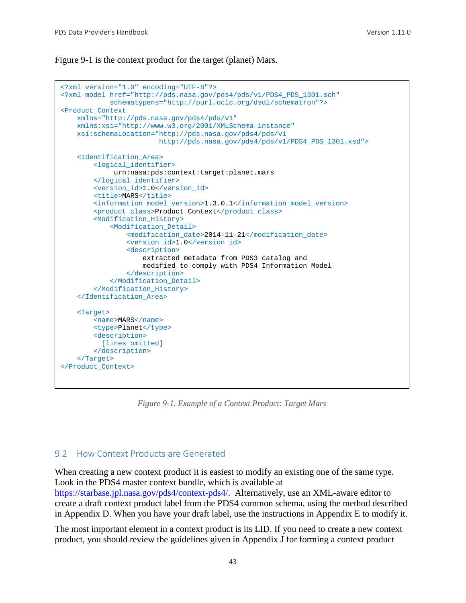Figure 9-1 is the context product for the target (planet) Mars.

```
<?xml version="1.0" encoding="UTF-8"?>
<?xml-model href="http://pds.nasa.gov/pds4/pds/v1/PDS4_PDS_1301.sch"
             schematypens="http://purl.oclc.org/dsdl/schematron"?>
<Product_Context 
    xmlns="http://pds.nasa.gov/pds4/pds/v1"
    xmlns:xsi="http://www.w3.org/2001/XMLSchema-instance"
    xsi:schemaLocation="http://pds.nasa.gov/pds4/pds/v1 
                         http://pds.nasa.gov/pds4/pds/v1/PDS4_PDS_1301.xsd">
     <Identification_Area>
         <logical_identifier>
              urn:nasa:pds:context:target:planet.mars
         </logical_identifier>
         <version_id>1.0</version_id>
        <title>MARS</title>
         <information_model_version>1.3.0.1</information_model_version>
         <product_class>Product_Context</product_class>
         <Modification_History>
             <Modification_Detail>
                 <modification_date>2014-11-21</modification_date>
                 <version_id>1.0</version_id>
                 <description>
                     extracted metadata from PDS3 catalog and
                    modified to comply with PDS4 Information Model
                 </description>
             </Modification_Detail>
         </Modification_History>
     </Identification_Area>
     <Target>
        <name>MARS</name>
         <type>Planet</type>
         <description>
          [lines omitted]
        </description>
     </Target>
</Product_Context>
```
*Figure 9-1. Example of a Context Product: Target Mars*

# 9.2 How Context Products are Generated

When creating a new context product it is easiest to modify an existing one of the same type. Look in the PDS4 master context bundle, which is available at [https://starbase.jpl.nasa.gov/pds4/context-pds4/.](https://starbase.jpl.nasa.gov/pds4/context-pds4/) Alternatively, use an XML-aware editor to create a draft context product label from the PDS4 common schema, using the method described in Appendix D. When you have your draft label, use the instructions in Appendix E to modify it.

The most important element in a context product is its LID. If you need to create a new context product, you should review the guidelines given in Appendix J for forming a context product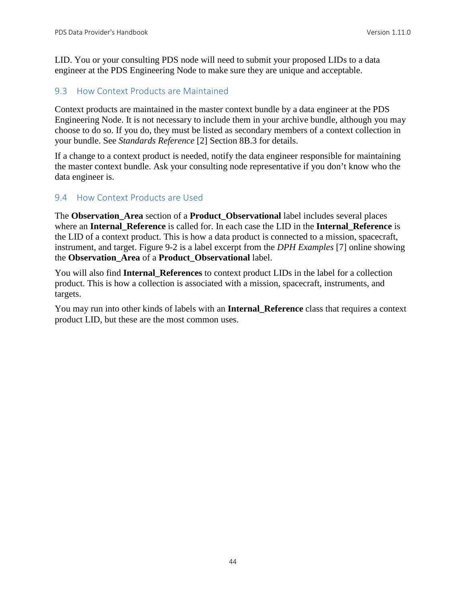LID. You or your consulting PDS node will need to submit your proposed LIDs to a data engineer at the PDS Engineering Node to make sure they are unique and acceptable.

#### 9.3 How Context Products are Maintained

Context products are maintained in the master context bundle by a data engineer at the PDS Engineering Node. It is not necessary to include them in your archive bundle, although you may choose to do so. If you do, they must be listed as secondary members of a context collection in your bundle. See *Standards Reference* [2] Section 8B.3 for details.

If a change to a context product is needed, notify the data engineer responsible for maintaining the master context bundle. Ask your consulting node representative if you don't know who the data engineer is.

#### 9.4 How Context Products are Used

The **Observation\_Area** section of a **Product\_Observational** label includes several places where an **Internal\_Reference** is called for. In each case the LID in the **Internal\_Reference** is the LID of a context product. This is how a data product is connected to a mission, spacecraft, instrument, and target. Figure 9-2 is a label excerpt from the *DPH Examples* [7] online showing the **Observation\_Area** of a **Product\_Observational** label.

You will also find **Internal\_References** to context product LIDs in the label for a collection product. This is how a collection is associated with a mission, spacecraft, instruments, and targets.

You may run into other kinds of labels with an **Internal\_Reference** class that requires a context product LID, but these are the most common uses.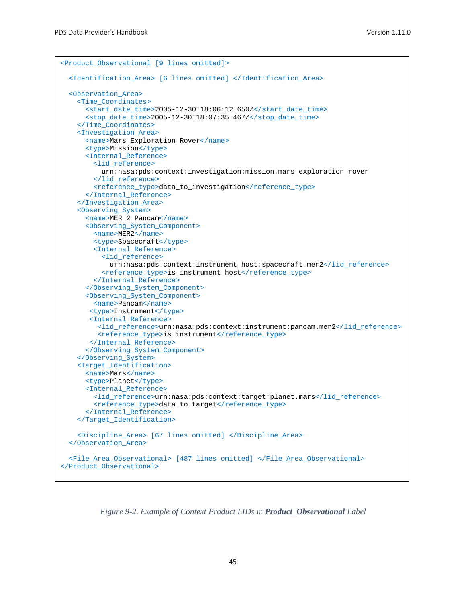```
<Product_Observational [9 lines omitted]>
   <Identification_Area> [6 lines omitted] </Identification_Area>
  <Observation_Area>
    <Time_Coordinates>
      <start_date_time>2005-12-30T18:06:12.650Z</start_date_time>
       <stop_date_time>2005-12-30T18:07:35.467Z</stop_date_time>
     </Time_Coordinates>
     <Investigation_Area>
       <name>Mars Exploration Rover</name>
       <type>Mission</type>
       <Internal_Reference>
         <lid_reference>
           urn:nasa:pds:context:investigation:mission.mars_exploration_rover
         </lid_reference>
         <reference_type>data_to_investigation</reference_type>
      </Internal_Reference>
     </Investigation_Area>
     <Observing_System>
     <name>MER 2 Pancam</name>
      <Observing_System_Component>
        <name>MER2</name>
         <type>Spacecraft</type>
         <Internal_Reference>
           <lid_reference>
             urn:nasa:pds:context:instrument_host:spacecraft.mer2</lid_reference>
           <reference_type>is_instrument_host</reference_type>
         </Internal_Reference>
       </Observing_System_Component>
       <Observing_System_Component>
         <name>Pancam</name>
        <type>Instrument</type>
        <Internal_Reference>
          <lid_reference>urn:nasa:pds:context:instrument:pancam.mer2</lid_reference>
          <reference_type>is_instrument</reference_type>
        </Internal_Reference>
       </Observing_System_Component>
     </Observing_System>
     <Target_Identification>
       <name>Mars</name>
       <type>Planet</type>
       <Internal_Reference>
         <lid_reference>urn:nasa:pds:context:target:planet.mars</lid_reference>
         <reference_type>data_to_target</reference_type>
       </Internal_Reference>
     </Target_Identification>
     <Discipline_Area> [67 lines omitted] </Discipline_Area>
   </Observation_Area>
   <File_Area_Observational> [487 lines omitted] </File_Area_Observational>
</Product_Observational>
```
*Figure 9-2. Example of Context Product LIDs in Product\_Observational Label*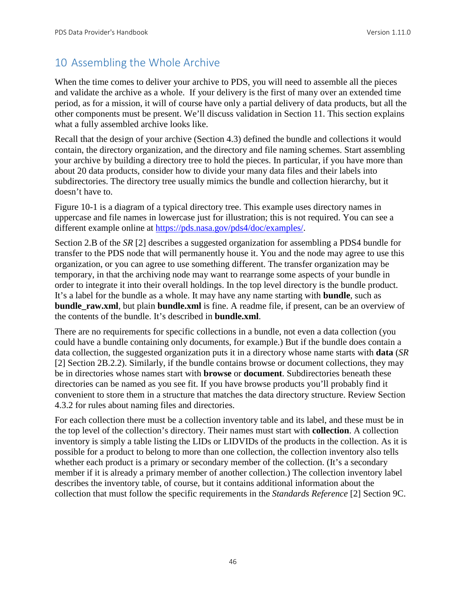# 10 Assembling the Whole Archive

When the time comes to deliver your archive to PDS, you will need to assemble all the pieces and validate the archive as a whole. If your delivery is the first of many over an extended time period, as for a mission, it will of course have only a partial delivery of data products, but all the other components must be present. We'll discuss validation in Section 11. This section explains what a fully assembled archive looks like.

Recall that the design of your archive (Section 4.3) defined the bundle and collections it would contain, the directory organization, and the directory and file naming schemes. Start assembling your archive by building a directory tree to hold the pieces. In particular, if you have more than about 20 data products, consider how to divide your many data files and their labels into subdirectories. The directory tree usually mimics the bundle and collection hierarchy, but it doesn't have to.

Figure 10-1 is a diagram of a typical directory tree. This example uses directory names in uppercase and file names in lowercase just for illustration; this is not required. You can see a different example online at [https://pds.nasa.gov/pds4/doc/examples/.](https://pds.nasa.gov/pds4/doc/examples/)

Section 2.B of the *SR* [2] describes a suggested organization for assembling a PDS4 bundle for transfer to the PDS node that will permanently house it. You and the node may agree to use this organization, or you can agree to use something different. The transfer organization may be temporary, in that the archiving node may want to rearrange some aspects of your bundle in order to integrate it into their overall holdings. In the top level directory is the bundle product. It's a label for the bundle as a whole. It may have any name starting with **bundle**, such as **bundle raw.xml**, but plain **bundle.xml** is fine. A readme file, if present, can be an overview of the contents of the bundle. It's described in **bundle.xml**.

There are no requirements for specific collections in a bundle, not even a data collection (you could have a bundle containing only documents, for example.) But if the bundle does contain a data collection, the suggested organization puts it in a directory whose name starts with **data** (*SR* [2] Section 2B.2.2). Similarly, if the bundle contains browse or document collections, they may be in directories whose names start with **browse** or **document**. Subdirectories beneath these directories can be named as you see fit. If you have browse products you'll probably find it convenient to store them in a structure that matches the data directory structure. Review Section 4.3.2 for rules about naming files and directories.

For each collection there must be a collection inventory table and its label, and these must be in the top level of the collection's directory. Their names must start with **collection**. A collection inventory is simply a table listing the LIDs or LIDVIDs of the products in the collection. As it is possible for a product to belong to more than one collection, the collection inventory also tells whether each product is a primary or secondary member of the collection. (It's a secondary member if it is already a primary member of another collection.) The collection inventory label describes the inventory table, of course, but it contains additional information about the collection that must follow the specific requirements in the *Standards Reference* [2] Section 9C.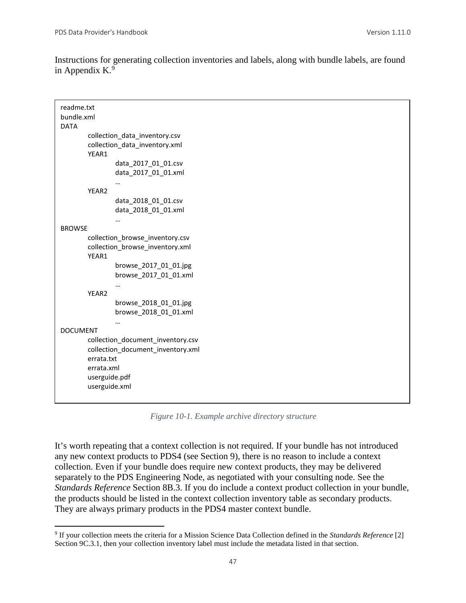Instructions for generating collection inventories and labels, along with bundle labels, are found in Appendix K. $9$ 

| readme.txt<br>bundle.xml<br><b>DATA</b>                                                                                                                 |  |
|---------------------------------------------------------------------------------------------------------------------------------------------------------|--|
| collection_data_inventory.csv<br>collection_data_inventory.xml<br>YEAR1                                                                                 |  |
| data_2017_01_01.csv<br>data_2017_01_01.xml                                                                                                              |  |
| YEAR2<br>data_2018_01_01.csv<br>data 2018 01 01.xml                                                                                                     |  |
| <br><b>BROWSE</b>                                                                                                                                       |  |
| collection_browse_inventory.csv<br>collection_browse_inventory.xml<br>YEAR1<br>browse_2017_01_01.jpg<br>browse_2017_01_01.xml<br><br>YEAR2              |  |
| browse_2018_01_01.jpg<br>browse_2018_01_01.xml<br>                                                                                                      |  |
| <b>DOCUMENT</b><br>collection_document_inventory.csv<br>collection_document_inventory.xml<br>errata.txt<br>errata.xml<br>userguide.pdf<br>userguide.xml |  |

*Figure 10-1. Example archive directory structure*

It's worth repeating that a context collection is not required. If your bundle has not introduced any new context products to PDS4 (see Section 9), there is no reason to include a context collection. Even if your bundle does require new context products, they may be delivered separately to the PDS Engineering Node, as negotiated with your consulting node. See the *Standards Reference* Section 8B.3. If you do include a context product collection in your bundle, the products should be listed in the context collection inventory table as secondary products. They are always primary products in the PDS4 master context bundle.

<span id="page-53-0"></span> <sup>9</sup> If your collection meets the criteria for a Mission Science Data Collection defined in the *Standards Reference* [2] Section 9C.3.1, then your collection inventory label must include the metadata listed in that section.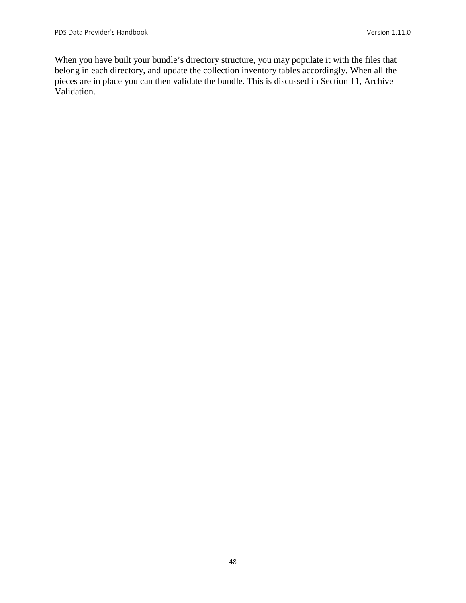When you have built your bundle's directory structure, you may populate it with the files that belong in each directory, and update the collection inventory tables accordingly. When all the pieces are in place you can then validate the bundle. This is discussed in Section 11, Archive Validation.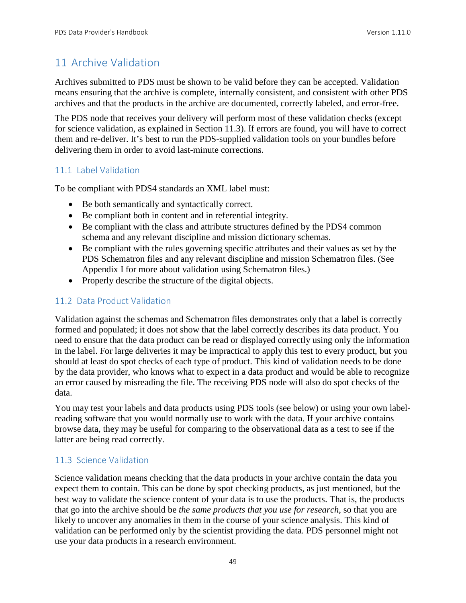# 11 Archive Validation

Archives submitted to PDS must be shown to be valid before they can be accepted. Validation means ensuring that the archive is complete, internally consistent, and consistent with other PDS archives and that the products in the archive are documented, correctly labeled, and error-free.

The PDS node that receives your delivery will perform most of these validation checks (except for science validation, as explained in Section 11.3). If errors are found, you will have to correct them and re-deliver. It's best to run the PDS-supplied validation tools on your bundles before delivering them in order to avoid last-minute corrections.

#### 11.1 Label Validation

To be compliant with PDS4 standards an XML label must:

- Be both semantically and syntactically correct.
- Be compliant both in content and in referential integrity.
- Be compliant with the class and attribute structures defined by the PDS4 common schema and any relevant discipline and mission dictionary schemas.
- Be compliant with the rules governing specific attributes and their values as set by the PDS Schematron files and any relevant discipline and mission Schematron files. (See Appendix I for more about validation using Schematron files.)
- Properly describe the structure of the digital objects.

#### 11.2 Data Product Validation

Validation against the schemas and Schematron files demonstrates only that a label is correctly formed and populated; it does not show that the label correctly describes its data product. You need to ensure that the data product can be read or displayed correctly using only the information in the label. For large deliveries it may be impractical to apply this test to every product, but you should at least do spot checks of each type of product. This kind of validation needs to be done by the data provider, who knows what to expect in a data product and would be able to recognize an error caused by misreading the file. The receiving PDS node will also do spot checks of the data.

You may test your labels and data products using PDS tools (see below) or using your own labelreading software that you would normally use to work with the data. If your archive contains browse data, they may be useful for comparing to the observational data as a test to see if the latter are being read correctly.

#### 11.3 Science Validation

Science validation means checking that the data products in your archive contain the data you expect them to contain. This can be done by spot checking products, as just mentioned, but the best way to validate the science content of your data is to use the products. That is, the products that go into the archive should be *the same products that you use for research*, so that you are likely to uncover any anomalies in them in the course of your science analysis. This kind of validation can be performed only by the scientist providing the data. PDS personnel might not use your data products in a research environment.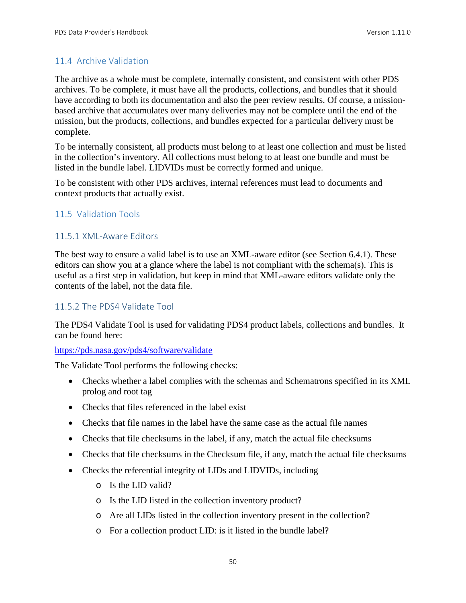#### 11.4 Archive Validation

The archive as a whole must be complete, internally consistent, and consistent with other PDS archives. To be complete, it must have all the products, collections, and bundles that it should have according to both its documentation and also the peer review results. Of course, a missionbased archive that accumulates over many deliveries may not be complete until the end of the mission, but the products, collections, and bundles expected for a particular delivery must be complete.

To be internally consistent, all products must belong to at least one collection and must be listed in the collection's inventory. All collections must belong to at least one bundle and must be listed in the bundle label. LIDVIDs must be correctly formed and unique.

To be consistent with other PDS archives, internal references must lead to documents and context products that actually exist.

#### 11.5 Validation Tools

#### 11.5.1 XML-Aware Editors

The best way to ensure a valid label is to use an XML-aware editor (see Section 6.4.1). These editors can show you at a glance where the label is not compliant with the schema(s). This is useful as a first step in validation, but keep in mind that XML-aware editors validate only the contents of the label, not the data file.

#### 11.5.2 The PDS4 Validate Tool

The PDS4 Validate Tool is used for validating PDS4 product labels, collections and bundles. It can be found here:

#### [https://pds.nasa.gov/pds4/software/validate](http://pds.nasa.gov/pds4/software/validate)

The Validate Tool performs the following checks:

- Checks whether a label complies with the schemas and Schematrons specified in its XML prolog and root tag
- Checks that files referenced in the label exist
- Checks that file names in the label have the same case as the actual file names
- Checks that file checksums in the label, if any, match the actual file checksums
- Checks that file checksums in the Checksum file, if any, match the actual file checksums
- Checks the referential integrity of LIDs and LIDVIDs, including
	- o Is the LID valid?
	- o Is the LID listed in the collection inventory product?
	- o Are all LIDs listed in the collection inventory present in the collection?
	- o For a collection product LID: is it listed in the bundle label?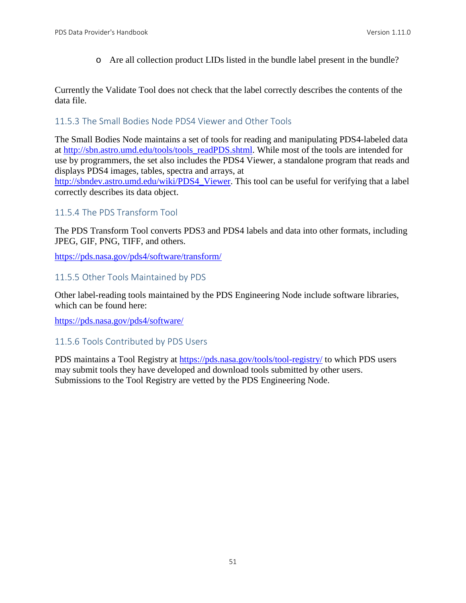o Are all collection product LIDs listed in the bundle label present in the bundle?

Currently the Validate Tool does not check that the label correctly describes the contents of the data file.

### 11.5.3 The Small Bodies Node PDS4 Viewer and Other Tools

The Small Bodies Node maintains a set of tools for reading and manipulating PDS4-labeled data at [http://sbn.astro.umd.edu/tools/tools\\_readPDS.shtml.](http://sbn.astro.umd.edu/tools/tools_readPDS.shtml) While most of the tools are intended for use by programmers, the set also includes the PDS4 Viewer, a standalone program that reads and displays PDS4 images, tables, spectra and arrays, at

[http://sbndev.astro.umd.edu/wiki/PDS4\\_Viewer.](http://sbndev.astro.umd.edu/wiki/PDS4_Viewer) This tool can be useful for verifying that a label correctly describes its data object.

#### 11.5.4 The PDS Transform Tool

The PDS Transform Tool converts PDS3 and PDS4 labels and data into other formats, including JPEG, GIF, PNG, TIFF, and others.

<https://pds.nasa.gov/pds4/software/transform/>

#### 11.5.5 Other Tools Maintained by PDS

Other label-reading tools maintained by the PDS Engineering Node include software libraries, which can be found here:

[https://pds.nasa.gov/pds4/software/](http://pds.nasa.gov/pds4/software/)

# 11.5.6 Tools Contributed by PDS Users

PDS maintains a Tool Registry at<https://pds.nasa.gov/tools/tool-registry/> to which PDS users may submit tools they have developed and download tools submitted by other users. Submissions to the Tool Registry are vetted by the PDS Engineering Node.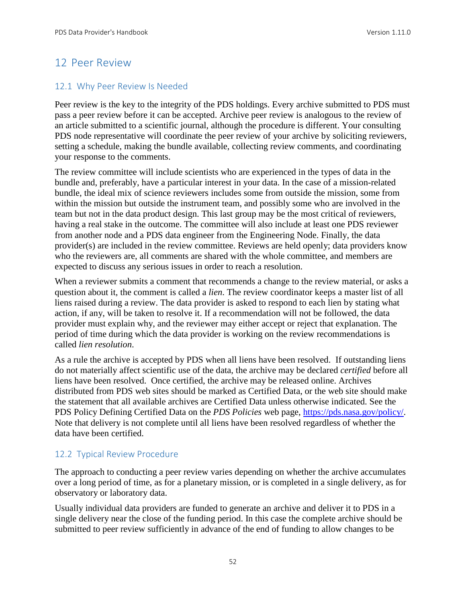# 12 Peer Review

#### 12.1 Why Peer Review Is Needed

Peer review is the key to the integrity of the PDS holdings. Every archive submitted to PDS must pass a peer review before it can be accepted. Archive peer review is analogous to the review of an article submitted to a scientific journal, although the procedure is different. Your consulting PDS node representative will coordinate the peer review of your archive by soliciting reviewers, setting a schedule, making the bundle available, collecting review comments, and coordinating your response to the comments.

The review committee will include scientists who are experienced in the types of data in the bundle and, preferably, have a particular interest in your data. In the case of a mission-related bundle, the ideal mix of science reviewers includes some from outside the mission, some from within the mission but outside the instrument team, and possibly some who are involved in the team but not in the data product design. This last group may be the most critical of reviewers, having a real stake in the outcome. The committee will also include at least one PDS reviewer from another node and a PDS data engineer from the Engineering Node. Finally, the data provider(s) are included in the review committee. Reviews are held openly; data providers know who the reviewers are, all comments are shared with the whole committee, and members are expected to discuss any serious issues in order to reach a resolution.

When a reviewer submits a comment that recommends a change to the review material, or asks a question about it, the comment is called a *lien*. The review coordinator keeps a master list of all liens raised during a review. The data provider is asked to respond to each lien by stating what action, if any, will be taken to resolve it. If a recommendation will not be followed, the data provider must explain why, and the reviewer may either accept or reject that explanation. The period of time during which the data provider is working on the review recommendations is called *lien resolution*.

As a rule the archive is accepted by PDS when all liens have been resolved. If outstanding liens do not materially affect scientific use of the data, the archive may be declared *certified* before all liens have been resolved. Once certified, the archive may be released online. Archives distributed from PDS web sites should be marked as Certified Data, or the web site should make the statement that all available archives are Certified Data unless otherwise indicated. See the PDS Policy Defining Certified Data on the *PDS Policies* web page, [https://pds.nasa.gov/policy/.](https://pds.nasa.gov/policy/) Note that delivery is not complete until all liens have been resolved regardless of whether the data have been certified.

#### 12.2 Typical Review Procedure

The approach to conducting a peer review varies depending on whether the archive accumulates over a long period of time, as for a planetary mission, or is completed in a single delivery, as for observatory or laboratory data.

Usually individual data providers are funded to generate an archive and deliver it to PDS in a single delivery near the close of the funding period. In this case the complete archive should be submitted to peer review sufficiently in advance of the end of funding to allow changes to be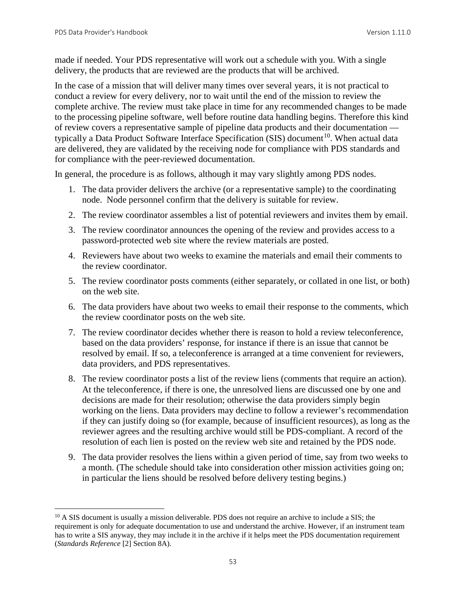made if needed. Your PDS representative will work out a schedule with you. With a single delivery, the products that are reviewed are the products that will be archived.

In the case of a mission that will deliver many times over several years, it is not practical to conduct a review for every delivery, nor to wait until the end of the mission to review the complete archive. The review must take place in time for any recommended changes to be made to the processing pipeline software, well before routine data handling begins. Therefore this kind of review covers a representative sample of pipeline data products and their documentation typically a Data Product Software Interface Specification (SIS) document<sup>10</sup>. When actual data are delivered, they are validated by the receiving node for compliance with PDS standards and for compliance with the peer-reviewed documentation.

In general, the procedure is as follows, although it may vary slightly among PDS nodes.

- 1. The data provider delivers the archive (or a representative sample) to the coordinating node. Node personnel confirm that the delivery is suitable for review.
- 2. The review coordinator assembles a list of potential reviewers and invites them by email.
- 3. The review coordinator announces the opening of the review and provides access to a password-protected web site where the review materials are posted.
- 4. Reviewers have about two weeks to examine the materials and email their comments to the review coordinator.
- 5. The review coordinator posts comments (either separately, or collated in one list, or both) on the web site.
- 6. The data providers have about two weeks to email their response to the comments, which the review coordinator posts on the web site.
- 7. The review coordinator decides whether there is reason to hold a review teleconference, based on the data providers' response, for instance if there is an issue that cannot be resolved by email. If so, a teleconference is arranged at a time convenient for reviewers, data providers, and PDS representatives.
- 8. The review coordinator posts a list of the review liens (comments that require an action). At the teleconference, if there is one, the unresolved liens are discussed one by one and decisions are made for their resolution; otherwise the data providers simply begin working on the liens. Data providers may decline to follow a reviewer's recommendation if they can justify doing so (for example, because of insufficient resources), as long as the reviewer agrees and the resulting archive would still be PDS-compliant. A record of the resolution of each lien is posted on the review web site and retained by the PDS node.
- 9. The data provider resolves the liens within a given period of time, say from two weeks to a month. (The schedule should take into consideration other mission activities going on; in particular the liens should be resolved before delivery testing begins.)

<span id="page-59-0"></span><sup>&</sup>lt;sup>10</sup> A SIS document is usually a mission deliverable. PDS does not require an archive to include a SIS; the requirement is only for adequate documentation to use and understand the archive. However, if an instrument team has to write a SIS anyway, they may include it in the archive if it helps meet the PDS documentation requirement (*Standards Reference* [2] Section 8A).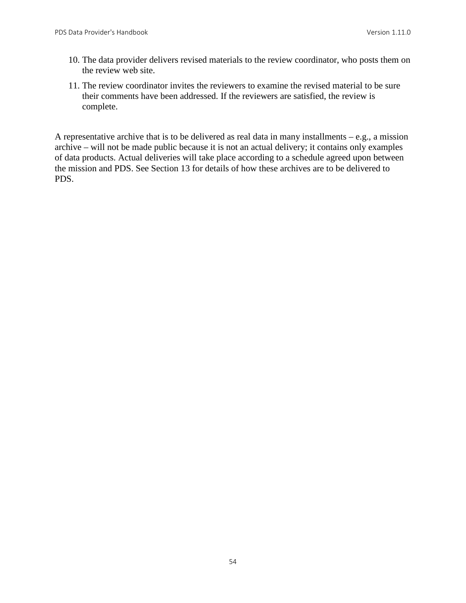- 10. The data provider delivers revised materials to the review coordinator, who posts them on the review web site.
- 11. The review coordinator invites the reviewers to examine the revised material to be sure their comments have been addressed. If the reviewers are satisfied, the review is complete.

A representative archive that is to be delivered as real data in many installments  $-e.g.,$  a mission archive – will not be made public because it is not an actual delivery; it contains only examples of data products. Actual deliveries will take place according to a schedule agreed upon between the mission and PDS. See Section 13 for details of how these archives are to be delivered to PDS.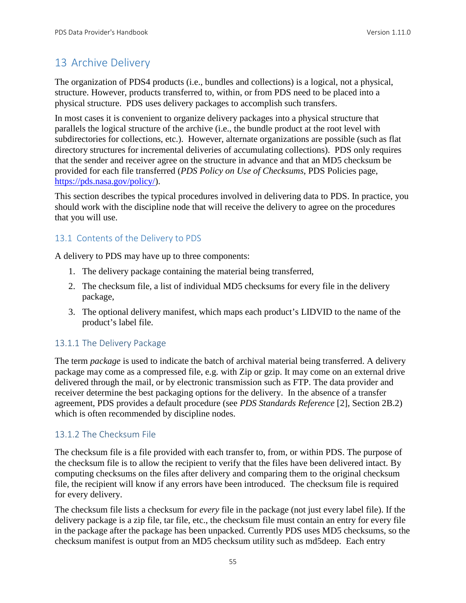# 13 Archive Delivery

The organization of PDS4 products (i.e., bundles and collections) is a logical, not a physical, structure. However, products transferred to, within, or from PDS need to be placed into a physical structure. PDS uses delivery packages to accomplish such transfers.

In most cases it is convenient to organize delivery packages into a physical structure that parallels the logical structure of the archive (i.e., the bundle product at the root level with subdirectories for collections, etc.). However, alternate organizations are possible (such as flat directory structures for incremental deliveries of accumulating collections). PDS only requires that the sender and receiver agree on the structure in advance and that an MD5 checksum be provided for each file transferred (*PDS Policy on Use of Checksums*, PDS Policies page, [https://pds.nasa.gov/policy/\)](http://pds.nasa.gov/policy/).

This section describes the typical procedures involved in delivering data to PDS. In practice, you should work with the discipline node that will receive the delivery to agree on the procedures that you will use.

#### 13.1 Contents of the Delivery to PDS

A delivery to PDS may have up to three components:

- 1. The delivery package containing the material being transferred,
- 2. The checksum file, a list of individual MD5 checksums for every file in the delivery package,
- 3. The optional delivery manifest, which maps each product's LIDVID to the name of the product's label file.

#### 13.1.1 The Delivery Package

The term *package* is used to indicate the batch of archival material being transferred. A delivery package may come as a compressed file, e.g. with Zip or gzip. It may come on an external drive delivered through the mail, or by electronic transmission such as FTP. The data provider and receiver determine the best packaging options for the delivery. In the absence of a transfer agreement, PDS provides a default procedure (see *PDS Standards Reference* [2], Section 2B.2) which is often recommended by discipline nodes.

#### 13.1.2 The Checksum File

The checksum file is a file provided with each transfer to, from, or within PDS. The purpose of the checksum file is to allow the recipient to verify that the files have been delivered intact. By computing checksums on the files after delivery and comparing them to the original checksum file, the recipient will know if any errors have been introduced. The checksum file is required for every delivery.

The checksum file lists a checksum for *every* file in the package (not just every label file). If the delivery package is a zip file, tar file, etc., the checksum file must contain an entry for every file in the package after the package has been unpacked. Currently PDS uses MD5 checksums, so the checksum manifest is output from an MD5 checksum utility such as md5deep. Each entry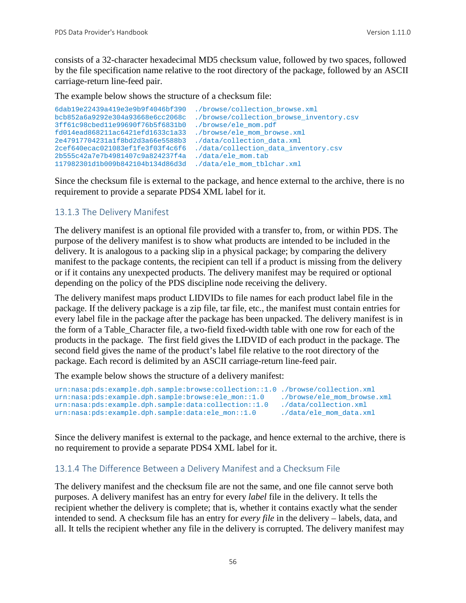consists of a 32-character hexadecimal MD5 checksum value, followed by two spaces, followed by the file specification name relative to the root directory of the package, followed by an ASCII carriage-return line-feed pair.

The example below shows the structure of a checksum file:

```
6dab19e22439a419e3e9b9f4046bf390 ./browse/collection_browse.xml
                                        ./browse/collection_browse_inventory.csv<br>./browse/ele_mom.pdf
3ff61c98cbed11e99690f76b5f6831b0 ./browse/ele_mom.pdf
fd014ead868211ac6421efd1633c1a33 ./browse/ele_mom_browse.xml
2e47917704231a1f8bd2d3a66e5588b3<br>2cef640ecac021083ef1fe3f03f4c6f6
                                        ./data/collection_data_inventory.csv<br>./data/ele mom.tab
2b555c42a7e7b4981407c9a824237f4a
117982301d1b009b842104b134d86d3d ./data/ele_mom_tblchar.xml
```
Since the checksum file is external to the package, and hence external to the archive, there is no requirement to provide a separate PDS4 XML label for it.

#### 13.1.3 The Delivery Manifest

The delivery manifest is an optional file provided with a transfer to, from, or within PDS. The purpose of the delivery manifest is to show what products are intended to be included in the delivery. It is analogous to a packing slip in a physical package; by comparing the delivery manifest to the package contents, the recipient can tell if a product is missing from the delivery or if it contains any unexpected products. The delivery manifest may be required or optional depending on the policy of the PDS discipline node receiving the delivery.

The delivery manifest maps product LIDVIDs to file names for each product label file in the package. If the delivery package is a zip file, tar file, etc., the manifest must contain entries for every label file in the package after the package has been unpacked. The delivery manifest is in the form of a Table\_Character file, a two-field fixed-width table with one row for each of the products in the package. The first field gives the LIDVID of each product in the package. The second field gives the name of the product's label file relative to the root directory of the package. Each record is delimited by an ASCII carriage-return line-feed pair.

The example below shows the structure of a delivery manifest:

```
urn:nasa:pds:example.dph.sample:browse:collection::1.0 ./browse/collection.xml<br>urn:nasa:pds:example.dph.sample:browse:ele_mon::1.0 ./browse/ele_mom_browse.xml
urn:nasa:pds:example.dph.sample:browse:ele_mon::1.0 ./browse/ele_mom_brow<br>urn:nasa:pds:example.dph.sample:data:collection::1.0 ./data/collection.xml
urn:nasa:pds:example.dph.sample:data:collection::1.0 ./data/collection.xml<br>urn:nasa:pds:example.dph.sample:data:ele_mon::1.0 ./data/ele_mom_data.xml
urn:nasa:pds:example.dph.sample:data:ele_mon::1.0
```
Since the delivery manifest is external to the package, and hence external to the archive, there is no requirement to provide a separate PDS4 XML label for it.

#### 13.1.4 The Difference Between a Delivery Manifest and a Checksum File

The delivery manifest and the checksum file are not the same, and one file cannot serve both purposes. A delivery manifest has an entry for every *label* file in the delivery. It tells the recipient whether the delivery is complete; that is, whether it contains exactly what the sender intended to send. A checksum file has an entry for *every file* in the delivery – labels, data, and all. It tells the recipient whether any file in the delivery is corrupted. The delivery manifest may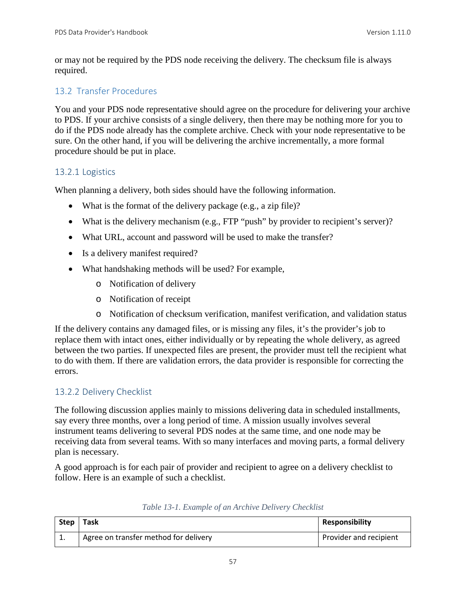or may not be required by the PDS node receiving the delivery. The checksum file is always required.

## 13.2 Transfer Procedures

You and your PDS node representative should agree on the procedure for delivering your archive to PDS. If your archive consists of a single delivery, then there may be nothing more for you to do if the PDS node already has the complete archive. Check with your node representative to be sure. On the other hand, if you will be delivering the archive incrementally, a more formal procedure should be put in place.

## 13.2.1 Logistics

When planning a delivery, both sides should have the following information.

- What is the format of the delivery package (e.g., a zip file)?
- What is the delivery mechanism (e.g., FTP "push" by provider to recipient's server)?
- What URL, account and password will be used to make the transfer?
- Is a delivery manifest required?
- What handshaking methods will be used? For example,
	- o Notification of delivery
	- o Notification of receipt
	- o Notification of checksum verification, manifest verification, and validation status

If the delivery contains any damaged files, or is missing any files, it's the provider's job to replace them with intact ones, either individually or by repeating the whole delivery, as agreed between the two parties. If unexpected files are present, the provider must tell the recipient what to do with them. If there are validation errors, the data provider is responsible for correcting the errors.

# 13.2.2 Delivery Checklist

The following discussion applies mainly to missions delivering data in scheduled installments, say every three months, over a long period of time. A mission usually involves several instrument teams delivering to several PDS nodes at the same time, and one node may be receiving data from several teams. With so many interfaces and moving parts, a formal delivery plan is necessary.

A good approach is for each pair of provider and recipient to agree on a delivery checklist to follow. Here is an example of such a checklist.

| Step     | Task                                  | <b>Responsibility</b>  |
|----------|---------------------------------------|------------------------|
| <b>.</b> | Agree on transfer method for delivery | Provider and recipient |

| Table 13-1. Example of an Archive Delivery Checklist |  |  |  |  |  |
|------------------------------------------------------|--|--|--|--|--|
|------------------------------------------------------|--|--|--|--|--|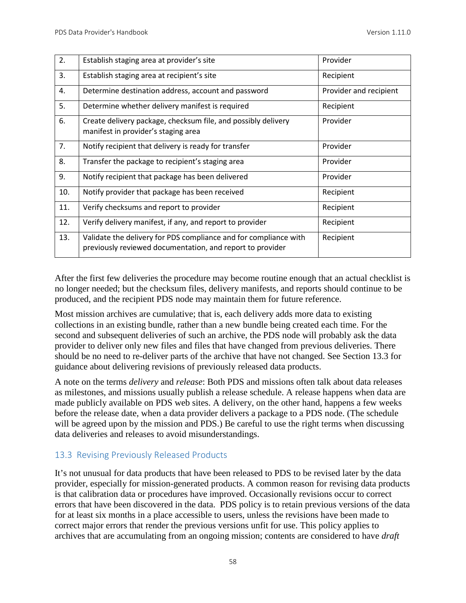| 2.  | Establish staging area at provider's site                                                                                     | Provider               |
|-----|-------------------------------------------------------------------------------------------------------------------------------|------------------------|
| 3.  | Establish staging area at recipient's site                                                                                    | Recipient              |
| 4.  | Determine destination address, account and password                                                                           | Provider and recipient |
| 5.  | Determine whether delivery manifest is required                                                                               | Recipient              |
| 6.  | Create delivery package, checksum file, and possibly delivery<br>manifest in provider's staging area                          | Provider               |
| 7.  | Notify recipient that delivery is ready for transfer                                                                          | Provider               |
| 8.  | Transfer the package to recipient's staging area                                                                              | Provider               |
| 9.  | Notify recipient that package has been delivered                                                                              | Provider               |
| 10. | Notify provider that package has been received                                                                                | Recipient              |
| 11. | Verify checksums and report to provider                                                                                       | Recipient              |
| 12. | Verify delivery manifest, if any, and report to provider                                                                      | Recipient              |
| 13. | Validate the delivery for PDS compliance and for compliance with<br>previously reviewed documentation, and report to provider | Recipient              |

After the first few deliveries the procedure may become routine enough that an actual checklist is no longer needed; but the checksum files, delivery manifests, and reports should continue to be produced, and the recipient PDS node may maintain them for future reference.

Most mission archives are cumulative; that is, each delivery adds more data to existing collections in an existing bundle, rather than a new bundle being created each time. For the second and subsequent deliveries of such an archive, the PDS node will probably ask the data provider to deliver only new files and files that have changed from previous deliveries. There should be no need to re-deliver parts of the archive that have not changed. See Section 13.3 for guidance about delivering revisions of previously released data products.

A note on the terms *delivery* and *release*: Both PDS and missions often talk about data releases as milestones, and missions usually publish a release schedule. A release happens when data are made publicly available on PDS web sites. A delivery, on the other hand, happens a few weeks before the release date, when a data provider delivers a package to a PDS node. (The schedule will be agreed upon by the mission and PDS.) Be careful to use the right terms when discussing data deliveries and releases to avoid misunderstandings.

#### 13.3 Revising Previously Released Products

It's not unusual for data products that have been released to PDS to be revised later by the data provider, especially for mission-generated products. A common reason for revising data products is that calibration data or procedures have improved. Occasionally revisions occur to correct errors that have been discovered in the data. PDS policy is to retain previous versions of the data for at least six months in a place accessible to users, unless the revisions have been made to correct major errors that render the previous versions unfit for use. This policy applies to archives that are accumulating from an ongoing mission; contents are considered to have *draft*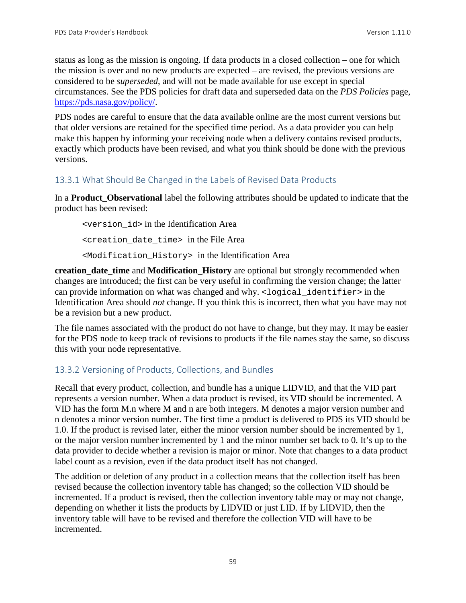status as long as the mission is ongoing. If data products in a closed collection – one for which the mission is over and no new products are expected – are revised, the previous versions are considered to be *superseded*, and will not be made available for use except in special circumstances. See the PDS policies for draft data and superseded data on the *PDS Policies* page, [https://pds.nasa.gov/policy/.](https://pds.nasa.gov/policy/)

PDS nodes are careful to ensure that the data available online are the most current versions but that older versions are retained for the specified time period. As a data provider you can help make this happen by informing your receiving node when a delivery contains revised products, exactly which products have been revised, and what you think should be done with the previous versions.

#### 13.3.1 What Should Be Changed in the Labels of Revised Data Products

In a **Product\_Observational** label the following attributes should be updated to indicate that the product has been revised:

<version\_id> in the Identification Area <creation\_date\_time> in the File Area <Modification\_History> in the Identification Area

**creation\_date\_time** and **Modification\_History** are optional but strongly recommended when changes are introduced; the first can be very useful in confirming the version change; the latter can provide information on what was changed and why. <logical identifier> in the Identification Area should *not* change. If you think this is incorrect, then what you have may not be a revision but a new product.

The file names associated with the product do not have to change, but they may. It may be easier for the PDS node to keep track of revisions to products if the file names stay the same, so discuss this with your node representative.

#### 13.3.2 Versioning of Products, Collections, and Bundles

Recall that every product, collection, and bundle has a unique LIDVID, and that the VID part represents a version number. When a data product is revised, its VID should be incremented. A VID has the form M.n where M and n are both integers. M denotes a major version number and n denotes a minor version number. The first time a product is delivered to PDS its VID should be 1.0. If the product is revised later, either the minor version number should be incremented by 1, or the major version number incremented by 1 and the minor number set back to 0. It's up to the data provider to decide whether a revision is major or minor. Note that changes to a data product label count as a revision, even if the data product itself has not changed.

The addition or deletion of any product in a collection means that the collection itself has been revised because the collection inventory table has changed; so the collection VID should be incremented. If a product is revised, then the collection inventory table may or may not change, depending on whether it lists the products by LIDVID or just LID. If by LIDVID, then the inventory table will have to be revised and therefore the collection VID will have to be incremented.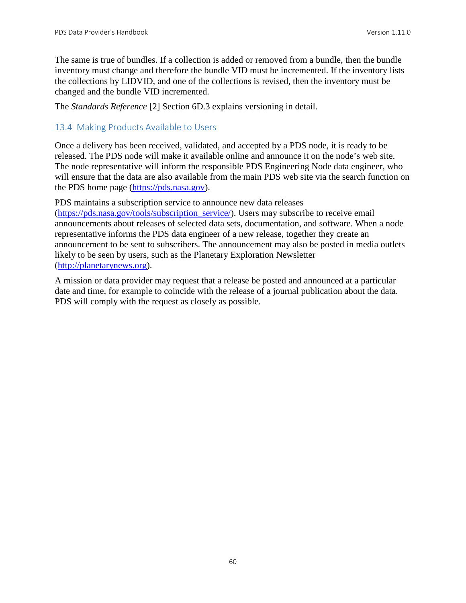The same is true of bundles. If a collection is added or removed from a bundle, then the bundle inventory must change and therefore the bundle VID must be incremented. If the inventory lists the collections by LIDVID, and one of the collections is revised, then the inventory must be changed and the bundle VID incremented.

The *Standards Reference* [2] Section 6D.3 explains versioning in detail.

#### 13.4 Making Products Available to Users

Once a delivery has been received, validated, and accepted by a PDS node, it is ready to be released. The PDS node will make it available online and announce it on the node's web site. The node representative will inform the responsible PDS Engineering Node data engineer, who will ensure that the data are also available from the main PDS web site via the search function on the PDS home page [\(https://pds.nasa.gov\)](http://pds.nasa.gov/).

PDS maintains a subscription service to announce new data releases [\(https://pds.nasa.gov/tools/subscription\\_service/\)](http://pds.nasa.gov/tools/subscription_service/). Users may subscribe to receive email announcements about releases of selected data sets, documentation, and software. When a node representative informs the PDS data engineer of a new release, together they create an announcement to be sent to subscribers. The announcement may also be posted in media outlets likely to be seen by users, such as the Planetary Exploration Newsletter [\(http://planetarynews.org\)](http://planetarynews.org/).

A mission or data provider may request that a release be posted and announced at a particular date and time, for example to coincide with the release of a journal publication about the data. PDS will comply with the request as closely as possible.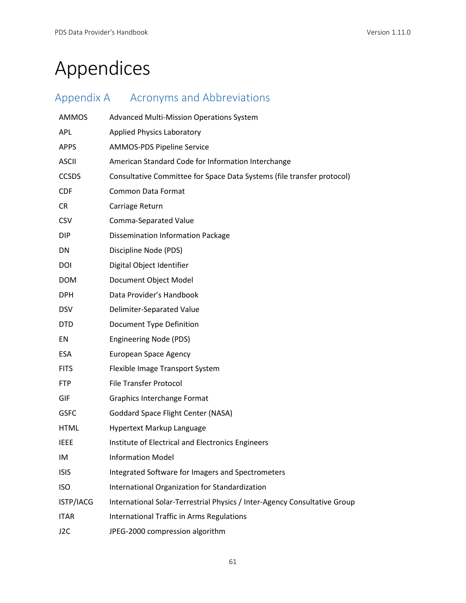# Appendices

| Appendix A       | <b>Acronyms and Abbreviations</b>                                         |
|------------------|---------------------------------------------------------------------------|
| <b>AMMOS</b>     | <b>Advanced Multi-Mission Operations System</b>                           |
| <b>APL</b>       | <b>Applied Physics Laboratory</b>                                         |
| <b>APPS</b>      | AMMOS-PDS Pipeline Service                                                |
| <b>ASCII</b>     | American Standard Code for Information Interchange                        |
| <b>CCSDS</b>     | Consultative Committee for Space Data Systems (file transfer protocol)    |
| <b>CDF</b>       | <b>Common Data Format</b>                                                 |
| <b>CR</b>        | Carriage Return                                                           |
| <b>CSV</b>       | Comma-Separated Value                                                     |
| <b>DIP</b>       | <b>Dissemination Information Package</b>                                  |
| DN               | Discipline Node (PDS)                                                     |
| DOI              | Digital Object Identifier                                                 |
| <b>DOM</b>       | Document Object Model                                                     |
| <b>DPH</b>       | Data Provider's Handbook                                                  |
| <b>DSV</b>       | Delimiter-Separated Value                                                 |
| <b>DTD</b>       | Document Type Definition                                                  |
| EN               | <b>Engineering Node (PDS)</b>                                             |
| <b>ESA</b>       | <b>European Space Agency</b>                                              |
| <b>FITS</b>      | Flexible Image Transport System                                           |
| <b>FTP</b>       | <b>File Transfer Protocol</b>                                             |
| GIF              | Graphics Interchange Format                                               |
| <b>GSFC</b>      | Goddard Space Flight Center (NASA)                                        |
| <b>HTML</b>      | Hypertext Markup Language                                                 |
| <b>IEEE</b>      | Institute of Electrical and Electronics Engineers                         |
| IM               | <b>Information Model</b>                                                  |
| <b>ISIS</b>      | Integrated Software for Imagers and Spectrometers                         |
| <b>ISO</b>       | International Organization for Standardization                            |
| ISTP/IACG        | International Solar-Terrestrial Physics / Inter-Agency Consultative Group |
| <b>ITAR</b>      | <b>International Traffic in Arms Regulations</b>                          |
| J <sub>2</sub> C | JPEG-2000 compression algorithm                                           |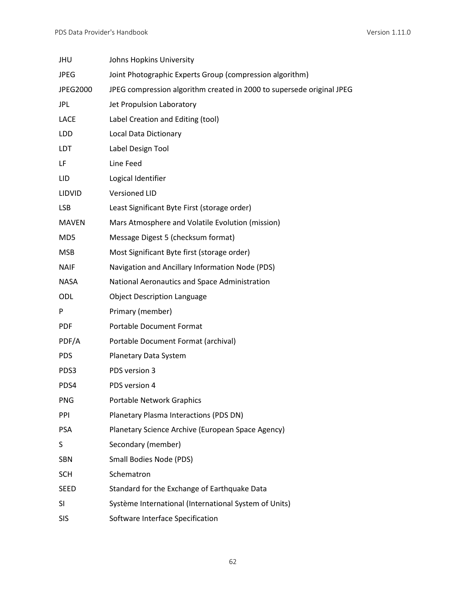| JHU           | Johns Hopkins University                                              |
|---------------|-----------------------------------------------------------------------|
| <b>JPEG</b>   | Joint Photographic Experts Group (compression algorithm)              |
| JPEG2000      | JPEG compression algorithm created in 2000 to supersede original JPEG |
| <b>JPL</b>    | Jet Propulsion Laboratory                                             |
| <b>LACE</b>   | Label Creation and Editing (tool)                                     |
| LDD           | Local Data Dictionary                                                 |
| <b>LDT</b>    | Label Design Tool                                                     |
| LF            | Line Feed                                                             |
| LID           | Logical Identifier                                                    |
| <b>LIDVID</b> | <b>Versioned LID</b>                                                  |
| LSB           | Least Significant Byte First (storage order)                          |
| <b>MAVEN</b>  | Mars Atmosphere and Volatile Evolution (mission)                      |
| MD5           | Message Digest 5 (checksum format)                                    |
| <b>MSB</b>    | Most Significant Byte first (storage order)                           |
| <b>NAIF</b>   | Navigation and Ancillary Information Node (PDS)                       |
| NASA          | National Aeronautics and Space Administration                         |
| ODL           | <b>Object Description Language</b>                                    |
| P             | Primary (member)                                                      |
| <b>PDF</b>    | <b>Portable Document Format</b>                                       |
| PDF/A         | Portable Document Format (archival)                                   |
| <b>PDS</b>    | Planetary Data System                                                 |
| PDS3          | PDS version 3                                                         |
| PDS4          | PDS version 4                                                         |
| <b>PNG</b>    | <b>Portable Network Graphics</b>                                      |
| PPI           | Planetary Plasma Interactions (PDS DN)                                |
| <b>PSA</b>    | Planetary Science Archive (European Space Agency)                     |
| S             | Secondary (member)                                                    |
| <b>SBN</b>    | Small Bodies Node (PDS)                                               |
| <b>SCH</b>    | Schematron                                                            |
| <b>SEED</b>   | Standard for the Exchange of Earthquake Data                          |
| SI            | Système International (International System of Units)                 |
| <b>SIS</b>    | Software Interface Specification                                      |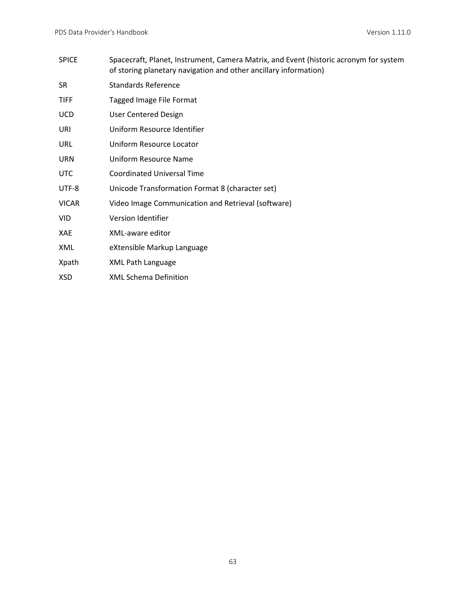SPICE Spacecraft, Planet, Instrument, Camera Matrix, and Event (historic acronym for system of storing planetary navigation and other ancillary information) SR Standards Reference TIFF Tagged Image File Format UCD User Centered Design URI Uniform Resource Identifier URL Uniform Resource Locator URN Uniform Resource Name UTC Coordinated Universal Time UTF-8 Unicode Transformation Format 8 (character set) VICAR Video Image Communication and Retrieval (software) VID Version Identifier XAE XML-aware editor XML eXtensible Markup Language Xpath XML Path Language XSD XML Schema Definition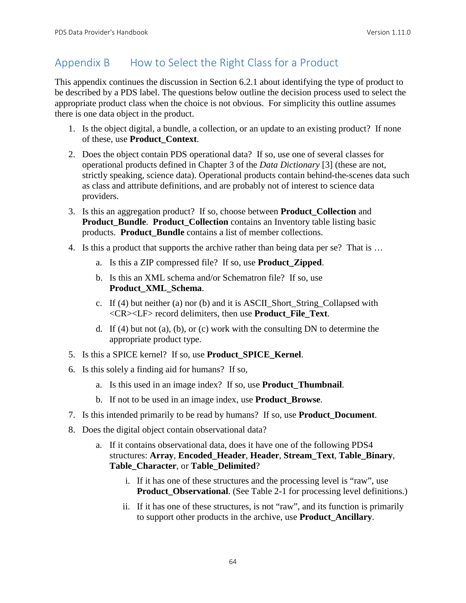# Appendix B How to Select the Right Class for a Product

This appendix continues the discussion in Section 6.2.1 about identifying the type of product to be described by a PDS label. The questions below outline the decision process used to select the appropriate product class when the choice is not obvious. For simplicity this outline assumes there is one data object in the product.

- 1. Is the object digital, a bundle, a collection, or an update to an existing product? If none of these, use **Product\_Context**.
- 2. Does the object contain PDS operational data? If so, use one of several classes for operational products defined in Chapter 3 of the *Data Dictionary* [3] (these are not, strictly speaking, science data). Operational products contain behind-the-scenes data such as class and attribute definitions, and are probably not of interest to science data providers.
- 3. Is this an aggregation product? If so, choose between **Product\_Collection** and **Product\_Bundle**. **Product\_Collection** contains an Inventory table listing basic products. **Product\_Bundle** contains a list of member collections.
- 4. Is this a product that supports the archive rather than being data per se? That is …
	- a. Is this a ZIP compressed file? If so, use **Product\_Zipped**.
	- b. Is this an XML schema and/or Schematron file? If so, use **Product\_XML\_Schema**.
	- c. If (4) but neither (a) nor (b) and it is ASCII\_Short\_String\_Collapsed with <CR><LF> record delimiters, then use **Product\_File\_Text**.
	- d. If (4) but not (a), (b), or (c) work with the consulting DN to determine the appropriate product type.
- 5. Is this a SPICE kernel? If so, use **Product\_SPICE\_Kernel**.
- 6. Is this solely a finding aid for humans? If so,
	- a. Is this used in an image index? If so, use **Product\_Thumbnail**.
	- b. If not to be used in an image index, use **Product\_Browse**.
- 7. Is this intended primarily to be read by humans? If so, use **Product\_Document**.
- 8. Does the digital object contain observational data?
	- a. If it contains observational data, does it have one of the following PDS4 structures: **Array**, **Encoded\_Header**, **Header**, **Stream\_Text**, **Table\_Binary**, **Table\_Character**, or **Table\_Delimited**?
		- i. If it has one of these structures and the processing level is "raw", use **Product Observational.** (See Table 2-1 for processing level definitions.)
		- ii. If it has one of these structures, is not "raw", and its function is primarily to support other products in the archive, use **Product\_Ancillary**.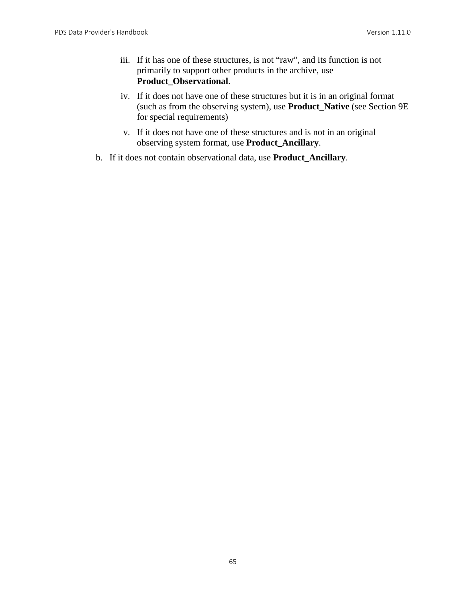- iii. If it has one of these structures, is not "raw", and its function is not primarily to support other products in the archive, use **Product\_Observational**.
- iv. If it does not have one of these structures but it is in an original format (such as from the observing system), use **Product\_Native** (see Section 9E for special requirements)
- v. If it does not have one of these structures and is not in an original observing system format, use **Product\_Ancillary**.
- b. If it does not contain observational data, use **Product\_Ancillary**.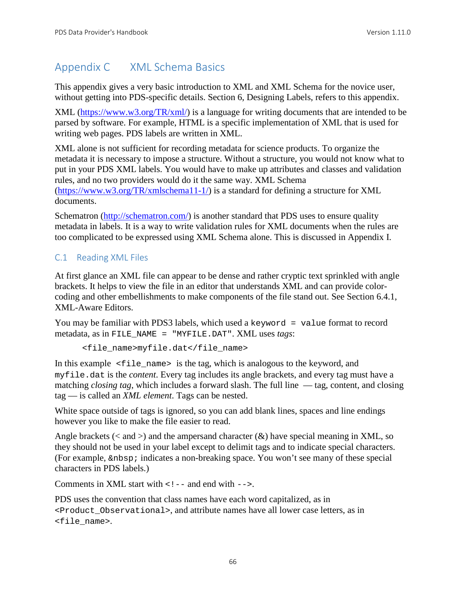# Appendix C XML Schema Basics

This appendix gives a very basic introduction to XML and XML Schema for the novice user, without getting into PDS-specific details. Section 6, Designing Labels, refers to this appendix.

XML [\(https://www.w3.org/TR/xml/\)](https://www.w3.org/TR/xml/) is a language for writing documents that are intended to be parsed by software. For example, HTML is a specific implementation of XML that is used for writing web pages. PDS labels are written in XML.

XML alone is not sufficient for recording metadata for science products. To organize the metadata it is necessary to impose a structure. Without a structure, you would not know what to put in your PDS XML labels. You would have to make up attributes and classes and validation rules, and no two providers would do it the same way. XML Schema [\(https://www.w3.org/TR/xmlschema11-1/\)](https://www.w3.org/TR/xmlschema11-1/) is a standard for defining a structure for XML documents.

Schematron [\(http://schematron.com/\)](http://schematron.com/) is another standard that PDS uses to ensure quality metadata in labels. It is a way to write validation rules for XML documents when the rules are too complicated to be expressed using XML Schema alone. This is discussed in Appendix I.

# C.1 Reading XML Files

At first glance an XML file can appear to be dense and rather cryptic text sprinkled with angle brackets. It helps to view the file in an editor that understands XML and can provide colorcoding and other embellishments to make components of the file stand out. See Section 6.4.1, XML-Aware Editors.

You may be familiar with PDS3 labels, which used a keyword = value format to record metadata, as in FILE\_NAME = "MYFILE.DAT". XML uses *tags*:

<file\_name>myfile.dat</file\_name>

In this example  $\le$  file\_name> is the tag, which is analogous to the keyword, and myfile.dat is the *content*. Every tag includes its angle brackets, and every tag must have a matching *closing tag*, which includes a forward slash. The full line — tag, content, and closing tag — is called an *XML element*. Tags can be nested.

White space outside of tags is ignored, so you can add blank lines, spaces and line endings however you like to make the file easier to read.

Angle brackets ( $\lt$  and  $\gt$ ) and the ampersand character ( $\&$ ) have special meaning in XML, so they should not be used in your label except to delimit tags and to indicate special characters. (For example,  $\epsilon$ nbsp; indicates a non-breaking space. You won't see many of these special characters in PDS labels.)

Comments in XML start with  $\lt$ ! -- and end with  $\lt$  ->.

PDS uses the convention that class names have each word capitalized, as in <Product\_Observational>, and attribute names have all lower case letters, as in <file\_name>.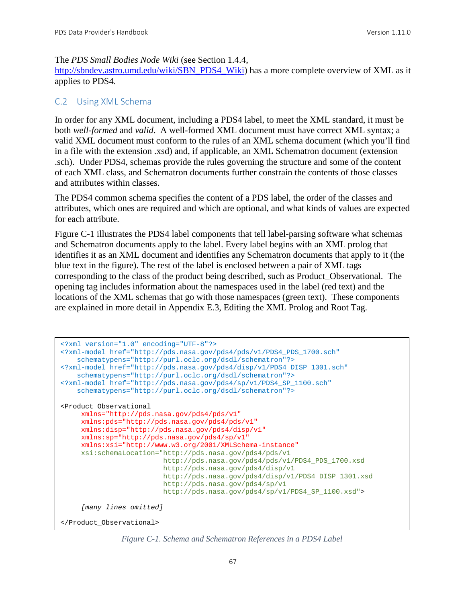#### The *PDS Small Bodies Node Wiki* (see Section 1.4.4,

[http://sbndev.astro.umd.edu/wiki/SBN\\_PDS4\\_Wiki\)](http://sbndev.astro.umd.edu/wiki/SBN_PDS4_Wiki) has a more complete overview of XML as it applies to PDS4.

## C.2 Using XML Schema

In order for any XML document, including a PDS4 label, to meet the XML standard, it must be both *well-formed* and *valid*. A well-formed XML document must have correct XML syntax; a valid XML document must conform to the rules of an XML schema document (which you'll find in a file with the extension .xsd) and, if applicable, an XML Schematron document (extension .sch). Under PDS4, schemas provide the rules governing the structure and some of the content of each XML class, and Schematron documents further constrain the contents of those classes and attributes within classes.

The PDS4 common schema specifies the content of a PDS label, the order of the classes and attributes, which ones are required and which are optional, and what kinds of values are expected for each attribute.

Figure C-1 illustrates the PDS4 label components that tell label-parsing software what schemas and Schematron documents apply to the label. Every label begins with an XML prolog that identifies it as an XML document and identifies any Schematron documents that apply to it (the blue text in the figure). The rest of the label is enclosed between a pair of XML tags corresponding to the class of the product being described, such as Product\_Observational. The opening tag includes information about the namespaces used in the label (red text) and the locations of the XML schemas that go with those namespaces (green text). These components are explained in more detail in Appendix E.3, Editing the XML Prolog and Root Tag.

```
<?xml version="1.0" encoding="UTF-8"?>
<?xml-model href="http://pds.nasa.gov/pds4/pds/v1/PDS4_PDS_1700.sch"
    schematypens="http://purl.oclc.org/dsdl/schematron"?>
<?xml-model href="http://pds.nasa.gov/pds4/disp/v1/PDS4_DISP_1301.sch" 
    schematypens="http://purl.oclc.org/dsdl/schematron"?>
<?xml-model href="http://pds.nasa.gov/pds4/sp/v1/PDS4_SP_1100.sch" 
    schematypens="http://purl.oclc.org/dsdl/schematron"?>
<Product_Observational 
     xmlns="http://pds.nasa.gov/pds4/pds/v1"
      xmlns:pds="http://pds.nasa.gov/pds4/pds/v1"
      xmlns:disp="http://pds.nasa.gov/pds4/disp/v1"
      xmlns:sp="http://pds.nasa.gov/pds4/sp/v1"
     xmlns:xsi="http://www.w3.org/2001/XMLSchema-instance"
      xsi:schemaLocation="http://pds.nasa.gov/pds4/pds/v1
                          http://pds.nasa.gov/pds4/pds/v1/PDS4_PDS_1700.xsd 
                         http://pds.nasa.gov/pds4/disp/v1 
                          http://pds.nasa.gov/pds4/disp/v1/PDS4_DISP_1301.xsd
                          http://pds.nasa.gov/pds4/sp/v1 
                         http://pds.nasa.gov/pds4/sp/v1/PDS4_SP_1100.xsd">
      [many lines omitted]
</Product_Observational>
```
*Figure C-1. Schema and Schematron References in a PDS4 Label*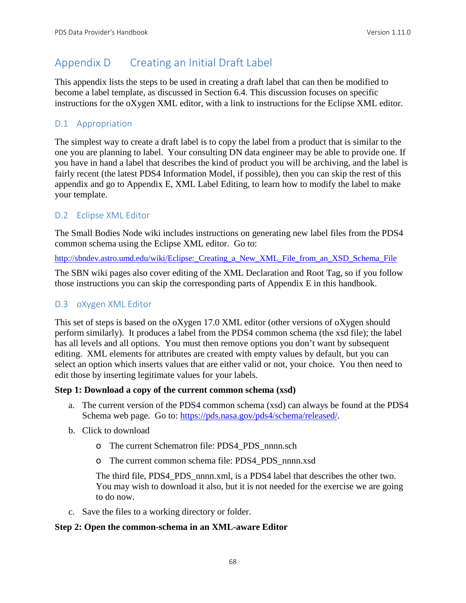# Appendix D Creating an Initial Draft Label

This appendix lists the steps to be used in creating a draft label that can then be modified to become a label template, as discussed in Section 6.4. This discussion focuses on specific instructions for the oXygen XML editor, with a link to instructions for the Eclipse XML editor.

# D.1 Appropriation

The simplest way to create a draft label is to copy the label from a product that is similar to the one you are planning to label. Your consulting DN data engineer may be able to provide one. If you have in hand a label that describes the kind of product you will be archiving, and the label is fairly recent (the latest PDS4 Information Model, if possible), then you can skip the rest of this appendix and go to Appendix E, XML Label Editing, to learn how to modify the label to make your template.

## D.2 Eclipse XML Editor

The Small Bodies Node wiki includes instructions on generating new label files from the PDS4 common schema using the Eclipse XML editor. Go to:

http://sbndev.astro.umd.edu/wiki/Eclipse: Creating a New\_XML\_File\_from\_an\_XSD\_Schema\_File

The SBN wiki pages also cover editing of the XML Declaration and Root Tag, so if you follow those instructions you can skip the corresponding parts of Appendix E in this handbook.

## D.3 oXygen XML Editor

This set of steps is based on the oXygen 17.0 XML editor (other versions of oXygen should perform similarly). It produces a label from the PDS4 common schema (the xsd file); the label has all levels and all options. You must then remove options you don't want by subsequent editing. XML elements for attributes are created with empty values by default, but you can select an option which inserts values that are either valid or not, your choice. You then need to edit those by inserting legitimate values for your labels.

## **Step 1: Download a copy of the current common schema (xsd)**

- a. The current version of the PDS4 common schema (xsd) can always be found at the PDS4 Schema web page. Go to: [https://pds.nasa.gov/pds4/schema/released/.](https://pds.nasa.gov/pds4/schema/released/)
- b. Click to download
	- o The current Schematron file: PDS4\_PDS\_nnnn.sch
	- o The current common schema file: PDS4\_PDS\_nnnn.xsd

The third file, PDS4\_PDS\_nnnn.xml, is a PDS4 label that describes the other two. You may wish to download it also, but it is not needed for the exercise we are going to do now.

c. Save the files to a working directory or folder.

## **Step 2: Open the common-schema in an XML-aware Editor**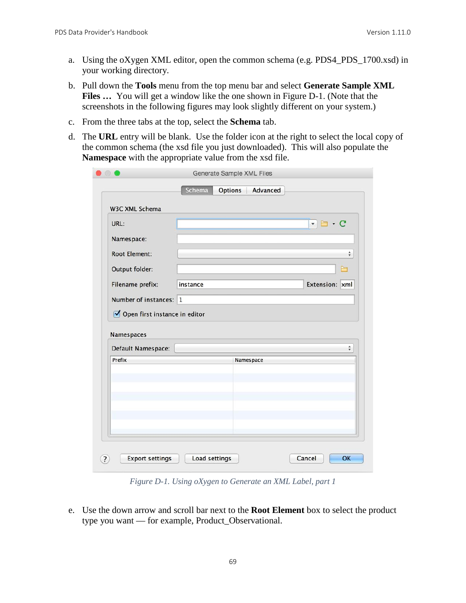- a. Using the oXygen XML editor, open the common schema (e.g. PDS4\_PDS\_1700.xsd) in your working directory.
- b. Pull down the **Tools** menu from the top menu bar and select **Generate Sample XML Files ...** You will get a window like the one shown in Figure D-1. (Note that the screenshots in the following figures may look slightly different on your system.)
- c. From the three tabs at the top, select the **Schema** tab.
- d. The **URL** entry will be blank. Use the folder icon at the right to select the local copy of the common schema (the xsd file you just downloaded). This will also populate the **Namespace** with the appropriate value from the xsd file.

| URL:                             |           | $\cdot c$<br>$\overline{\mathbf v}$ |  |
|----------------------------------|-----------|-------------------------------------|--|
| Namespace:                       |           |                                     |  |
| <b>Root Element:</b>             |           | $\hat{\mathbf{v}}$                  |  |
| Output folder:                   |           | Բ                                   |  |
| Filename prefix:                 | instance  | Extension: xml                      |  |
| Number of instances: 1           |           |                                     |  |
|                                  |           |                                     |  |
| Open first instance in editor    |           |                                     |  |
|                                  |           |                                     |  |
| Namespaces<br>Default Namespace: |           | ÷                                   |  |
| Prefix                           | Namespace |                                     |  |
|                                  |           |                                     |  |
|                                  |           |                                     |  |
|                                  |           |                                     |  |

*Figure D-1. Using oXygen to Generate an XML Label, part 1*

e. Use the down arrow and scroll bar next to the **Root Element** box to select the product type you want — for example, Product\_Observational.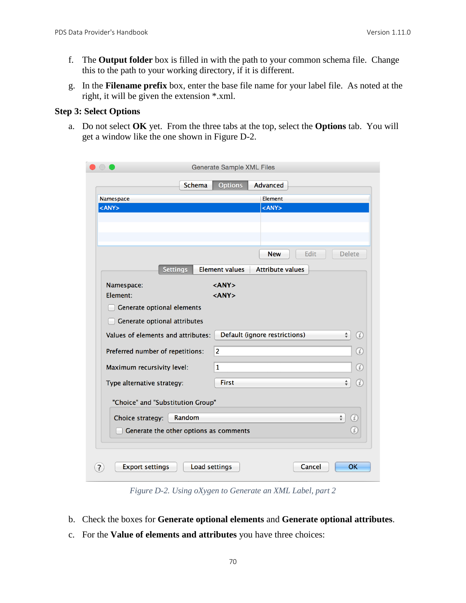- f. The **Output folder** box is filled in with the path to your common schema file. Change this to the path to your working directory, if it is different.
- g. In the **Filename prefix** box, enter the base file name for your label file. As noted at the right, it will be given the extension \*.xml.

### **Step 3: Select Options**

a. Do not select **OK** yet. From the three tabs at the top, select the **Options** tab. You will get a window like the one shown in Figure D-2.

|                                                                                             | <b>Generate Sample XML Files</b>                                    |  |  |  |  |  |
|---------------------------------------------------------------------------------------------|---------------------------------------------------------------------|--|--|--|--|--|
|                                                                                             | <b>Options</b><br><b>Schema</b><br>Advanced                         |  |  |  |  |  |
| Namespace                                                                                   | Element                                                             |  |  |  |  |  |
| $<$ ANY $>$                                                                                 | $<$ ANY $>$                                                         |  |  |  |  |  |
|                                                                                             |                                                                     |  |  |  |  |  |
|                                                                                             |                                                                     |  |  |  |  |  |
|                                                                                             |                                                                     |  |  |  |  |  |
|                                                                                             | Edit<br><b>Delete</b><br><b>New</b>                                 |  |  |  |  |  |
|                                                                                             |                                                                     |  |  |  |  |  |
|                                                                                             | <b>Attribute values</b><br><b>Settings</b><br><b>Element values</b> |  |  |  |  |  |
| Namespace:                                                                                  | $<$ ANY $>$                                                         |  |  |  |  |  |
| Element:                                                                                    | $<$ ANY $>$                                                         |  |  |  |  |  |
|                                                                                             | Generate optional elements                                          |  |  |  |  |  |
|                                                                                             | Generate optional attributes                                        |  |  |  |  |  |
| Default (ignore restrictions)<br>Values of elements and attributes:<br>$\frac{4}{7}$<br>(i) |                                                                     |  |  |  |  |  |
|                                                                                             |                                                                     |  |  |  |  |  |
|                                                                                             | $\overline{2}$<br>$\circledi$<br>Preferred number of repetitions:   |  |  |  |  |  |
| Maximum recursivity level:                                                                  | $\circled{t}$<br>1                                                  |  |  |  |  |  |
| Type alternative strategy:                                                                  | <b>First</b><br>$\left( i\right)$<br>$\frac{4}{7}$                  |  |  |  |  |  |
|                                                                                             |                                                                     |  |  |  |  |  |
|                                                                                             | "Choice" and "Substitution Group"                                   |  |  |  |  |  |
| Choice strategy:                                                                            | Random<br>$\frac{A}{\pi}$<br>$_{\scriptscriptstyle(i)}$             |  |  |  |  |  |
|                                                                                             | $\left( i\right)$<br>Generate the other options as comments         |  |  |  |  |  |
|                                                                                             |                                                                     |  |  |  |  |  |
|                                                                                             |                                                                     |  |  |  |  |  |
| Load settings<br>OK<br><b>Export settings</b><br>Cancel                                     |                                                                     |  |  |  |  |  |
|                                                                                             |                                                                     |  |  |  |  |  |

*Figure D-2. Using oXygen to Generate an XML Label, part 2*

- b. Check the boxes for **Generate optional elements** and **Generate optional attributes**.
- c. For the **Value of elements and attributes** you have three choices: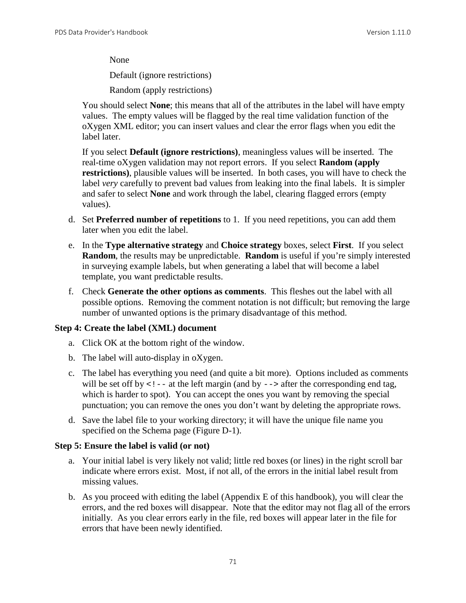None

Default (ignore restrictions)

Random (apply restrictions)

You should select **None**; this means that all of the attributes in the label will have empty values. The empty values will be flagged by the real time validation function of the oXygen XML editor; you can insert values and clear the error flags when you edit the label later.

If you select **Default (ignore restrictions)**, meaningless values will be inserted. The real-time oXygen validation may not report errors. If you select **Random (apply restrictions)**, plausible values will be inserted. In both cases, you will have to check the label *very* carefully to prevent bad values from leaking into the final labels. It is simpler and safer to select **None** and work through the label, clearing flagged errors (empty values).

- d. Set **Preferred number of repetitions** to 1. If you need repetitions, you can add them later when you edit the label.
- e. In the **Type alternative strategy** and **Choice strategy** boxes, select **First**. If you select **Random**, the results may be unpredictable. **Random** is useful if you're simply interested in surveying example labels, but when generating a label that will become a label template, you want predictable results.
- f. Check **Generate the other options as comments**. This fleshes out the label with all possible options. Removing the comment notation is not difficult; but removing the large number of unwanted options is the primary disadvantage of this method.

## **Step 4: Create the label (XML) document**

- a. Click OK at the bottom right of the window.
- b. The label will auto-display in oXygen.
- c. The label has everything you need (and quite a bit more). Options included as comments will be set off by  $\lt!$ ! -- at the left margin (and by --> after the corresponding end tag, which is harder to spot). You can accept the ones you want by removing the special punctuation; you can remove the ones you don't want by deleting the appropriate rows.
- d. Save the label file to your working directory; it will have the unique file name you specified on the Schema page (Figure D-1).

#### **Step 5: Ensure the label is valid (or not)**

- a. Your initial label is very likely not valid; little red boxes (or lines) in the right scroll bar indicate where errors exist. Most, if not all, of the errors in the initial label result from missing values.
- b. As you proceed with editing the label (Appendix E of this handbook), you will clear the errors, and the red boxes will disappear. Note that the editor may not flag all of the errors initially. As you clear errors early in the file, red boxes will appear later in the file for errors that have been newly identified.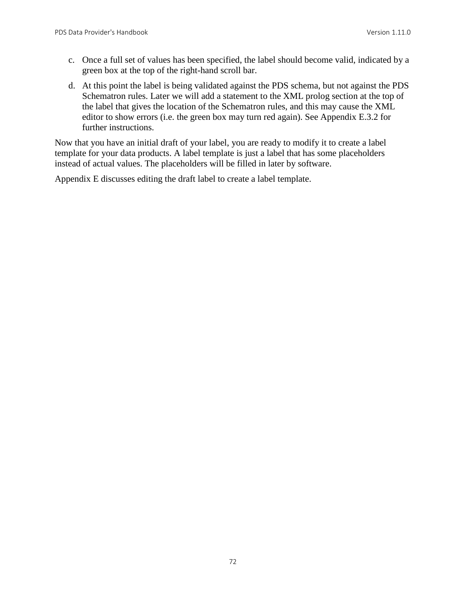- c. Once a full set of values has been specified, the label should become valid, indicated by a green box at the top of the right-hand scroll bar.
- d. At this point the label is being validated against the PDS schema, but not against the PDS Schematron rules. Later we will add a statement to the XML prolog section at the top of the label that gives the location of the Schematron rules, and this may cause the XML editor to show errors (i.e. the green box may turn red again). See Appendix E.3.2 for further instructions.

Now that you have an initial draft of your label, you are ready to modify it to create a label template for your data products. A label template is just a label that has some placeholders instead of actual values. The placeholders will be filled in later by software.

Appendix E discusses editing the draft label to create a label template.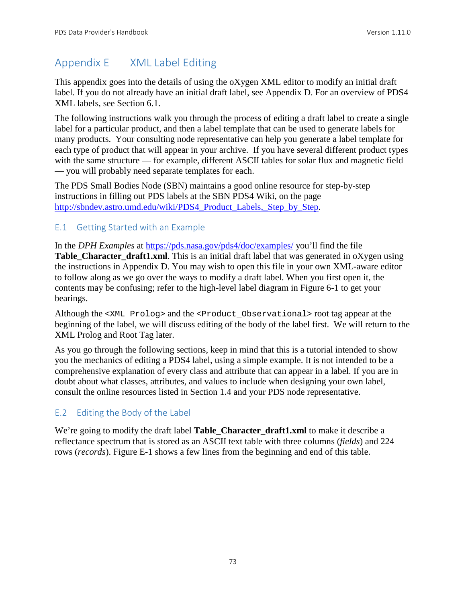# Appendix E XML Label Editing

This appendix goes into the details of using the oXygen XML editor to modify an initial draft label. If you do not already have an initial draft label, see Appendix D. For an overview of PDS4 XML labels, see Section 6.1.

The following instructions walk you through the process of editing a draft label to create a single label for a particular product, and then a label template that can be used to generate labels for many products. Your consulting node representative can help you generate a label template for each type of product that will appear in your archive. If you have several different product types with the same structure — for example, different ASCII tables for solar flux and magnetic field — you will probably need separate templates for each.

The PDS Small Bodies Node (SBN) maintains a good online resource for step-by-step instructions in filling out PDS labels at the SBN PDS4 Wiki, on the page [http://sbndev.astro.umd.edu/wiki/PDS4\\_Product\\_Labels,\\_Step\\_by\\_Step.](http://sbndev.astro.umd.edu/wiki/PDS4_Product_Labels,_Step_by_Step)

# E.1 Getting Started with an Example

In the *DPH Examples* at<https://pds.nasa.gov/pds4/doc/examples/> you'll find the file **Table Character draft1.xml**. This is an initial draft label that was generated in oXygen using the instructions in Appendix D. You may wish to open this file in your own XML-aware editor to follow along as we go over the ways to modify a draft label. When you first open it, the contents may be confusing; refer to the high-level label diagram in Figure 6-1 to get your bearings.

Although the <XML Prolog> and the <Product\_Observational> root tag appear at the beginning of the label, we will discuss editing of the body of the label first. We will return to the XML Prolog and Root Tag later.

As you go through the following sections, keep in mind that this is a tutorial intended to show you the mechanics of editing a PDS4 label, using a simple example. It is not intended to be a comprehensive explanation of every class and attribute that can appear in a label. If you are in doubt about what classes, attributes, and values to include when designing your own label, consult the online resources listed in Section 1.4 and your PDS node representative.

# E.2 Editing the Body of the Label

We're going to modify the draft label **Table\_Character\_draft1.xml** to make it describe a reflectance spectrum that is stored as an ASCII text table with three columns (*fields*) and 224 rows (*records*). Figure E-1 shows a few lines from the beginning and end of this table.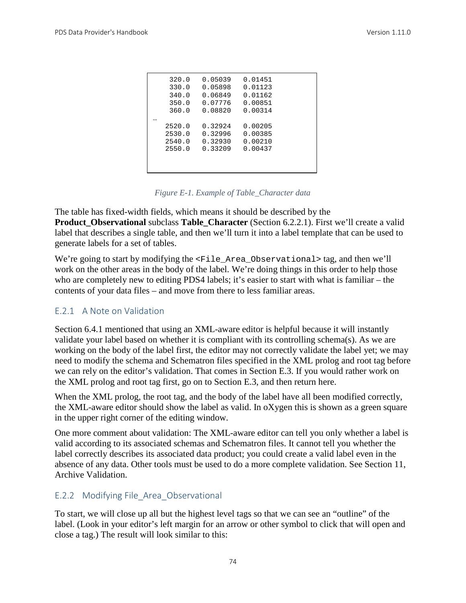| 320.0<br>330.0<br>340.0 | 0.05039<br>0.05898<br>0.06849 | 0.01451<br>0.01123<br>0.01162 |  |
|-------------------------|-------------------------------|-------------------------------|--|
| 350.0                   | 0.07776                       | 0.00851                       |  |
| 360.0                   | 0.08820                       | 0.00314                       |  |
|                         |                               |                               |  |
| 2520.0                  | 0.32924                       | 0.00205                       |  |
| 2530.0                  | 0.32996                       | 0.00385                       |  |
| 2540.0                  | 0.32930                       | 0.00210                       |  |
| 2550.0                  | 0.33209                       | 0.00437                       |  |
|                         |                               |                               |  |
|                         |                               |                               |  |
|                         |                               |                               |  |

*Figure E-1. Example of Table\_Character data*

The table has fixed-width fields, which means it should be described by the **Product\_Observational** subclass **Table\_Character** (Section 6.2.2.1). First we'll create a valid label that describes a single table, and then we'll turn it into a label template that can be used to generate labels for a set of tables.

We're going to start by modifying the <File\_Area\_Observational> tag, and then we'll work on the other areas in the body of the label. We're doing things in this order to help those who are completely new to editing PDS4 labels; it's easier to start with what is familiar – the contents of your data files – and move from there to less familiar areas.

## E.2.1 A Note on Validation

Section 6.4.1 mentioned that using an XML-aware editor is helpful because it will instantly validate your label based on whether it is compliant with its controlling schema(s). As we are working on the body of the label first, the editor may not correctly validate the label yet; we may need to modify the schema and Schematron files specified in the XML prolog and root tag before we can rely on the editor's validation. That comes in Section E.3. If you would rather work on the XML prolog and root tag first, go on to Section E.3, and then return here.

When the XML prolog, the root tag, and the body of the label have all been modified correctly, the XML-aware editor should show the label as valid. In oXygen this is shown as a green square in the upper right corner of the editing window.

One more comment about validation: The XML-aware editor can tell you only whether a label is valid according to its associated schemas and Schematron files. It cannot tell you whether the label correctly describes its associated data product; you could create a valid label even in the absence of any data. Other tools must be used to do a more complete validation. See Section 11, Archive Validation.

# E.2.2 Modifying File\_Area\_Observational

To start, we will close up all but the highest level tags so that we can see an "outline" of the label. (Look in your editor's left margin for an arrow or other symbol to click that will open and close a tag.) The result will look similar to this: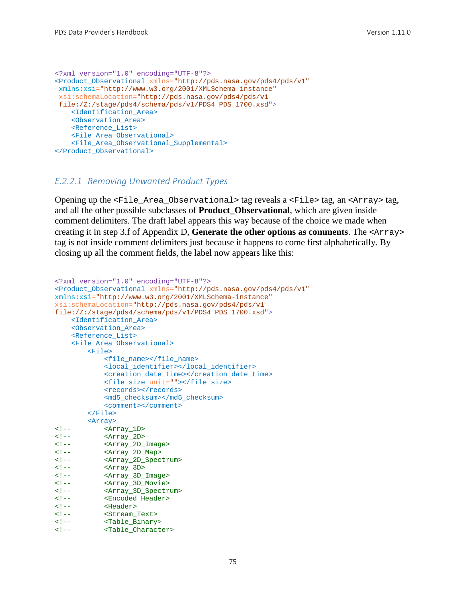```
<?xml version="1.0" encoding="UTF-8"?>
<Product_Observational xmlns="http://pds.nasa.gov/pds4/pds/v1"
xmlns:xsi="http://www.w3.org/2001/XMLSchema-instance"
 xsi:schemaLocation="http://pds.nasa.gov/pds4/pds/v1 
file:/Z:/stage/pds4/schema/pds/v1/PDS4_PDS_1700.xsd">
     <Identification_Area>
     <Observation_Area>
     <Reference_List>
     <File_Area_Observational>
     <File_Area_Observational_Supplemental>
</Product_Observational>
```
## *E.2.2.1 Removing Unwanted Product Types*

Opening up the <File\_Area\_Observational> tag reveals a <File> tag, an <Array> tag, and all the other possible subclasses of **Product\_Observational**, which are given inside comment delimiters. The draft label appears this way because of the choice we made when creating it in step 3.f of Appendix D, **Generate the other options as comments**. The <Array> tag is not inside comment delimiters just because it happens to come first alphabetically. By closing up all the comment fields, the label now appears like this:

```
<?xml version="1.0" encoding="UTF-8"?>
<Product_Observational xmlns="http://pds.nasa.gov/pds4/pds/v1"
xmlns:xsi="http://www.w3.org/2001/XMLSchema-instance"
xsi:schemaLocation="http://pds.nasa.gov/pds4/pds/v1 
file:/Z:/stage/pds4/schema/pds/v1/PDS4_PDS_1700.xsd">
    <Identification_Area>
    <Observation_Area>
    <Reference_List>
    <File_Area_Observational>
        <File>
            <file_name></file_name>
            <local_identifier></local_identifier>
            <creation_date_time></creation_date_time>
            <file_size unit=""></file_size>
           <records></records>
            <md5_checksum></md5_checksum>
            <comment></comment>
        </File>
 <Array>
<!-- <Array_1D><br><!-- <Array 2D>
<!-- <Array_2D><br><!-- <Array_2D_Image>
<!-- <Array_2D_Image>
<!-- <Array_2D_Map>
<!-- <Array_2D_Spectrum>
<!-- <Array_3D>
<!-- <Array_3D_Image>
<!-- <Array_3D_Movie>
<!-- <Array_3D_Spectrum>
<!-- <Encoded_Header>
<!-- <Header>
<!-- <Stream_Text>
<!-- <Table_Binary>
          <Table_Character>
```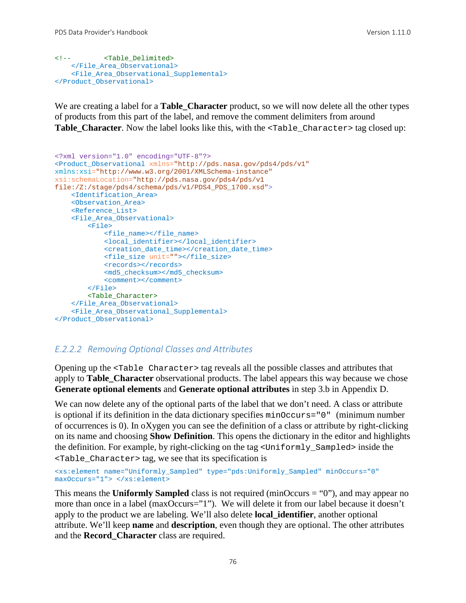```
<!-- <Table_Delimited>
    </File_Area_Observational>
    <File_Area_Observational_Supplemental>
</Product_Observational>
```
We are creating a label for a **Table\_Character** product, so we will now delete all the other types of products from this part of the label, and remove the comment delimiters from around Table\_Character. Now the label looks like this, with the <Table\_Character> tag closed up:

```
<?xml version="1.0" encoding="UTF-8"?>
<Product_Observational xmlns="http://pds.nasa.gov/pds4/pds/v1"
xmlns:xsi="http://www.w3.org/2001/XMLSchema-instance"
xsi:schemaLocation="http://pds.nasa.gov/pds4/pds/v1 
file:/Z:/stage/pds4/schema/pds/v1/PDS4_PDS_1700.xsd">
     <Identification_Area>
     <Observation_Area>
    <Reference_List>
    <File_Area_Observational>
         <File>
             <file_name></file_name>
             <local_identifier></local_identifier>
             <creation_date_time></creation_date_time>
             <file_size unit=""></file_size>
            <records></records>
             <md5_checksum></md5_checksum>
             <comment></comment>
         </File>
        <Table_Character>
     </File_Area_Observational>
     <File_Area_Observational_Supplemental>
</Product_Observational>
```
## *E.2.2.2 Removing Optional Classes and Attributes*

Opening up the <Table Character> tag reveals all the possible classes and attributes that apply to **Table\_Character** observational products. The label appears this way because we chose **Generate optional elements** and **Generate optional attributes** in step 3.b in Appendix D.

We can now delete any of the optional parts of the label that we don't need. A class or attribute is optional if its definition in the data dictionary specifies minOccurs="0" (minimum number of occurrences is 0). In oXygen you can see the definition of a class or attribute by right-clicking on its name and choosing **Show Definition**. This opens the dictionary in the editor and highlights the definition. For example, by right-clicking on the tag <Uniformly\_Sampled> inside the <Table\_Character> tag, we see that its specification is

```
<xs:element name="Uniformly_Sampled" type="pds:Uniformly_Sampled" minOccurs="0" 
maxOccurs="1"> </xs:element>
```
This means the **Uniformly Sampled** class is not required (minOccurs = "0"), and may appear no more than once in a label (maxOccurs="1"). We will delete it from our label because it doesn't apply to the product we are labeling. We'll also delete **local\_identifier**, another optional attribute. We'll keep **name** and **description**, even though they are optional. The other attributes and the **Record\_Character** class are required.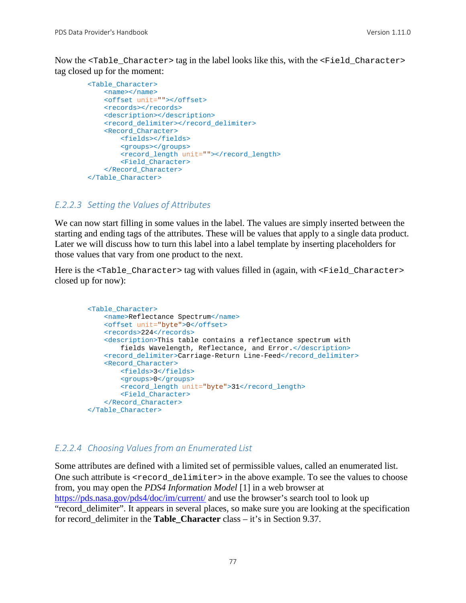Now the <Table\_Character> tag in the label looks like this, with the <Field\_Character> tag closed up for the moment:

```
 <Table_Character>
     <name></name>
     <offset unit=""></offset>
    <records></records>
     <description></description>
    <record_delimiter></record_delimiter>
     <Record_Character>
         <fields></fields>
         <groups></groups>
         <record_length unit=""></record_length>
         <Field_Character>
     </Record_Character>
 </Table_Character>
```
## *E.2.2.3 Setting the Values of Attributes*

We can now start filling in some values in the label. The values are simply inserted between the starting and ending tags of the attributes. These will be values that apply to a single data product. Later we will discuss how to turn this label into a label template by inserting placeholders for those values that vary from one product to the next.

Here is the <Table\_Character> tag with values filled in (again, with <Field\_Character> closed up for now):

```
 <Table_Character>
     <name>Reflectance Spectrum</name>
     <offset unit="byte">0</offset>
     <records>224</records>
     <description>This table contains a reflectance spectrum with 
         fields Wavelength, Reflectance, and Error.</description>
    <record_delimiter>Carriage-Return Line-Feed</record_delimiter>
     <Record_Character>
         <fields>3</fields>
         <groups>0</groups>
         <record_length unit="byte">31</record_length>
         <Field_Character>
     </Record_Character>
 </Table_Character>
```
#### *E.2.2.4 Choosing Values from an Enumerated List*

Some attributes are defined with a limited set of permissible values, called an enumerated list. One such attribute is <record\_delimiter> in the above example. To see the values to choose from, you may open the *PDS4 Information Model* [1] in a web browser at <https://pds.nasa.gov/pds4/doc/im/current/> and use the browser's search tool to look up "record\_delimiter". It appears in several places, so make sure you are looking at the specification for record\_delimiter in the **Table\_Character** class – it's in Section 9.37.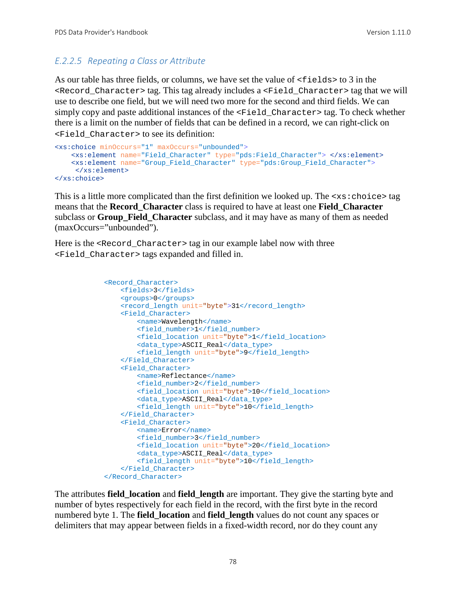# *E.2.2.5 Repeating a Class or Attribute*

As our table has three fields, or columns, we have set the value of  $\le$  fields  $>$  to 3 in the <Record\_Character> tag. This tag already includes a <Field\_Character> tag that we will use to describe one field, but we will need two more for the second and third fields. We can simply copy and paste additional instances of the <Field\_Character> tag. To check whether there is a limit on the number of fields that can be defined in a record, we can right-click on <Field\_Character> to see its definition:

```
<xs:choice minOccurs="1" maxOccurs="unbounded">
     <xs:element name="Field_Character" type="pds:Field_Character"> </xs:element>
     <xs:element name="Group_Field_Character" type="pds:Group_Field_Character">
     </xs:element>
</xs:choice>
```
This is a little more complicated than the first definition we looked up. The  $\langle x \cdot s : \text{choice} \rangle$  tag means that the **Record\_Character** class is required to have at least one **Field\_Character** subclass or **Group\_Field\_Character** subclass, and it may have as many of them as needed (maxOccurs="unbounded").

Here is the <Record Character> tag in our example label now with three <Field\_Character> tags expanded and filled in.

```
 <Record_Character>
    <fields>3</fields>
    <groups>0</groups>
   <record_length unit="byte">31</record_length>
    <Field_Character>
         <name>Wavelength</name>
        <field_number>1</field_number>
        <field_location unit="byte">1</field_location>
         <data_type>ASCII_Real</data_type>
         <field_length unit="byte">9</field_length>
     </Field_Character>
     <Field_Character>
         <name>Reflectance</name>
         <field_number>2</field_number>
         <field_location unit="byte">10</field_location>
         <data_type>ASCII_Real</data_type>
         <field_length unit="byte">10</field_length>
     </Field_Character>
     <Field_Character>
         <name>Error</name>
        <field_number>3</field_number>
        <field_location unit="byte">20</field_location>
         <data_type>ASCII_Real</data_type>
         <field_length unit="byte">10</field_length>
     </Field_Character>
 </Record_Character>
```
The attributes **field\_location** and **field\_length** are important. They give the starting byte and number of bytes respectively for each field in the record, with the first byte in the record numbered byte 1. The **field\_location** and **field\_length** values do not count any spaces or delimiters that may appear between fields in a fixed-width record, nor do they count any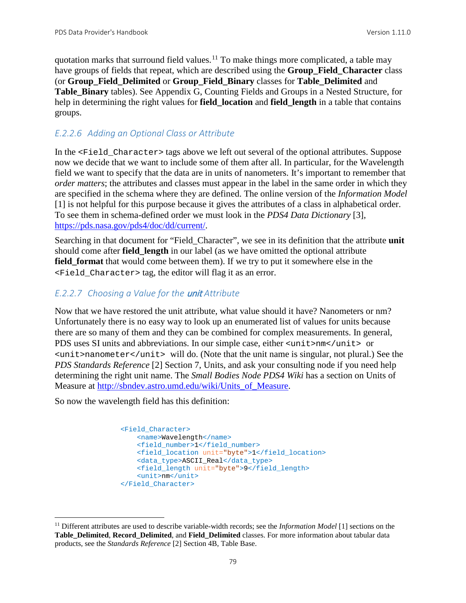quotation marks that surround field values.<sup>[11](#page-85-0)</sup> To make things more complicated, a table may have groups of fields that repeat, which are described using the **Group\_Field\_Character** class (or **Group\_Field\_Delimited** or **Group\_Field\_Binary** classes for **Table\_Delimited** and **Table\_Binary** tables). See Appendix G, Counting Fields and Groups in a Nested Structure, for help in determining the right values for **field\_location** and **field\_length** in a table that contains groups.

# *E.2.2.6 Adding an Optional Class or Attribute*

In the  $\le$ Field Character> tags above we left out several of the optional attributes. Suppose now we decide that we want to include some of them after all. In particular, for the Wavelength field we want to specify that the data are in units of nanometers. It's important to remember that *order matters*; the attributes and classes must appear in the label in the same order in which they are specified in the schema where they are defined. The online version of the *Information Model* [1] is not helpful for this purpose because it gives the attributes of a class in alphabetical order. To see them in schema-defined order we must look in the *PDS4 Data Dictionary* [3], [https://pds.nasa.gov/pds4/doc/dd/current/.](https://pds.nasa.gov/pds4/doc/dd/current/)

Searching in that document for "Field\_Character", we see in its definition that the attribute **unit** should come after **field length** in our label (as we have omitted the optional attribute **field\_format** that would come between them). If we try to put it somewhere else in the <Field\_Character> tag, the editor will flag it as an error.

# *E.2.2.7 Choosing a Value for the* unit *Attribute*

Now that we have restored the unit attribute, what value should it have? Nanometers or nm? Unfortunately there is no easy way to look up an enumerated list of values for units because there are so many of them and they can be combined for complex measurements. In general, PDS uses SI units and abbreviations. In our simple case, either <unit>nm</unit> or  $\frac{1}{\sqrt{1-\frac{1}{\sqrt{1-\frac{1}{\sqrt{1-\frac{1}{\sqrt{1-\frac{1}{\sqrt{1-\frac{1}{\sqrt{1-\frac{1}{\sqrt{1-\frac{1}{\sqrt{1-\frac{1}{\sqrt{1-\frac{1}{\sqrt{1-\frac{1}{\sqrt{1-\frac{1}{\sqrt{1-\frac{1}{\sqrt{1-\frac{1}{\sqrt{1-\frac{1}{\sqrt{1-\frac{1}{\sqrt{1-\frac{1}{\sqrt{1-\frac{1}{\sqrt{1-\frac{1}{\sqrt{1-\frac{1}{\sqrt{1-\frac{1}{\sqrt{1-\frac{1}{\sqrt{1-\frac{1}{\sqrt{1-\frac{1}{\sqrt{1-\frac{1$ *PDS Standards Reference* [2] Section 7, Units, and ask your consulting node if you need help determining the right unit name. The *Small Bodies Node PDS4 Wiki* has a section on Units of Measure at [http://sbndev.astro.umd.edu/wiki/Units\\_of\\_Measure.](http://sbndev.astro.umd.edu/wiki/Units_of_Measure)

So now the wavelength field has this definition:

```
 <Field_Character>
     <name>Wavelength</name>
     <field_number>1</field_number>
    <field_location unit="byte">1</field_location>
     <data_type>ASCII_Real</data_type>
    <field_length unit="byte">9</field_length>
     <unit>nm</unit>
 </Field_Character>
```
<span id="page-85-0"></span> <sup>11</sup> Different attributes are used to describe variable-width records; see the *Information Model* [1] sections on the **Table\_Delimited**, **Record\_Delimited**, and **Field\_Delimited** classes. For more information about tabular data products, see the *Standards Reference* [2] Section 4B, Table Base.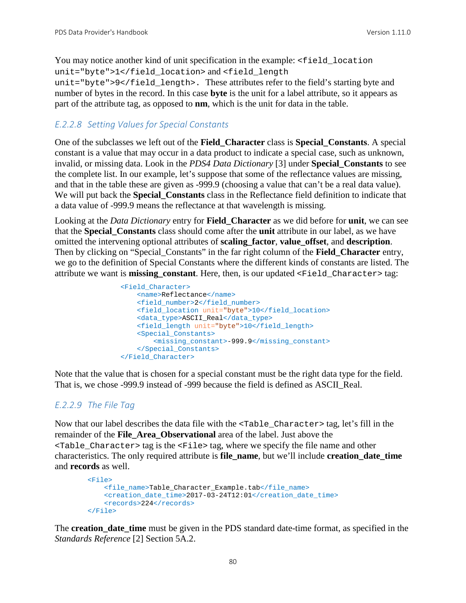You may notice another kind of unit specification in the example:  $\le$  field\_location unit="byte">1</field\_location> and <field\_length unit="byte">9</field\_length>. These attributes refer to the field's starting byte and number of bytes in the record. In this case **byte** is the unit for a label attribute, so it appears as part of the attribute tag, as opposed to **nm**, which is the unit for data in the table.

## *E.2.2.8 Setting Values for Special Constants*

One of the subclasses we left out of the **Field\_Character** class is **Special\_Constants**. A special constant is a value that may occur in a data product to indicate a special case, such as unknown, invalid, or missing data. Look in the *PDS4 Data Dictionary* [3] under **Special\_Constants** to see the complete list. In our example, let's suppose that some of the reflectance values are missing, and that in the table these are given as -999.9 (choosing a value that can't be a real data value). We will put back the **Special\_Constants** class in the Reflectance field definition to indicate that a data value of -999.9 means the reflectance at that wavelength is missing.

Looking at the *Data Dictionary* entry for **Field\_Character** as we did before for **unit**, we can see that the **Special\_Constants** class should come after the **unit** attribute in our label, as we have omitted the intervening optional attributes of **scaling\_factor**, **value\_offset**, and **description**. Then by clicking on "Special\_Constants" in the far right column of the **Field\_Character** entry, we go to the definition of Special Constants where the different kinds of constants are listed. The attribute we want is **missing\_constant**. Here, then, is our updated <Field\_Character> tag:

```
 <Field_Character>
     <name>Reflectance</name>
    <field_number>2</field_number>
    <field_location unit="byte">10</field_location>
     <data_type>ASCII_Real</data_type>
     <field_length unit="byte">10</field_length>
     <Special_Constants>
         <missing_constant>-999.9</missing_constant>
     </Special_Constants>
 </Field_Character>
```
Note that the value that is chosen for a special constant must be the right data type for the field. That is, we chose -999.9 instead of -999 because the field is defined as ASCII\_Real.

## *E.2.2.9 The File Tag*

Now that our label describes the data file with the <Table\_Character> tag, let's fill in the remainder of the **File\_Area\_Observational** area of the label. Just above the  $\epsilon$ Table Character> tag is the  $\epsilon$ File> tag, where we specify the file name and other characteristics. The only required attribute is **file\_name**, but we'll include **creation\_date\_time** and **records** as well.

```
 <File>
     <file_name>Table_Character_Example.tab</file_name>
     <creation_date_time>2017-03-24T12:01</creation_date_time>
     <records>224</records>
 </File>
```
The **creation date time** must be given in the PDS standard date-time format, as specified in the *Standards Reference* [2] Section 5A.2.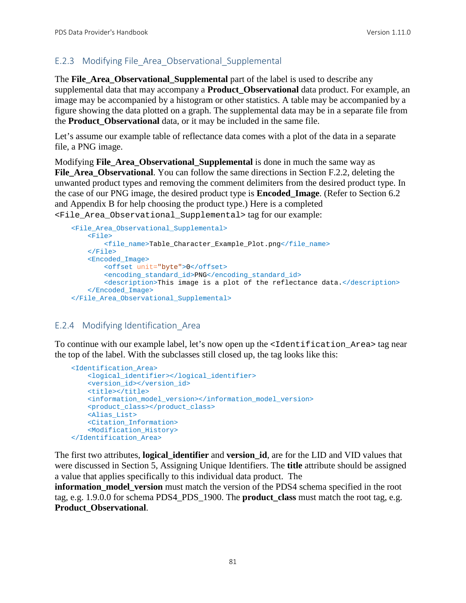## E.2.3 Modifying File\_Area\_Observational\_Supplemental

The **File\_Area\_Observational\_Supplemental** part of the label is used to describe any supplemental data that may accompany a **Product\_Observational** data product. For example, an image may be accompanied by a histogram or other statistics. A table may be accompanied by a figure showing the data plotted on a graph. The supplemental data may be in a separate file from the **Product\_Observational** data, or it may be included in the same file.

Let's assume our example table of reflectance data comes with a plot of the data in a separate file, a PNG image.

Modifying **File\_Area\_Observational\_Supplemental** is done in much the same way as File Area Observational. You can follow the same directions in Section F.2.2, deleting the unwanted product types and removing the comment delimiters from the desired product type. In the case of our PNG image, the desired product type is **Encoded\_Image**. (Refer to Section 6.2 and Appendix B for help choosing the product type.) Here is a completed <File\_Area\_Observational\_Supplemental> tag for our example:

```
 <File_Area_Observational_Supplemental>
    <sub>Fi1e</sub></sub>
         <file_name>Table_Character_Example_Plot.png</file_name>
     </File>
     <Encoded_Image>
         <offset unit="byte">0</offset>
         <encoding_standard_id>PNG</encoding_standard_id>
         <description>This image is a plot of the reflectance data.</description>
     </Encoded_Image>
 </File_Area_Observational_Supplemental>
```
## E.2.4 Modifying Identification\_Area

To continue with our example label, let's now open up the <Identification Area> tag near the top of the label. With the subclasses still closed up, the tag looks like this:

```
 <Identification_Area>
    <logical_identifier></logical_identifier>
    <version_id></version_id>
    <title></title>
    <information_model_version></information_model_version>
    <product_class></product_class>
    <Alias_List>
    <Citation_Information>
    <Modification_History>
 </Identification_Area>
```
The first two attributes, **logical\_identifier** and **version\_id**, are for the LID and VID values that were discussed in Section [5, Assigning Unique Identifiers.](#page-26-0) The **title** attribute should be assigned a value that applies specifically to this individual data product. The

**information\_model\_version** must match the version of the PDS4 schema specified in the root tag, e.g. 1.9.0.0 for schema PDS4\_PDS\_1900. The **product\_class** must match the root tag, e.g. **Product\_Observational**.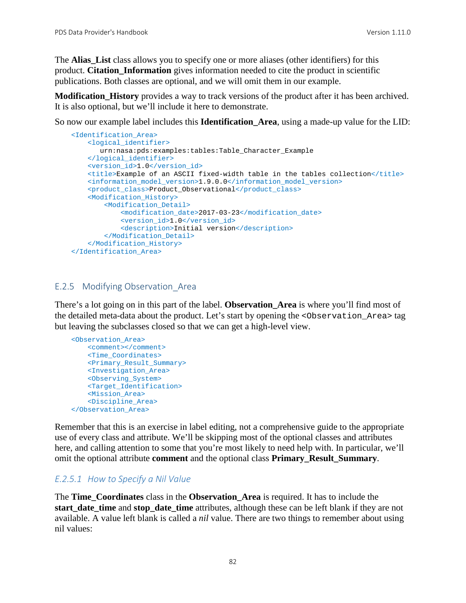The **Alias** List class allows you to specify one or more aliases (other identifiers) for this product. **Citation\_Information** gives information needed to cite the product in scientific publications. Both classes are optional, and we will omit them in our example.

**Modification\_History** provides a way to track versions of the product after it has been archived. It is also optional, but we'll include it here to demonstrate.

So now our example label includes this **Identification\_Area**, using a made-up value for the LID:

```
 <Identification_Area>
     <logical_identifier>
        urn:nasa:pds:examples:tables:Table_Character_Example
     </logical_identifier>
     <version_id>1.0</version_id>
     <title>Example of an ASCII fixed-width table in the tables collection</title>
     <information_model_version>1.9.0.0</information_model_version>
     <product_class>Product_Observational</product_class>
     <Modification_History>
         <Modification_Detail>
             <modification_date>2017-03-23</modification_date>
             <version_id>1.0</version_id>
            <description>Initial version</description>
         </Modification_Detail>
    </Modification_History>
 </Identification_Area>
```
#### E.2.5 Modifying Observation\_Area

There's a lot going on in this part of the label. **Observation\_Area** is where you'll find most of the detailed meta-data about the product. Let's start by opening the <Observation\_Area> tag but leaving the subclasses closed so that we can get a high-level view.

```
 <Observation_Area>
     <comment></comment>
     <Time_Coordinates>
     <Primary_Result_Summary>
    <Investigation_Area>
    <Observing_System>
    <Target_Identification>
    <Mission_Area>
     <Discipline_Area>
 </Observation_Area>
```
Remember that this is an exercise in label editing, not a comprehensive guide to the appropriate use of every class and attribute. We'll be skipping most of the optional classes and attributes here, and calling attention to some that you're most likely to need help with. In particular, we'll omit the optional attribute **comment** and the optional class **Primary\_Result\_Summary**.

#### *E.2.5.1 How to Specify a Nil Value*

The **Time\_Coordinates** class in the **Observation\_Area** is required. It has to include the **start** date time and **stop** date time attributes, although these can be left blank if they are not available. A value left blank is called a *nil* value. There are two things to remember about using nil values: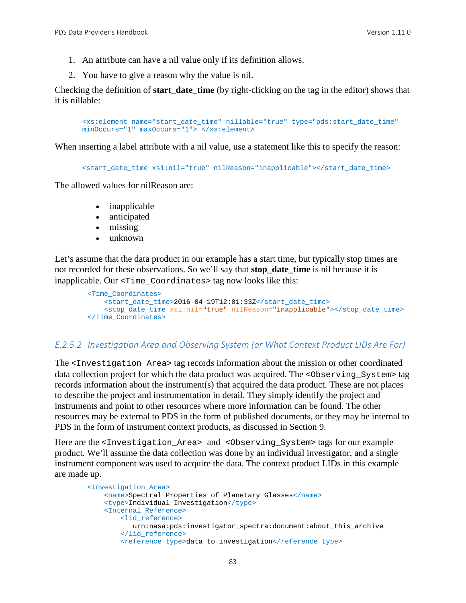- 1. An attribute can have a nil value only if its definition allows.
- 2. You have to give a reason why the value is nil.

Checking the definition of **start\_date\_time** (by right-clicking on the tag in the editor) shows that it is nillable:

```
<xs:element name="start_date_time" nillable="true" type="pds:start_date_time" 
minOccurs="1" maxOccurs="1"> </xs:element>
```
When inserting a label attribute with a nil value, use a statement like this to specify the reason:

<start\_date\_time xsi:nil="true" nilReason="inapplicable"></start\_date\_time>

The allowed values for nilReason are:

- inapplicable
- anticipated
- missing
- unknown

Let's assume that the data product in our example has a start time, but typically stop times are not recorded for these observations. So we'll say that **stop\_date\_time** is nil because it is inapplicable. Our <Time\_Coordinates> tag now looks like this:

```
 <Time_Coordinates>
    <start_date_time>2016-04-19T12:01:33Z</start_date_time>
     <stop_date_time xsi:nil="true" nilReason="inapplicable"></stop_date_time>
 </Time_Coordinates>
```
#### *E.2.5.2 Investigation Area and Observing System (or What Context Product LIDs Are For)*

The <Investigation Area> tag records information about the mission or other coordinated data collection project for which the data product was acquired. The <Observing\_System> tag records information about the instrument(s) that acquired the data product. These are not places to describe the project and instrumentation in detail. They simply identify the project and instruments and point to other resources where more information can be found. The other resources may be external to PDS in the form of published documents, or they may be internal to PDS in the form of instrument context products, as discussed in Section 9.

Here are the <Investigation\_Area> and <Observing\_System> tags for our example product. We'll assume the data collection was done by an individual investigator, and a single instrument component was used to acquire the data. The context product LIDs in this example are made up.

```
 <Investigation_Area>
     <name>Spectral Properties of Planetary Glasses</name>
     <type>Individual Investigation</type>
     <Internal_Reference>
         <lid_reference>
            urn:nasa:pds:investigator_spectra:document:about_this_archive
         </lid_reference>
         <reference_type>data_to_investigation</reference_type>
```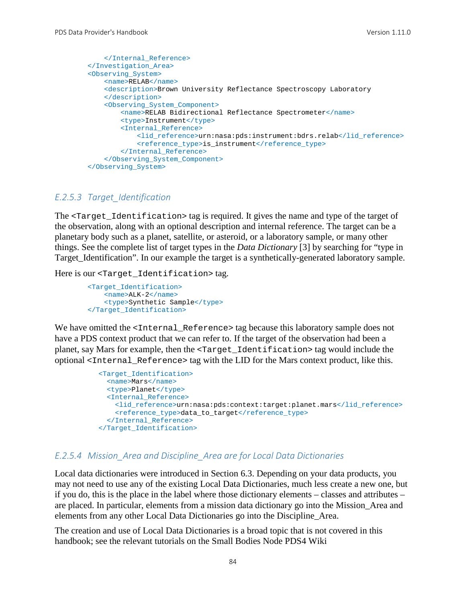```
 </Internal_Reference>
 </Investigation_Area>
 <Observing_System>
    <name>RELAB</name>
     <description>Brown University Reflectance Spectroscopy Laboratory
     </description>
     <Observing_System_Component>
         <name>RELAB Bidirectional Reflectance Spectrometer</name>
         <type>Instrument</type>
         <Internal_Reference>
             <lid_reference>urn:nasa:pds:instrument:bdrs.relab</lid_reference>
            <reference_type>is_instrument</reference_type>
        </Internal_Reference>
     </Observing_System_Component>
 </Observing_System>
```
#### *E.2.5.3 Target\_Identification*

The <Target\_Identification> tag is required. It gives the name and type of the target of the observation, along with an optional description and internal reference. The target can be a planetary body such as a planet, satellite, or asteroid, or a laboratory sample, or many other things. See the complete list of target types in the *Data Dictionary* [3] by searching for "type in Target\_Identification". In our example the target is a synthetically-generated laboratory sample.

Here is our <Target\_Identification> tag.

```
 <Target_Identification>
    <name>ALK-2</name>
     <type>Synthetic Sample</type>
 </Target_Identification>
```
We have omitted the <Internal\_Reference> tag because this laboratory sample does not have a PDS context product that we can refer to. If the target of the observation had been a planet, say Mars for example, then the <Target\_Identification> tag would include the optional <Internal\_Reference> tag with the LID for the Mars context product, like this.

```
 <Target_Identification>
   <name>Mars</name>
   <type>Planet</type>
   <Internal_Reference>
    <lid_reference>urn:nasa:pds:context:target:planet.mars</lid_reference>
    <reference_type>data_to_target</reference_type>
   </Internal_Reference>
 </Target_Identification>
```
#### *E.2.5.4 Mission\_Area and Discipline\_Area are for Local Data Dictionaries*

Local data dictionaries were introduced in Section 6.3. Depending on your data products, you may not need to use any of the existing Local Data Dictionaries, much less create a new one, but if you do, this is the place in the label where those dictionary elements – classes and attributes – are placed. In particular, elements from a mission data dictionary go into the Mission\_Area and elements from any other Local Data Dictionaries go into the Discipline\_Area.

The creation and use of Local Data Dictionaries is a broad topic that is not covered in this handbook; see the relevant tutorials on the Small Bodies Node PDS4 Wiki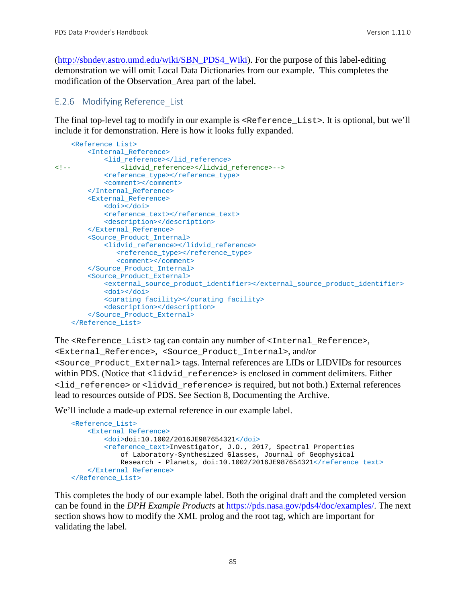[\(http://sbndev.astro.umd.edu/wiki/SBN\\_PDS4\\_Wiki\)](http://sbndev.astro.umd.edu/wiki/SBN_PDS4_Wiki). For the purpose of this label-editing demonstration we will omit Local Data Dictionaries from our example. This completes the modification of the Observation\_Area part of the label.

#### E.2.6 Modifying Reference\_List

The final top-level tag to modify in our example is <Reference\_List>. It is optional, but we'll include it for demonstration. Here is how it looks fully expanded.

```
 <Reference_List>
         <Internal_Reference>
<lid_reference></lid_reference>>>>>>><lidyid
                <!-- <lidvid_reference></lidvid_reference>-->
             <reference_type></reference_type>
             <comment></comment>
         </Internal_Reference>
         <External_Reference>
             <doi></doi>
            <reference_text></reference_text>
             <description></description>
         </External_Reference>
         <Source_Product_Internal>
             <lidvid_reference></lidvid_reference>
               <reference_type></reference_type>
                <comment></comment>
         </Source_Product_Internal>
         <Source_Product_External>
             <external_source_product_identifier></external_source_product_identifier>
             <doi></doi>
             <curating_facility></curating_facility>
             <description></description>
         </Source_Product_External>
     </Reference_List>
```
The <Reference\_List> tag can contain any number of <Internal\_Reference>,

<External\_Reference>, <Source\_Product\_Internal>, and/or <Source\_Product\_External> tags. Internal references are LIDs or LIDVIDs for resources within PDS. (Notice that  $\langle$ lidvid\_reference> is enclosed in comment delimiters. Either <lid\_reference> or <lidvid\_reference> is required, but not both.) External references lead to resources outside of PDS. See Section 8, Documenting the Archive.

We'll include a made-up external reference in our example label.

```
 <Reference_List>
     <External_Reference>
         <doi>doi:10.1002/2016JE987654321</doi>
         <reference_text>Investigator, J.O., 2017, Spectral Properties 
             of Laboratory-Synthesized Glasses, Journal of Geophysical 
            Research - Planets, doi:10.1002/2016JE987654321</reference_text>
     </External_Reference>
 </Reference_List>
```
This completes the body of our example label. Both the original draft and the completed version can be found in the *DPH Example Products* at [https://pds.nasa.gov/pds4/doc/examples/.](https://pds.nasa.gov/pds4/doc/examples/) The next section shows how to modify the XML prolog and the root tag, which are important for validating the label.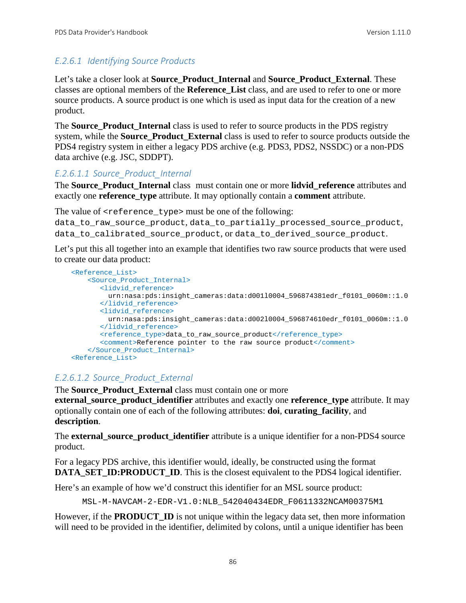# *E.2.6.1 Identifying Source Products*

Let's take a closer look at **Source\_Product\_Internal** and **Source\_Product\_External**. These classes are optional members of the **Reference\_List** class, and are used to refer to one or more source products. A source product is one which is used as input data for the creation of a new product.

The **Source\_Product\_Internal** class is used to refer to source products in the PDS registry system, while the **Source Product External** class is used to refer to source products outside the PDS4 registry system in either a legacy PDS archive (e.g. PDS3, PDS2, NSSDC) or a non-PDS data archive (e.g. JSC, SDDPT).

## *E.2.6.1.1 Source\_Product\_Internal*

The **Source\_Product\_Internal** class must contain one or more **lidvid\_reference** attributes and exactly one **reference\_type** attribute. It may optionally contain a **comment** attribute.

The value of <reference\_type> must be one of the following:

data to raw source product, data to partially processed source product, data\_to\_calibrated\_source\_product, or data\_to\_derived\_source\_product.

Let's put this all together into an example that identifies two raw source products that were used to create our data product:

```
 <Reference_List>
    <Source_Product_Internal>
       <lidvid_reference>
         urn:nasa:pds:insight_cameras:data:d001l0004_596874381edr_f0101_0060m::1.0
       </lidvid_reference>
       <lidvid_reference>
         urn:nasa:pds:insight_cameras:data:d002l0004_596874610edr_f0101_0060m::1.0
        </lidvid_reference>
      <reference_type>data_to_raw_source_product</reference_type>
       <comment>Reference pointer to the raw source product</comment>
    </Source_Product_Internal>
 <Reference_List>
```
## *E.2.6.1.2 Source\_Product\_External*

The **Source Product External** class must contain one or more **external source product identifier** attributes and exactly one **reference** type attribute. It may optionally contain one of each of the following attributes: **doi**, **curating\_facility**, and **description**.

The **external source product identifier** attribute is a unique identifier for a non-PDS4 source product.

For a legacy PDS archive, this identifier would, ideally, be constructed using the format **DATA\_SET\_ID:PRODUCT\_ID.** This is the closest equivalent to the PDS4 logical identifier.

Here's an example of how we'd construct this identifier for an MSL source product:

MSL-M-NAVCAM-2-EDR-V1.0:NLB\_542040434EDR\_F0611332NCAM00375M1

However, if the **PRODUCT ID** is not unique within the legacy data set, then more information will need to be provided in the identifier, delimited by colons, until a unique identifier has been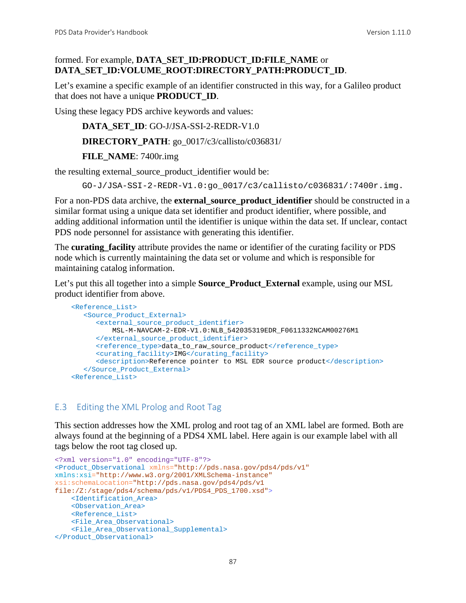## formed. For example, **DATA\_SET\_ID:PRODUCT\_ID:FILE\_NAME** or **DATA\_SET\_ID:VOLUME\_ROOT:DIRECTORY\_PATH:PRODUCT\_ID**.

Let's examine a specific example of an identifier constructed in this way, for a Galileo product that does not have a unique **PRODUCT\_ID**.

Using these legacy PDS archive keywords and values:

**DATA\_SET\_ID**: GO-J/JSA-SSI-2-REDR-V1.0 **DIRECTORY\_PATH**: go\_0017/c3/callisto/c036831/

**FILE\_NAME**: 7400r.img

the resulting external\_source\_product\_identifier would be:

GO-J/JSA-SSI-2-REDR-V1.0:go\_0017/c3/callisto/c036831/:7400r.img.

For a non-PDS data archive, the **external\_source\_product\_identifier** should be constructed in a similar format using a unique data set identifier and product identifier, where possible, and adding additional information until the identifier is unique within the data set. If unclear, contact PDS node personnel for assistance with generating this identifier.

The **curating\_facility** attribute provides the name or identifier of the curating facility or PDS node which is currently maintaining the data set or volume and which is responsible for maintaining catalog information.

Let's put this all together into a simple **Source\_Product\_External** example, using our MSL product identifier from above.

```
 <Reference_List>
    <Source_Product_External>
      <external_source_product_identifier>
          MSL-M-NAVCAM-2-EDR-V1.0:NLB_542035319EDR_F0611332NCAM00276M1
      </external_source_product_identifier>
       <reference_type>data_to_raw_source_product</reference_type>
       <curating_facility>IMG</curating_facility>
       <description>Reference pointer to MSL EDR source product</description>
    </Source_Product_External>
 <Reference_List>
```
# E.3 Editing the XML Prolog and Root Tag

This section addresses how the XML prolog and root tag of an XML label are formed. Both are always found at the beginning of a PDS4 XML label. Here again is our example label with all tags below the root tag closed up.

```
<?xml version="1.0" encoding="UTF-8"?>
<Product_Observational xmlns="http://pds.nasa.gov/pds4/pds/v1"
xmlns:xsi="http://www.w3.org/2001/XMLSchema-instance"
xsi:schemaLocation="http://pds.nasa.gov/pds4/pds/v1 
file:/Z:/stage/pds4/schema/pds/v1/PDS4_PDS_1700.xsd">
     <Identification_Area>
     <Observation_Area>
     <Reference_List>
     <File_Area_Observational>
     <File_Area_Observational_Supplemental>
</Product_Observational>
```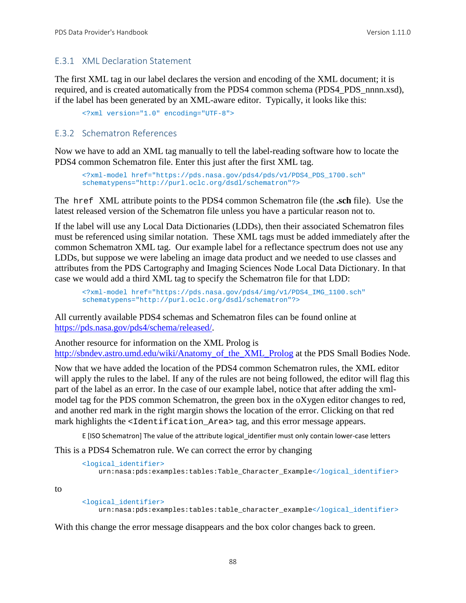## E.3.1 XML Declaration Statement

The first XML tag in our label declares the version and encoding of the XML document; it is required, and is created automatically from the PDS4 common schema (PDS4\_PDS\_nnnn.xsd), if the label has been generated by an XML-aware editor. Typically, it looks like this:

<?xml version="1.0" encoding="UTF-8">

## E.3.2 Schematron References

Now we have to add an XML tag manually to tell the label-reading software how to locate the PDS4 common Schematron file. Enter this just after the first XML tag.

<?xml-model href="https://pds.nasa.gov/pds4/pds/v1/PDS4\_PDS\_1700.sch" schematypens="http://purl.oclc.org/dsdl/schematron"?>

The href XML attribute points to the PDS4 common Schematron file (the **.sch** file). Use the latest released version of the Schematron file unless you have a particular reason not to.

If the label will use any Local Data Dictionaries (LDDs), then their associated Schematron files must be referenced using similar notation. These XML tags must be added immediately after the common Schematron XML tag. Our example label for a reflectance spectrum does not use any LDDs, but suppose we were labeling an image data product and we needed to use classes and attributes from the PDS Cartography and Imaging Sciences Node Local Data Dictionary. In that case we would add a third XML tag to specify the Schematron file for that LDD:

```
<?xml-model href="https://pds.nasa.gov/pds4/img/v1/PDS4_IMG_1100.sch"
schematypens="http://purl.oclc.org/dsdl/schematron"?>
```
All currently available PDS4 schemas and Schematron files can be found online at [https://pds.nasa.gov/pds4/schema/released/.](https://pds.nasa.gov/pds4/schema/released/)

Another resource for information on the XML Prolog is [http://sbndev.astro.umd.edu/wiki/Anatomy\\_of\\_the\\_XML\\_Prolog](http://sbndev.astro.umd.edu/wiki/Anatomy_of_the_XML_Prolog) at the PDS Small Bodies Node.

Now that we have added the location of the PDS4 common Schematron rules, the XML editor will apply the rules to the label. If any of the rules are not being followed, the editor will flag this part of the label as an error. In the case of our example label, notice that after adding the xmlmodel tag for the PDS common Schematron, the green box in the oXygen editor changes to red, and another red mark in the right margin shows the location of the error. Clicking on that red mark highlights the  $\leq$ Identification Area> tag, and this error message appears.

E [ISO Schematron] The value of the attribute logical\_identifier must only contain lower-case letters

This is a PDS4 Schematron rule. We can correct the error by changing

```
<logical_identifier>
    urn:nasa:pds:examples:tables:Table_Character_Example</logical_identifier>
```
to

```
<logical_identifier>
    urn:nasa:pds:examples:tables:table_character_example</logical_identifier>
```
With this change the error message disappears and the box color changes back to green.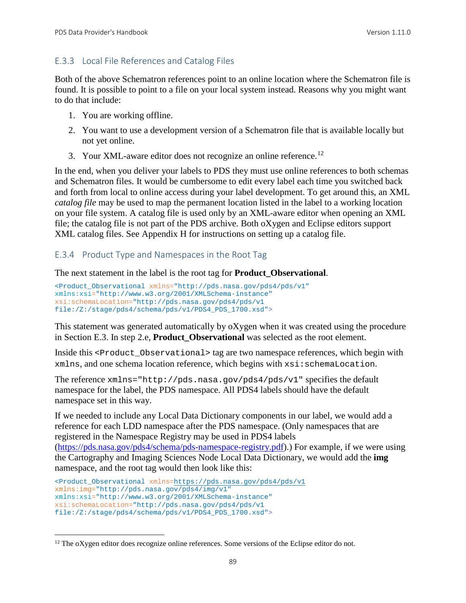## E.3.3 Local File References and Catalog Files

Both of the above Schematron references point to an online location where the Schematron file is found. It is possible to point to a file on your local system instead. Reasons why you might want to do that include:

- 1. You are working offline.
- 2. You want to use a development version of a Schematron file that is available locally but not yet online.
- 3. Your XML-aware editor does not recognize an online reference.<sup>[12](#page-95-0)</sup>

In the end, when you deliver your labels to PDS they must use online references to both schemas and Schematron files. It would be cumbersome to edit every label each time you switched back and forth from local to online access during your label development. To get around this, an XML *catalog file* may be used to map the permanent location listed in the label to a working location on your file system. A catalog file is used only by an XML-aware editor when opening an XML file; the catalog file is not part of the PDS archive. Both oXygen and Eclipse editors support XML catalog files. See Appendix H for instructions on setting up a catalog file.

## E.3.4 Product Type and Namespaces in the Root Tag

The next statement in the label is the root tag for **Product\_Observational**.

```
<Product_Observational xmlns="http://pds.nasa.gov/pds4/pds/v1"
xmlns:xsi="http://www.w3.org/2001/XMLSchema-instance"
xsi:schemaLocation="http://pds.nasa.gov/pds4/pds/v1 
file:/Z:/stage/pds4/schema/pds/v1/PDS4_PDS_1700.xsd">
```
This statement was generated automatically by oXygen when it was created using the procedure in Section E.3. In step 2.e, **Product\_Observational** was selected as the root element.

Inside this <product observational>tag are two namespace references, which begin with xmlns, and one schema location reference, which begins with xsi:schemaLocation.

The reference xmlns="http://pds.nasa.gov/pds4/pds/v1" specifies the default namespace for the label, the PDS namespace. All PDS4 labels should have the default namespace set in this way.

If we needed to include any Local Data Dictionary components in our label, we would add a reference for each LDD namespace after the PDS namespace. (Only namespaces that are registered in the Namespace Registry may be used in PDS4 labels

[\(https://pds.nasa.gov/pds4/schema/pds-namespace-registry.pdf\)](https://pds.nasa.gov/pds4/schema/pds-namespace-registry.pdf).) For example, if we were using the Cartography and Imaging Sciences Node Local Data Dictionary, we would add the **img** namespace, and the root tag would then look like this:

```
<Product_Observational xmlns=https://pds.nasa.gov/pds4/pds/v1
xmlns:img="http://pds.nasa.gov/pds4/img/v1"
xmlns:xsi="http://www.w3.org/2001/XMLSchema-instance"
xsi:schemaLocation="http://pds.nasa.gov/pds4/pds/v1 
file:/Z:/stage/pds4/schema/pds/v1/PDS4_PDS_1700.xsd">
```
<span id="page-95-0"></span><sup>&</sup>lt;sup>12</sup> The oXygen editor does recognize online references. Some versions of the Eclipse editor do not.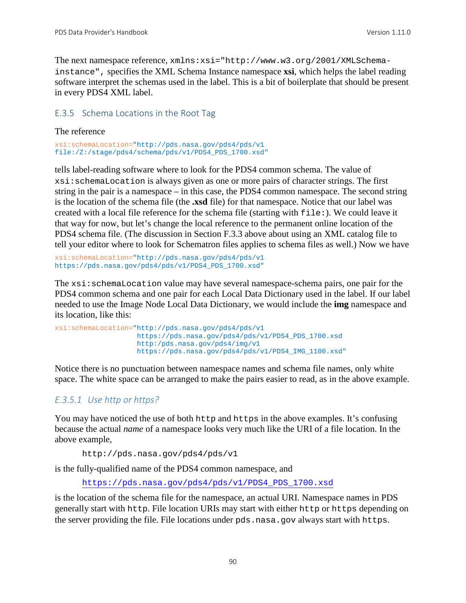The next namespace reference, xmlns:xsi="http://www.w3.org/2001/XMLSchemainstance", specifies the XML Schema Instance namespace **xsi**, which helps the label reading software interpret the schemas used in the label. This is a bit of boilerplate that should be present in every PDS4 XML label.

#### E.3.5 Schema Locations in the Root Tag

#### The reference

```
xsi:schemaLocation="http://pds.nasa.gov/pds4/pds/v1 
file:/Z:/stage/pds4/schema/pds/v1/PDS4_PDS_1700.xsd"
```
tells label-reading software where to look for the PDS4 common schema. The value of xsi:schemaLocation is always given as one or more pairs of character strings. The first string in the pair is a namespace – in this case, the PDS4 common namespace. The second string is the location of the schema file (the **.xsd** file) for that namespace. Notice that our label was created with a local file reference for the schema file (starting with file:). We could leave it that way for now, but let's change the local reference to the permanent online location of the PDS4 schema file. (The discussion in Section F.3.3 above about using an XML catalog file to tell your editor where to look for Schematron files applies to schema files as well.) Now we have

```
xsi:schemaLocation="http://pds.nasa.gov/pds4/pds/v1 
https://pds.nasa.gov/pds4/pds/v1/PDS4_PDS_1700.xsd"
```
The  $xsi:$  schemaLocation value may have several namespace-schema pairs, one pair for the PDS4 common schema and one pair for each Local Data Dictionary used in the label. If our label needed to use the Image Node Local Data Dictionary, we would include the **img** namespace and its location, like this:

```
xsi:schemaLocation="http://pds.nasa.gov/pds4/pds/v1
                    https://pds.nasa.gov/pds4/pds/v1/PDS4_PDS_1700.xsd
                     http:/pds.nasa.gov/pds4/img/v1
                    https://pds.nasa.gov/pds4/pds/v1/PDS4_IMG_1100.xsd"
```
Notice there is no punctuation between namespace names and schema file names, only white space. The white space can be arranged to make the pairs easier to read, as in the above example.

## *E.3.5.1 Use http or https?*

You may have noticed the use of both http and https in the above examples. It's confusing because the actual *name* of a namespace looks very much like the URI of a file location. In the above example,

```
http://pds.nasa.gov/pds4/pds/v1
```
is the fully-qualified name of the PDS4 common namespace, and

[https://pds.nasa.gov/pds4/pds/v1/PDS4\\_PDS\\_1700.xsd](https://pds.nasa.gov/pds4/pds/v1/PDS4_PDS_1700.xsd)

is the location of the schema file for the namespace, an actual URI. Namespace names in PDS generally start with http. File location URIs may start with either http or https depending on the server providing the file. File locations under pds.nasa.gov always start with https.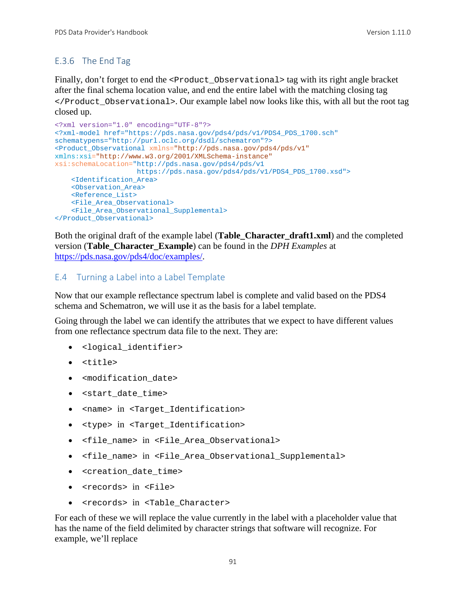# E.3.6 The End Tag

Finally, don't forget to end the <Product\_Observational> tag with its right angle bracket after the final schema location value, and end the entire label with the matching closing tag </Product\_Observational>. Our example label now looks like this, with all but the root tag closed up.

```
<?xml version="1.0" encoding="UTF-8"?>
<?xml-model href="https://pds.nasa.gov/pds4/pds/v1/PDS4_PDS_1700.sch"
schematypens="http://purl.oclc.org/dsdl/schematron"?>
<Product_Observational xmlns="http://pds.nasa.gov/pds4/pds/v1"
xmlns:xsi="http://www.w3.org/2001/XMLSchema-instance"
xsi:schemaLocation="http://pds.nasa.gov/pds4/pds/v1
                     https://pds.nasa.gov/pds4/pds/v1/PDS4_PDS_1700.xsd">
     <Identification_Area>
     <Observation_Area>
     <Reference_List>
    <File_Area_Observational>
     <File_Area_Observational_Supplemental>
</Product_Observational>
```
Both the original draft of the example label (**Table\_Character\_draft1.xml**) and the completed version (**Table\_Character\_Example**) can be found in the *DPH Examples* at [https://pds.nasa.gov/pds4/doc/examples/.](https://pds.nasa.gov/pds4/doc/examples/)

#### E.4 Turning a Label into a Label Template

Now that our example reflectance spectrum label is complete and valid based on the PDS4 schema and Schematron, we will use it as the basis for a label template.

Going through the label we can identify the attributes that we expect to have different values from one reflectance spectrum data file to the next. They are:

- <logical\_identifier>
- <title>
- <modification date>
- <start date time>
- <name> in <Target Identification>
- <type> in <Target\_Identification>
- <file\_name> in <File\_Area\_Observational>
- <file\_name> in <File\_Area\_Observational\_Supplemental>
- <creation\_date\_time>
- <records> in <File>
- <records> in <Table\_Character>

For each of these we will replace the value currently in the label with a placeholder value that has the name of the field delimited by character strings that software will recognize. For example, we'll replace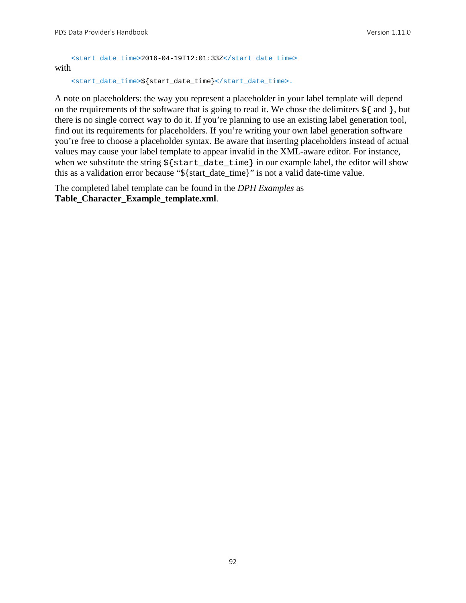```
<start_date_time>2016-04-19T12:01:33Z</start_date_time>
with
```

```
<start_date_time>${start_date_time}</start_date_time>.
```
A note on placeholders: the way you represent a placeholder in your label template will depend on the requirements of the software that is going to read it. We chose the delimiters  $\frac{1}{2}$  and  $\}$ , but there is no single correct way to do it. If you're planning to use an existing label generation tool, find out its requirements for placeholders. If you're writing your own label generation software you're free to choose a placeholder syntax. Be aware that inserting placeholders instead of actual values may cause your label template to appear invalid in the XML-aware editor. For instance, when we substitute the string  $\frac{1}{5}$  start date time in our example label, the editor will show this as a validation error because "\${start\_date\_time}" is not a valid date-time value.

The completed label template can be found in the *DPH Examples* as **Table\_Character\_Example\_template.xml**.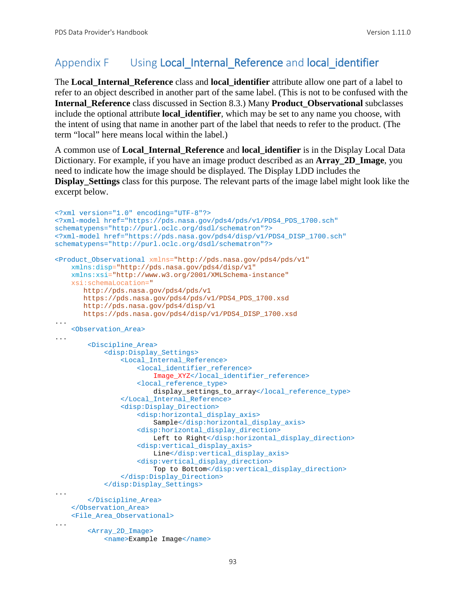# Appendix F Using Local Internal Reference and local identifier

The **Local\_Internal\_Reference** class and **local\_identifier** attribute allow one part of a label to refer to an object described in another part of the same label. (This is not to be confused with the **Internal\_Reference** class discussed in Section 8.3.) Many **Product\_Observational** subclasses include the optional attribute **local\_identifier**, which may be set to any name you choose, with the intent of using that name in another part of the label that needs to refer to the product. (The term "local" here means local within the label.)

A common use of **Local\_Internal\_Reference** and **local\_identifier** is in the Display Local Data Dictionary. For example, if you have an image product described as an **Array\_2D\_Image**, you need to indicate how the image should be displayed. The Display LDD includes the **Display\_Settings** class for this purpose. The relevant parts of the image label might look like the excerpt below.

```
<?xml version="1.0" encoding="UTF-8"?> 
<?xml-model href="https://pds.nasa.gov/pds4/pds/v1/PDS4_PDS_1700.sch" 
schematypens="http://purl.oclc.org/dsdl/schematron"?>
<?xml-model href="https://pds.nasa.gov/pds4/disp/v1/PDS4_DISP_1700.sch" 
schematypens="http://purl.oclc.org/dsdl/schematron"?>
<Product_Observational xmlns="http://pds.nasa.gov/pds4/pds/v1"
     xmlns:disp="http://pds.nasa.gov/pds4/disp/v1"
    xmlns:xsi="http://www.w3.org/2001/XMLSchema-instance"
    xsi:schemaLocation="
       http://pds.nasa.gov/pds4/pds/v1 
       https://pds.nasa.gov/pds4/pds/v1/PDS4_PDS_1700.xsd
        http://pds.nasa.gov/pds4/disp/v1
       https://pds.nasa.gov/pds4/disp/v1/PDS4_DISP_1700.xsd
...
     <Observation_Area>
...
         <Discipline_Area>
             <disp:Display_Settings>
                 <Local_Internal_Reference>
                     <local_identifier_reference>
                         Image_XYZ</local_identifier_reference>
                     <local_reference_type>
                         display_settings_to_array</local_reference_type>
                 </Local_Internal_Reference>
                 <disp:Display_Direction>
                      <disp:horizontal_display_axis>
                          Sample</disp:horizontal_display_axis>
                      <disp:horizontal_display_direction>
                        Left to Right</disp:horizontal_display_direction>
                      <disp:vertical_display_axis>
                         Line</disp:vertical_display_axis>
                     <disp:vertical_display_direction>
                         Top to Bottom</disp:vertical_display_direction>
                 </disp:Display_Direction>
             </disp:Display_Settings>
...
         </Discipline_Area>
    </Observation_Area>
     <File_Area_Observational>
...
         <Array_2D_Image>
             <name>Example Image</name>
```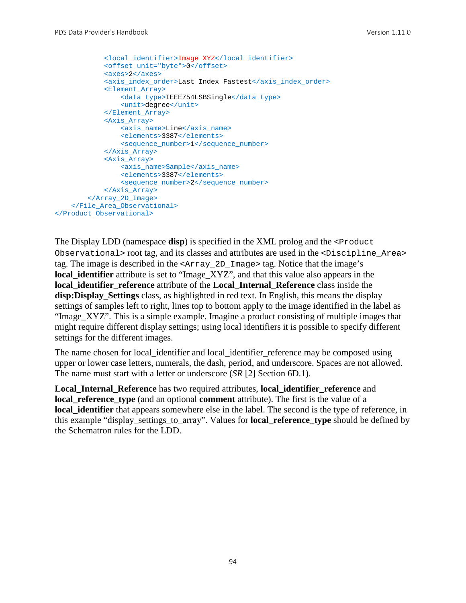```
 <local_identifier>Image_XYZ</local_identifier>
             <offset unit="byte">0</offset>
             <axes>2</axes>
            <axis_index_order>Last Index Fastest</axis_index_order>
             <Element_Array>
                 <data_type>IEEE754LSBSingle</data_type>
                 <unit>degree</unit>
             </Element_Array>
             <Axis_Array>
                 <axis_name>Line</axis_name>
                 <elements>3387</elements>
                 <sequence_number>1</sequence_number>
             </Axis_Array>
             <Axis_Array>
                 <axis_name>Sample</axis_name>
                 <elements>3387</elements>
                 <sequence_number>2</sequence_number>
             </Axis_Array>
         </Array_2D_Image>
     </File_Area_Observational>
</Product_Observational>
```
The Display LDD (namespace **disp**) is specified in the XML prolog and the <Product Observational> root tag, and its classes and attributes are used in the <Discipline\_Area> tag. The image is described in the <Array\_2D\_Image> tag. Notice that the image's **local identifier** attribute is set to "Image XYZ", and that this value also appears in the **local\_identifier\_reference** attribute of the **Local\_Internal\_Reference** class inside the **disp:Display\_Settings** class, as highlighted in red text. In English, this means the display settings of samples left to right, lines top to bottom apply to the image identified in the label as "Image\_XYZ". This is a simple example. Imagine a product consisting of multiple images that might require different display settings; using local identifiers it is possible to specify different settings for the different images.

The name chosen for local\_identifier and local\_identifier\_reference may be composed using upper or lower case letters, numerals, the dash, period, and underscore. Spaces are not allowed. The name must start with a letter or underscore (*SR* [2] Section 6D.1).

**Local\_Internal\_Reference** has two required attributes, **local\_identifier\_reference** and **local reference type** (and an optional **comment** attribute). The first is the value of a **local identifier** that appears somewhere else in the label. The second is the type of reference, in this example "display\_settings\_to\_array". Values for **local\_reference\_type** should be defined by the Schematron rules for the LDD.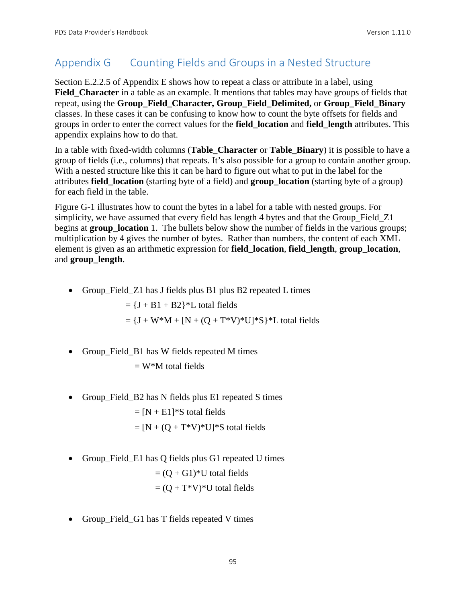# Appendix G Counting Fields and Groups in a Nested Structure

Section E.2.2.5 of Appendix E shows how to repeat a class or attribute in a label, using **Field\_Character** in a table as an example. It mentions that tables may have groups of fields that repeat, using the **Group\_Field\_Character, Group\_Field\_Delimited,** or **Group\_Field\_Binary** classes. In these cases it can be confusing to know how to count the byte offsets for fields and groups in order to enter the correct values for the **field\_location** and **field\_length** attributes. This appendix explains how to do that.

In a table with fixed-width columns (**Table\_Character** or **Table\_Binary**) it is possible to have a group of fields (i.e., columns) that repeats. It's also possible for a group to contain another group. With a nested structure like this it can be hard to figure out what to put in the label for the attributes **field\_location** (starting byte of a field) and **group\_location** (starting byte of a group) for each field in the table.

Figure G-1 illustrates how to count the bytes in a label for a table with nested groups. For simplicity, we have assumed that every field has length 4 bytes and that the Group\_Field\_Z1 begins at **group** location 1. The bullets below show the number of fields in the various groups; multiplication by 4 gives the number of bytes. Rather than numbers, the content of each XML element is given as an arithmetic expression for **field\_location**, **field\_length**, **group\_location**, and **group\_length**.

• Group\_Field\_Z1 has J fields plus B1 plus B2 repeated L times

 $= {J + B1 + B2}$ <sup>\*</sup>L total fields

 $= {J + W^*M + [N + (Q + T^*V)^*U]^*S}^*L$  total fields

• Group\_Field\_B1 has W fields repeated M times

 $=$  W<sup>\*</sup>M total fields

• Group\_Field\_B2 has N fields plus E1 repeated S times

 $=[N + E1]*S$  total fields  $=[N + (Q + T^*V)^*U]^*S$  total fields

• Group\_Field\_E1 has Q fields plus G1 repeated U times

$$
= (Q + G1)^*U \text{ total fields}
$$

- $= (Q + T^*V)^*U$  total fields
- Group\_Field\_G1 has T fields repeated V times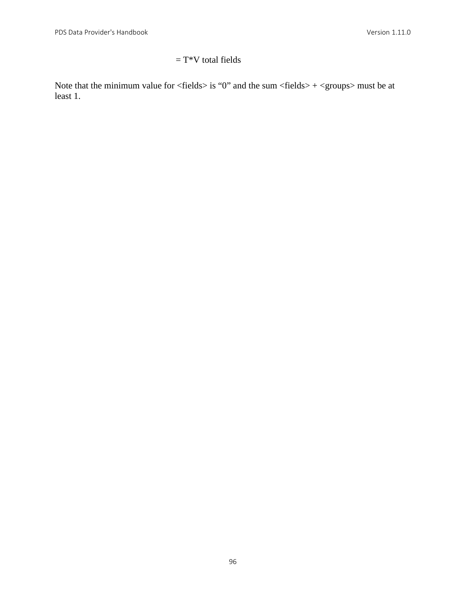# $= T^*V$  total fields

Note that the minimum value for  $\langle$  fields $\rangle$  is "0" and the sum  $\langle$  fields $\rangle$  +  $\langle$  groups $\rangle$  must be at least 1.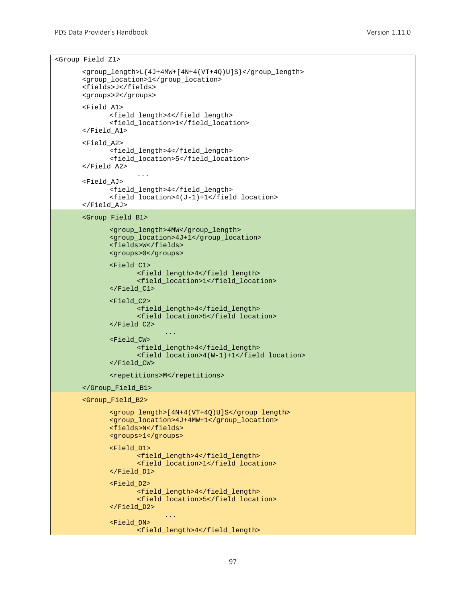<Group\_Field\_Z1>

```
<group_length>L{4J+4MW+[4N+4(VT+4Q)U]S}</group_length>
<group_location>1</group_location>
<fields>J</fields>
<groups>2</groups>
<Field_A1>
       <field_length>4</field_length>
       <field_location>1</field_location>
</Field_A1>
<Field_A2>
       <field_length>4</field_length>
       <field_location>5</field_location>
</Field_A2>
              ...
<Field_AJ>
       <field_length>4</field_length>
       <field_location>4(J-1)+1</field_location>
</Field_AJ>
<Group_Field_B1>
       <group_length>4MW</group_length>
       <group_location>4J+1</group_location>
       <fields>W</fields>
      <groups>0</groups>
      <Field_C1>
             <field_length>4</field_length>
             <field_location>1</field_location>
       </Field_C1>
       <Field_C2>
             <field_length>4</field_length>
             <field_location>5</field_location>
       </Field_C2>
                    ...
       <Field_CW>
             <field_length>4</field_length>
             <field_location>4(W-1)+1</field_location>
       </Field_CW>
       <repetitions>M</repetitions>
</Group_Field_B1>
<Group_Field_B2>
       <group_length>[4N+4(VT+4Q)U]S</group_length>
       <group_location>4J+4MW+1</group_location>
      <fields>N</fields>
      <groups>1</groups>
       <Field_D1>
             <field_length>4</field_length>
             <field_location>1</field_location>
       </Field_D1>
      <Field_D2>
             <field_length>4</field_length>
             <field_location>5</field_location>
      </Field_D2>
                    ...
```

```
<Field_DN>
      <field_length>4</field_length>
```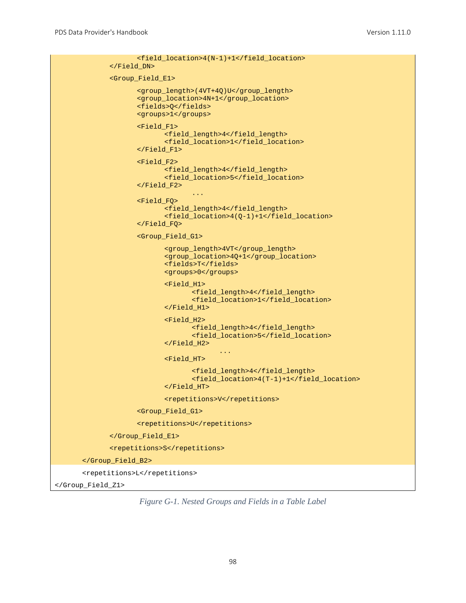```
<field_location>4(N-1)+1</field_location>
             </Field_DN>
             <Group_Field_E1>
                    <group_length>(4VT+4Q)U</group_length>
                    <group_location>4N+1</group_location>
                    <fields>Q</fields>
                    <groups>1</groups>
                    <Field_F1>
                           <field_length>4</field_length>
                           <field_location>1</field_location>
                    </Field_F1>
                    <Field_F2>
                           <field_length>4</field_length>
                           <field_location>5</field_location>
                    </Field_F2>
                                  ...
                    <Field_FQ>
                           <field_length>4</field_length>
                           <field_location>4(Q-1)+1</field_location>
                    </Field_FQ>
                    <Group_Field_G1>
                           <group_length>4VT</group_length>
                           <group_location>4Q+1</group_location>
                           <fields>T</fields>
                           <groups>0</groups>
                           <Field_H1>
                                  <field_length>4</field_length>
                                  <field_location>1</field_location>
                           </Field_H1>
                           <Field_H2>
                                  <field_length>4</field_length>
                                  <field_location>5</field_location>
                           </Field_H2>
                                         ...
                           <Field_HT>
                                  <field_length>4</field_length>
                                  <field_location>4(T-1)+1</field_location>
                           </Field_HT>
                           <repetitions>V</repetitions>
                    <Group_Field_G1>
                    <repetitions>U</repetitions>
             </Group_Field_E1>
             <repetitions>S</repetitions>
      </Group_Field_B2>
      <repetitions>L</repetitions>
</Group_Field_Z1>
```
*Figure G-1. Nested Groups and Fields in a Table Label*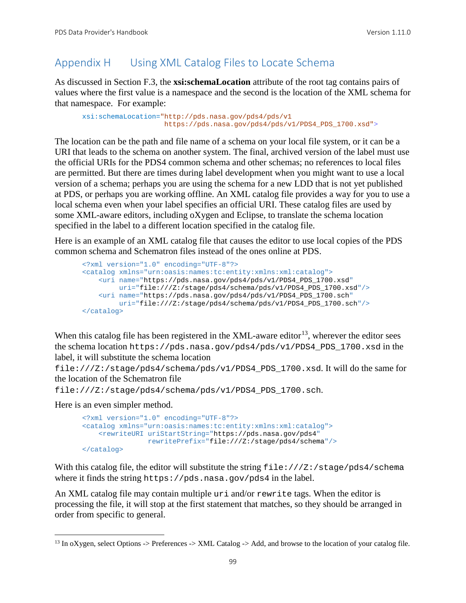# Appendix H Using XML Catalog Files to Locate Schema

As discussed in Section F.3, the **xsi:schemaLocation** attribute of the root tag contains pairs of values where the first value is a namespace and the second is the location of the XML schema for that namespace. For example:

```
xsi:schemaLocation="http://pds.nasa.gov/pds4/pds/v1 
                     https://pds.nasa.gov/pds4/pds/v1/PDS4_PDS_1700.xsd">
```
The location can be the path and file name of a schema on your local file system, or it can be a URI that leads to the schema on another system. The final, archived version of the label must use the official URIs for the PDS4 common schema and other schemas; no references to local files are permitted. But there are times during label development when you might want to use a local version of a schema; perhaps you are using the schema for a new LDD that is not yet published at PDS, or perhaps you are working offline. An XML catalog file provides a way for you to use a local schema even when your label specifies an official URI. These catalog files are used by some XML-aware editors, including oXygen and Eclipse, to translate the schema location specified in the label to a different location specified in the catalog file.

Here is an example of an XML catalog file that causes the editor to use local copies of the PDS common schema and Schematron files instead of the ones online at PDS.

```
<?xml version="1.0" encoding="UTF-8"?>
<catalog xmlns="urn:oasis:names:tc:entity:xmlns:xml:catalog">
    <uri name="https://pds.nasa.gov/pds4/pds/v1/PDS4_PDS_1700.xsd"
         uri="file:///Z:/stage/pds4/schema/pds/v1/PDS4_PDS_1700.xsd"/>
    <uri name="https://pds.nasa.gov/pds4/pds/v1/PDS4_PDS_1700.sch"
         uri="file:///Z:/stage/pds4/schema/pds/v1/PDS4_PDS_1700.sch"/>
</catalog>
```
When this catalog file has been registered in the XML-aware editor<sup>13</sup>, wherever the editor sees the schema location https://pds.nasa.gov/pds4/pds/v1/PDS4\_PDS\_1700.xsd in the label, it will substitute the schema location

file:///Z:/stage/pds4/schema/pds/v1/PDS4\_PDS\_1700.xsd. It will do the same for the location of the Schematron file

```
file:///Z:/stage/pds4/schema/pds/v1/PDS4_PDS_1700.sch.
```
Here is an even simpler method.

```
<?xml version="1.0" encoding="UTF-8"?>
<catalog xmlns="urn:oasis:names:tc:entity:xmlns:xml:catalog">
    <rewriteURI uriStartString="https://pds.nasa.gov/pds4" 
                rewritePrefix="file:///Z:/stage/pds4/schema"/>
</catalog>
```
With this catalog file, the editor will substitute the string file:///Z:/stage/pds4/schema where it finds the string https://pds.nasa.gov/pds4 in the label.

An XML catalog file may contain multiple uri and/or rewrite tags. When the editor is processing the file, it will stop at the first statement that matches, so they should be arranged in order from specific to general.

<span id="page-105-0"></span> $13$  In oXygen, select Options -> Preferences -> XML Catalog -> Add, and browse to the location of your catalog file.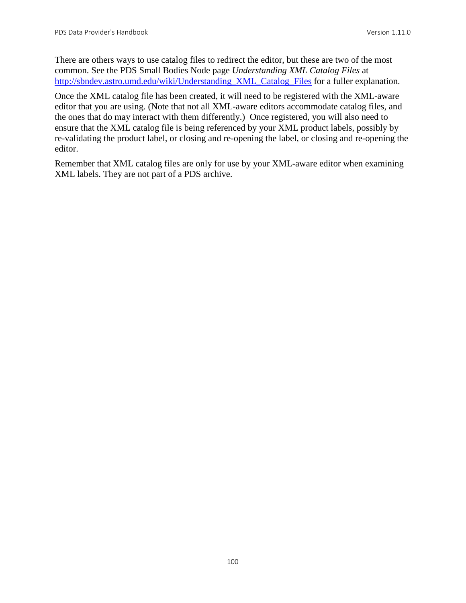There are others ways to use catalog files to redirect the editor, but these are two of the most common. See the PDS Small Bodies Node page *Understanding XML Catalog Files* at [http://sbndev.astro.umd.edu/wiki/Understanding\\_XML\\_Catalog\\_Files](http://sbndev.astro.umd.edu/wiki/Understanding_XML_Catalog_Files) for a fuller explanation.

Once the XML catalog file has been created, it will need to be registered with the XML-aware editor that you are using. (Note that not all XML-aware editors accommodate catalog files, and the ones that do may interact with them differently.) Once registered, you will also need to ensure that the XML catalog file is being referenced by your XML product labels, possibly by re-validating the product label, or closing and re-opening the label, or closing and re-opening the editor.

Remember that XML catalog files are only for use by your XML-aware editor when examining XML labels. They are not part of a PDS archive.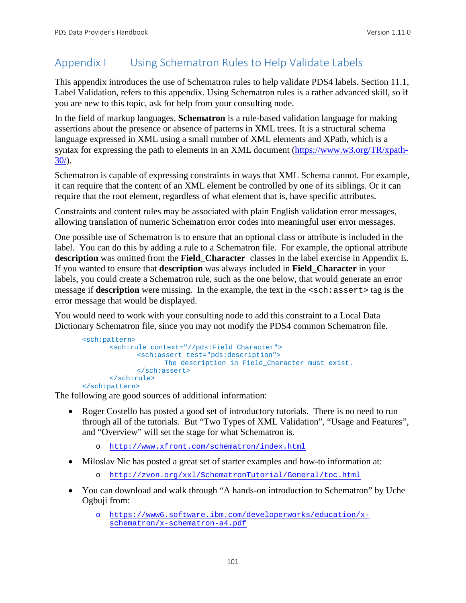# Appendix I Using Schematron Rules to Help Validate Labels

This appendix introduces the use of Schematron rules to help validate PDS4 labels. Section 11.1, Label Validation, refers to this appendix. Using Schematron rules is a rather advanced skill, so if you are new to this topic, ask for help from your consulting node.

In the field of markup languages, **Schematron** is a rule-based validation language for making assertions about the presence or absence of patterns in XML trees. It is a structural schema language expressed in XML using a small number of XML elements and XPath, which is a syntax for expressing the path to elements in an XML document [\(https://www.w3.org/TR/xpath-](https://www.w3.org/TR/xpath-30/) $30/$ ).

Schematron is capable of expressing constraints in ways that XML Schema cannot. For example, it can require that the content of an XML element be controlled by one of its siblings. Or it can require that the root element, regardless of what element that is, have specific attributes.

Constraints and content rules may be associated with plain English validation error messages, allowing translation of numeric Schematron error codes into meaningful user error messages.

One possible use of Schematron is to ensure that an optional class or attribute is included in the label. You can do this by adding a rule to a Schematron file. For example, the optional attribute **description** was omitted from the **Field\_Character** classes in the label exercise in Appendix E. If you wanted to ensure that **description** was always included in **Field\_Character** in your labels, you could create a Schematron rule, such as the one below, that would generate an error message if **description** were missing. In the example, the text in the  $\le$ sch:assert> tag is the error message that would be displayed.

You would need to work with your consulting node to add this constraint to a Local Data Dictionary Schematron file, since you may not modify the PDS4 common Schematron file.

```
<sch:pattern>
      <sch:rule context="//pds:Field_Character">
             <sch:assert test="pds:description">
                   The description in Field_Character must exist.
             </sch:assert>
      </sch:rule>
</sch:pattern>
```
The following are good sources of additional information:

- Roger Costello has posted a good set of introductory tutorials. There is no need to run through all of the tutorials. But "Two Types of XML Validation", "Usage and Features", and "Overview" will set the stage for what Schematron is.
	- o <http://www.xfront.com/schematron/index.html>
- Miloslav Nic has posted a great set of starter examples and how-to information at:
	- o <http://zvon.org/xxl/SchematronTutorial/General/toc.html>
- You can download and walk through "A hands-on introduction to Schematron" by Uche Ogbuji from:
	- o [https://www6.software.ibm.com/developerworks/education/x](https://www6.software.ibm.com/developerworks/education/x-schematron/x-schematron-a4.pdf)[schematron/x-schematron-a4.pdf](https://www6.software.ibm.com/developerworks/education/x-schematron/x-schematron-a4.pdf)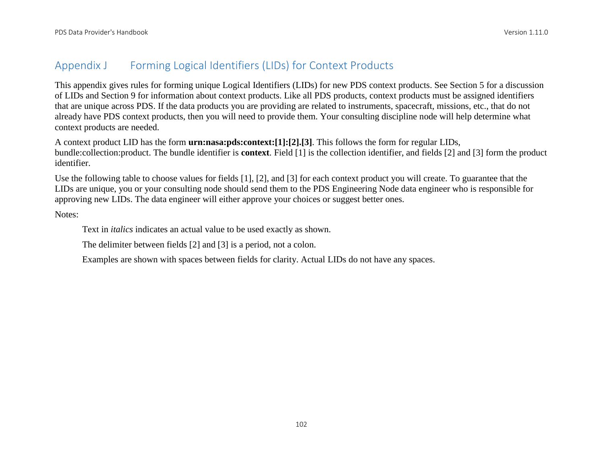# Appendix J Forming Logical Identifiers (LIDs) for Context Products

This appendix gives rules for forming unique Logical Identifiers (LIDs) for new PDS context products. See Section 5 for a discussion of LIDs and Section 9 for information about context products. Like all PDS products, context products must be assigned identifiers that are unique across PDS. If the data products you are providing are related to instruments, spacecraft, missions, etc., that do not already have PDS context products, then you will need to provide them. Your consulting discipline node will help determine what context products are needed.

A context product LID has the form **urn:nasa:pds:context:[1]:[2].[3]**. This follows the form for regular LIDs, bundle:collection:product. The bundle identifier is **context**. Field [1] is the collection identifier, and fields [2] and [3] form the product identifier.

Use the following table to choose values for fields [1], [2], and [3] for each context product you will create. To guarantee that the LIDs are unique, you or your consulting node should send them to the PDS Engineering Node data engineer who is responsible for approving new LIDs. The data engineer will either approve your choices or suggest better ones.

Notes:

Text in *italics* indicates an actual value to be used exactly as shown.

The delimiter between fields [2] and [3] is a period, not a colon.

Examples are shown with spaces between fields for clarity. Actual LIDs do not have any spaces.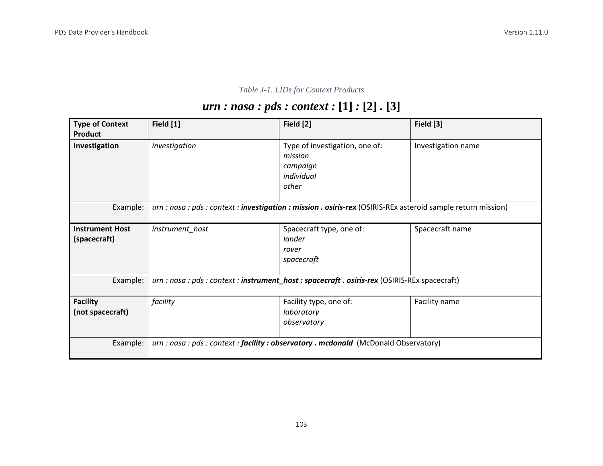# *Table J-1. LIDs for Context Products*

# *urn : nasa : pds : context :* **[1]** *:* **[2]** *.* **[3]**

| <b>Type of Context</b><br><b>Product</b> | Field [1]       | Field [2]                                                                                                     | Field [3]          |
|------------------------------------------|-----------------|---------------------------------------------------------------------------------------------------------------|--------------------|
| Investigation                            | investigation   | Type of investigation, one of:<br>mission<br>campaign<br>individual<br>other                                  | Investigation name |
| Example:                                 |                 | urn : nasa : pds : context : investigation : mission . osiris-rex (OSIRIS-REx asteroid sample return mission) |                    |
| <b>Instrument Host</b><br>(spacecraft)   | instrument_host | Spacecraft type, one of:<br>lander<br>rover<br>spacecraft                                                     | Spacecraft name    |
| Example:                                 |                 | urn : nasa : pds : context : instrument_host : spacecraft . osiris-rex (OSIRIS-REx spacecraft)                |                    |
| <b>Facility</b><br>(not spacecraft)      | facility        | Facility type, one of:<br>laboratory<br>observatory                                                           | Facility name      |
| Example:                                 |                 | urn: nasa: pds: context: facility: observatory . mcdonald (McDonald Observatory)                              |                    |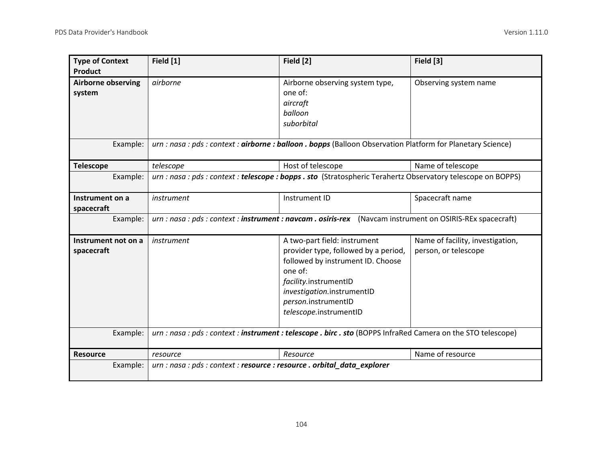| <b>Type of Context</b><br><b>Product</b>        | Field [1]                                                                | Field [2]                                                                                                                                                                                                                    | Field [3]                                                |
|-------------------------------------------------|--------------------------------------------------------------------------|------------------------------------------------------------------------------------------------------------------------------------------------------------------------------------------------------------------------------|----------------------------------------------------------|
| <b>Airborne observing</b><br>system<br>Example: | airborne                                                                 | Airborne observing system type,<br>one of:<br>aircraft<br>balloon<br>suborbital<br>urn : nasa : pds : context : airborne : balloon . bopps (Balloon Observation Platform for Planetary Science)                              | Observing system name                                    |
|                                                 |                                                                          |                                                                                                                                                                                                                              |                                                          |
| <b>Telescope</b>                                | telescope                                                                | Host of telescope                                                                                                                                                                                                            | Name of telescope                                        |
| Example:                                        |                                                                          | urn : nasa : pds : context : telescope : bopps . sto (Stratospheric Terahertz Observatory telescope on BOPPS)                                                                                                                |                                                          |
| Instrument on a<br>spacecraft                   | instrument                                                               | Instrument ID                                                                                                                                                                                                                | Spacecraft name                                          |
| Example:                                        |                                                                          | urn : nasa : pds : context : instrument : navcam . osiris-rex (Navcam instrument on OSIRIS-REx spacecraft)                                                                                                                   |                                                          |
| Instrument not on a<br>spacecraft               | instrument                                                               | A two-part field: instrument<br>provider type, followed by a period,<br>followed by instrument ID. Choose<br>one of:<br>facility.instrumentID<br>investigation.instrumentID<br>person.instrumentID<br>telescope.instrumentID | Name of facility, investigation,<br>person, or telescope |
| Example:                                        |                                                                          | urn : nasa : pds : context : instrument : telescope . birc . sto (BOPPS InfraRed Camera on the STO telescope)                                                                                                                |                                                          |
| <b>Resource</b>                                 | resource                                                                 | Resource                                                                                                                                                                                                                     | Name of resource                                         |
| Example:                                        | urn : nasa : pds : context : resource : resource . orbital_data_explorer |                                                                                                                                                                                                                              |                                                          |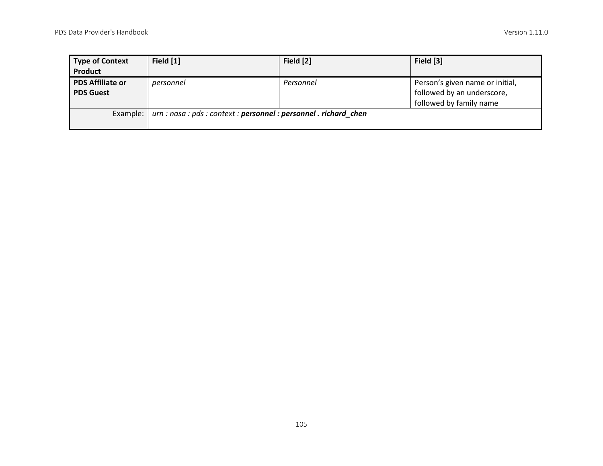| <b>Type of Context</b><br>Product           | Field [1]                                                            | Field [2] | Field [3]                                                                                |
|---------------------------------------------|----------------------------------------------------------------------|-----------|------------------------------------------------------------------------------------------|
| <b>PDS Affiliate or</b><br><b>PDS Guest</b> | personnel                                                            | Personnel | Person's given name or initial,<br>followed by an underscore,<br>followed by family name |
| Example:                                    | $urn: nasa : pds : context : personnel : personnel : richard_{chen}$ |           |                                                                                          |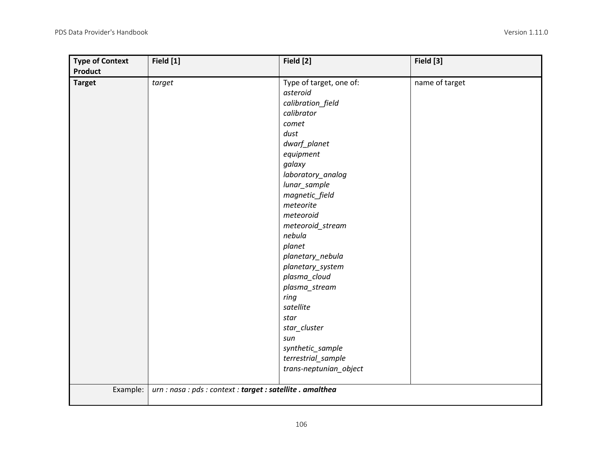| <b>Type of Context</b><br><b>Product</b> | Field [1]                                                  | Field [2]                                                                                                                                                                                                                                                                                                                                                                                                                                                | Field [3]      |
|------------------------------------------|------------------------------------------------------------|----------------------------------------------------------------------------------------------------------------------------------------------------------------------------------------------------------------------------------------------------------------------------------------------------------------------------------------------------------------------------------------------------------------------------------------------------------|----------------|
| <b>Target</b>                            | target                                                     | Type of target, one of:<br>asteroid<br>calibration_field<br>calibrator<br>comet<br>dust<br>dwarf_planet<br>equipment<br>galaxy<br>laboratory_analog<br>lunar_sample<br>magnetic_field<br>meteorite<br>meteoroid<br>meteoroid_stream<br>nebula<br>planet<br>planetary_nebula<br>planetary_system<br>plasma_cloud<br>plasma_stream<br>ring<br>satellite<br>star<br>star_cluster<br>sun<br>synthetic_sample<br>terrestrial_sample<br>trans-neptunian_object | name of target |
| Example:                                 | urn : nasa : pds : context : target : satellite . amalthea |                                                                                                                                                                                                                                                                                                                                                                                                                                                          |                |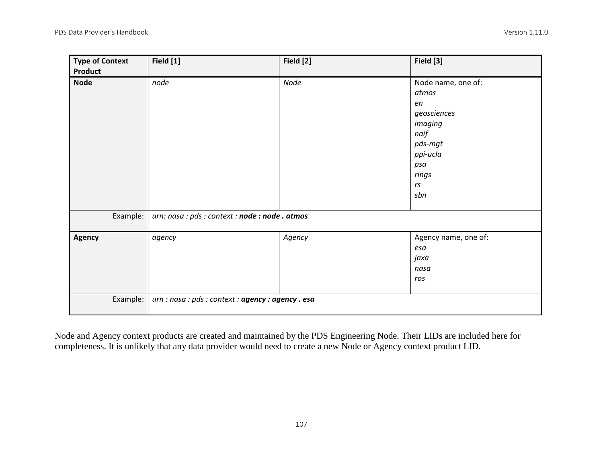| <b>Type of Context</b><br>Product | Field [1]                                          | Field [2] | Field [3]                                                                                                               |
|-----------------------------------|----------------------------------------------------|-----------|-------------------------------------------------------------------------------------------------------------------------|
| <b>Node</b>                       | node                                               | Node      | Node name, one of:<br>atmos<br>en<br>geosciences<br>imaging<br>naif<br>pds-mgt<br>ppi-ucla<br>psa<br>rings<br>rs<br>sbn |
| Example:                          | urn: nasa : pds : context : node : node . atmos    |           |                                                                                                                         |
| Agency                            | agency                                             | Agency    | Agency name, one of:<br>esa<br>jaxa<br>nasa<br>ros                                                                      |
| Example:                          | urn : nasa : pds : context : agency : agency . esa |           |                                                                                                                         |

Node and Agency context products are created and maintained by the PDS Engineering Node. Their LIDs are included here for completeness. It is unlikely that any data provider would need to create a new Node or Agency context product LID.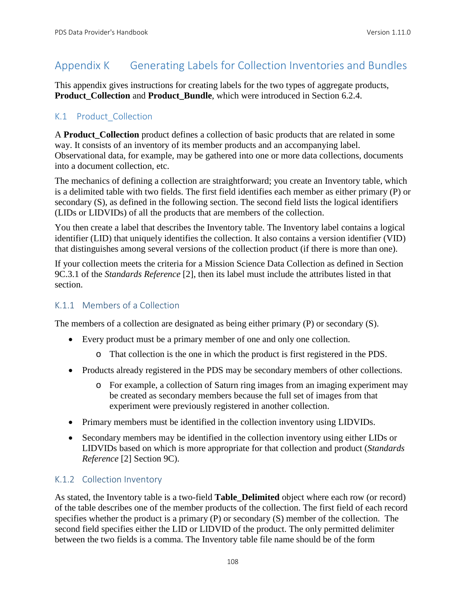# Appendix K Generating Labels for Collection Inventories and Bundles

This appendix gives instructions for creating labels for the two types of aggregate products, **Product Collection** and **Product Bundle**, which were introduced in Section 6.2.4.

# K.1 Product Collection

A **Product Collection** product defines a collection of basic products that are related in some way. It consists of an inventory of its member products and an accompanying label. Observational data, for example, may be gathered into one or more data collections, documents into a document collection, etc.

The mechanics of defining a collection are straightforward; you create an Inventory table, which is a delimited table with two fields. The first field identifies each member as either primary (P) or secondary (S), as defined in the following section. The second field lists the logical identifiers (LIDs or LIDVIDs) of all the products that are members of the collection.

You then create a label that describes the Inventory table. The Inventory label contains a logical identifier (LID) that uniquely identifies the collection. It also contains a version identifier (VID) that distinguishes among several versions of the collection product (if there is more than one).

If your collection meets the criteria for a Mission Science Data Collection as defined in Section 9C.3.1 of the *Standards Reference* [2], then its label must include the attributes listed in that section.

# K.1.1 Members of a Collection

The members of a collection are designated as being either primary (P) or secondary (S).

- Every product must be a primary member of one and only one collection.
	- o That collection is the one in which the product is first registered in the PDS.
- Products already registered in the PDS may be secondary members of other collections.
	- o For example, a collection of Saturn ring images from an imaging experiment may be created as secondary members because the full set of images from that experiment were previously registered in another collection.
- Primary members must be identified in the collection inventory using LIDVIDs.
- Secondary members may be identified in the collection inventory using either LIDs or LIDVIDs based on which is more appropriate for that collection and product (*Standards Reference* [2] Section 9C).

# K.1.2 Collection Inventory

As stated, the Inventory table is a two-field **Table\_Delimited** object where each row (or record) of the table describes one of the member products of the collection. The first field of each record specifies whether the product is a primary (P) or secondary (S) member of the collection. The second field specifies either the LID or LIDVID of the product. The only permitted delimiter between the two fields is a comma. The Inventory table file name should be of the form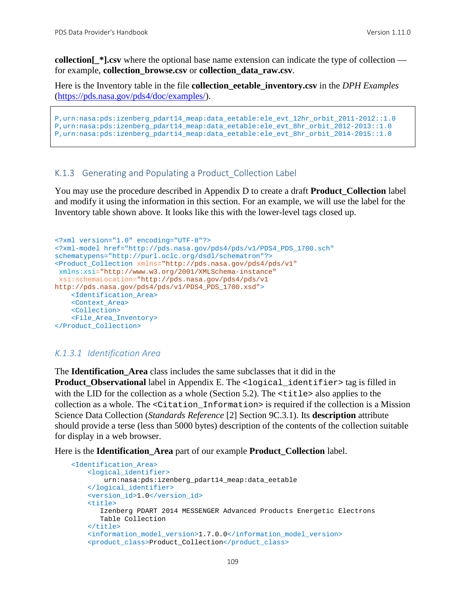**collection**  $*$ **].csv** where the optional base name extension can indicate the type of collection for example, **collection\_browse.csv** or **collection\_data\_raw.csv**.

Here is the Inventory table in the file **collection\_eetable\_inventory.csv** in the *DPH Examples*  [\(https://pds.nasa.gov/pds4/doc/examples/\)](https://pds.nasa.gov/pds4/doc/examples/).

```
P,urn:nasa:pds:izenberg_pdart14_meap:data_eetable:ele_evt_12hr_orbit_2011-2012::1.0
P,urn:nasa:pds:izenberg_pdart14_meap:data_eetable:ele_evt_8hr_orbit_2012-2013::1.0
P,urn:nasa:pds:izenberg_pdart14_meap:data_eetable:ele_evt_8hr_orbit_2014-2015::1.0
```
#### K.1.3 Generating and Populating a Product Collection Label

You may use the procedure described in Appendix D to create a draft **Product\_Collection** label and modify it using the information in this section. For an example, we will use the label for the Inventory table shown above. It looks like this with the lower-level tags closed up.

```
<?xml version="1.0" encoding="UTF-8"?>
<?xml-model href="http://pds.nasa.gov/pds4/pds/v1/PDS4_PDS_1700.sch" 
schematypens="http://purl.oclc.org/dsdl/schematron"?>
<Product_Collection xmlns="http://pds.nasa.gov/pds4/pds/v1"
xmlns:xsi="http://www.w3.org/2001/XMLSchema-instance"
xsi:schemaLocation="http://pds.nasa.gov/pds4/pds/v1 
http://pds.nasa.gov/pds4/pds/v1/PDS4_PDS_1700.xsd">
     <Identification_Area>
    <Context_Area>
    <Collection>
    <File_Area_Inventory>
</Product_Collection>
```
#### *K.1.3.1 Identification Area*

The **Identification\_Area** class includes the same subclasses that it did in the **Product Observational** label in Appendix E. The <logical identifier> tag is filled in with the LID for the collection as a whole (Section 5.2). The  $\lt$ title> also applies to the collection as a whole. The <Citation\_Information> is required if the collection is a Mission Science Data Collection (*Standards Reference* [2] Section 9C.3.1). Its **description** attribute should provide a terse (less than 5000 bytes) description of the contents of the collection suitable for display in a web browser.

Here is the **Identification\_Area** part of our example **Product\_Collection** label.

```
 <Identification_Area>
     <logical_identifier>
         urn:nasa:pds:izenberg_pdart14_meap:data_eetable
     </logical_identifier>
     <version_id>1.0</version_id>
    <sub>right</sub></sub>
        Izenberg PDART 2014 MESSENGER Advanced Products Energetic Electrons 
        Table Collection
    \frac{1}{2} <information_model_version>1.7.0.0</information_model_version>
     <product_class>Product_Collection</product_class>
```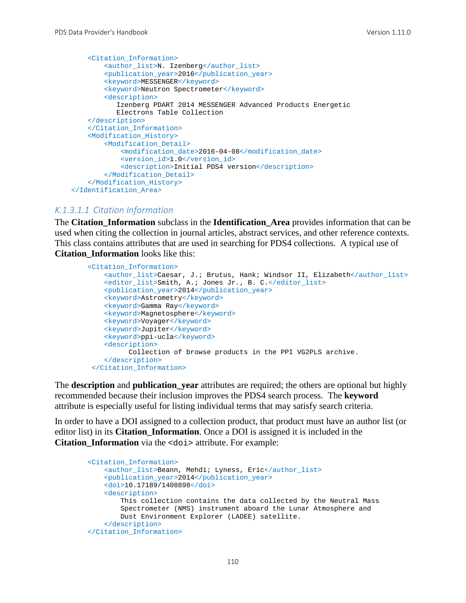```
 <Citation_Information>
         <author_list>N. Izenberg</author_list>
         <publication_year>2016</publication_year>
        <keyword>MESSENGER</keyword>
         <keyword>Neutron Spectrometer</keyword>
         <description>
            Izenberg PDART 2014 MESSENGER Advanced Products Energetic 
            Electrons Table Collection
    </description>
     </Citation_Information>
    <Modification_History>
         <Modification_Detail>
             <modification_date>2016-04-08</modification_date>
             <version_id>1.0</version_id>
             <description>Initial PDS4 version</description>
         </Modification_Detail>
     </Modification_History>
 </Identification_Area>
```
#### *K.1.3.1.1 Citation Information*

The **Citation\_Information** subclass in the **Identification\_Area** provides information that can be used when citing the collection in journal articles, abstract services, and other reference contexts. This class contains attributes that are used in searching for PDS4 collections. A typical use of **Citation\_Information** looks like this:

```
 <Citation_Information>
   <author_list>Caesar, J.; Brutus, Hank; Windsor II, Elizabeth</author_list>
    <editor_list>Smith, A.; Jones Jr., B. C.</editor_list>
     <publication_year>2014</publication_year>
    <keyword>Astrometry</keyword>
   <keyword>Gamma Ray</keyword>
   <keyword>Magnetosphere</keyword>
   <keyword>Voyager</keyword>
   <keyword>Jupiter</keyword>
    <keyword>ppi-ucla</keyword>
    <description>
          Collection of browse products in the PPI VG2PLS archive.
    </description>
 </Citation_Information>
```
The **description** and **publication\_year** attributes are required; the others are optional but highly recommended because their inclusion improves the PDS4 search process. The **keyword** attribute is especially useful for listing individual terms that may satisfy search criteria.

In order to have a DOI assigned to a collection product, that product must have an author list (or editor list) in its **Citation\_Information**. Once a DOI is assigned it is included in the **Citation\_Information** via the <doi> attribute. For example:

```
 <Citation_Information>
     <author_list>Beann, Mehdi; Lyness, Eric</author_list>
     <publication_year>2014</publication_year>
     <doi>10.17189/1408898</doi>
     <description>
         This collection contains the data collected by the Neutral Mass 
         Spectrometer (NMS) instrument aboard the Lunar Atmosphere and 
         Dust Environment Explorer (LADEE) satellite.
     </description>
 </Citation_Information>
```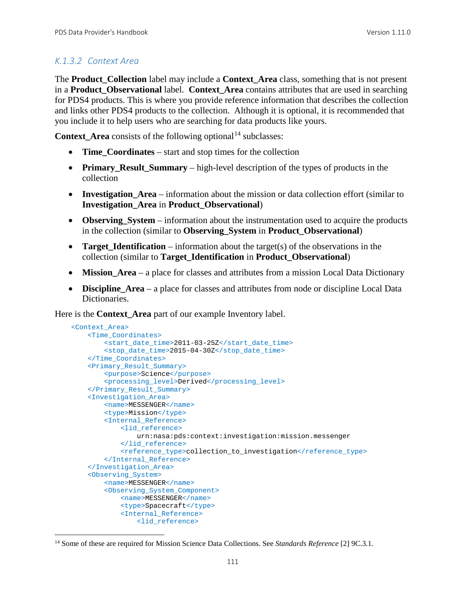# *K.1.3.2 Context Area*

The **Product\_Collection** label may include a **Context\_Area** class, something that is not present in a **Product** Observational label. Context Area contains attributes that are used in searching for PDS4 products. This is where you provide reference information that describes the collection and links other PDS4 products to the collection. Although it is optional, it is recommended that you include it to help users who are searching for data products like yours.

**Context\_Area** consists of the following optional<sup>[14](#page-117-0)</sup> subclasses:

- **Time\_Coordinates** start and stop times for the collection
- **Primary Result Summary** high-level description of the types of products in the collection
- **Investigation Area** information about the mission or data collection effort (similar to **Investigation\_Area** in **Product\_Observational**)
- **Observing System** information about the instrumentation used to acquire the products in the collection (similar to **Observing\_System** in **Product\_Observational**)
- **Target Identification** information about the target(s) of the observations in the collection (similar to **Target\_Identification** in **Product\_Observational**)
- **Mission Area** a place for classes and attributes from a mission Local Data Dictionary
- **Discipline\_Area** a place for classes and attributes from node or discipline Local Data Dictionaries.

Here is the **Context\_Area** part of our example Inventory label.

```
 <Context_Area>
     <Time_Coordinates>
         <start_date_time>2011-03-25Z</start_date_time>
         <stop_date_time>2015-04-30Z</stop_date_time>
     </Time_Coordinates>
     <Primary_Result_Summary>
         <purpose>Science</purpose>
         <processing_level>Derived</processing_level>
     </Primary_Result_Summary>
     <Investigation_Area>
         <name>MESSENGER</name>
         <type>Mission</type>
         <Internal_Reference>
             <lid_reference>
                 urn:nasa:pds:context:investigation:mission.messenger
             </lid_reference>
             <reference_type>collection_to_investigation</reference_type>
         </Internal_Reference>
     </Investigation_Area>
     <Observing_System>
         <name>MESSENGER</name>
         <Observing_System_Component>
             <name>MESSENGER</name>
             <type>Spacecraft</type>
             <Internal_Reference>
                 <lid_reference>
```
<span id="page-117-0"></span> <sup>14</sup> Some of these are required for Mission Science Data Collections. See *Standards Reference* [2] 9C.3.1.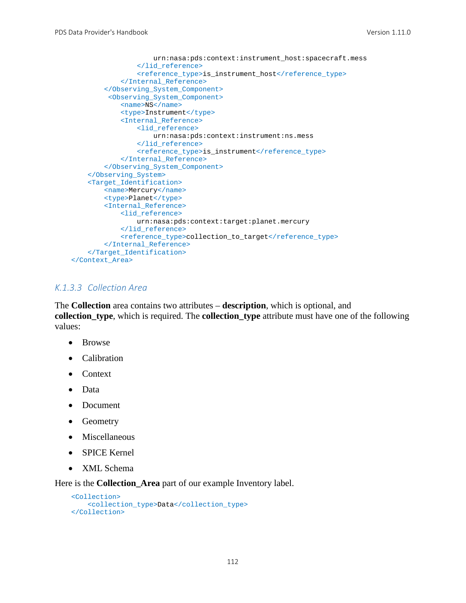```
 urn:nasa:pds:context:instrument_host:spacecraft.mess
                 </lid_reference>
                 <reference_type>is_instrument_host</reference_type>
             </Internal_Reference>
         </Observing_System_Component>
          <Observing_System_Component>
             <name>NS</name>
             <type>Instrument</type>
             <Internal_Reference>
                 <lid_reference>
                     urn:nasa:pds:context:instrument:ns.mess
                 </lid_reference>
                <reference_type>is_instrument</reference_type>
             </Internal_Reference>
         </Observing_System_Component>
     </Observing_System>
     <Target_Identification>
         <name>Mercury</name>
         <type>Planet</type>
         <Internal_Reference>
             <lid_reference>
                 urn:nasa:pds:context:target:planet.mercury
             </lid_reference>
             <reference_type>collection_to_target</reference_type>
         </Internal_Reference>
     </Target_Identification>
 </Context_Area>
```
#### *K.1.3.3 Collection Area*

The **Collection** area contains two attributes – **description**, which is optional, and **collection\_type**, which is required. The **collection\_type** attribute must have one of the following values:

- Browse
- Calibration
- Context
- Data
- Document
- Geometry
- Miscellaneous
- SPICE Kernel
- XML Schema

Here is the **Collection\_Area** part of our example Inventory label.

```
 <Collection>
    <collection_type>Data</collection_type>
 </Collection>
```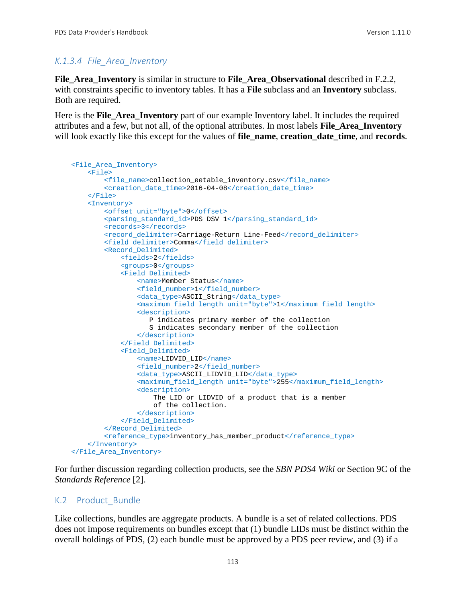## *K.1.3.4 File\_Area\_Inventory*

**File\_Area\_Inventory** is similar in structure to **File\_Area\_Observational** described in F.2.2, with constraints specific to inventory tables. It has a **File** subclass and an **Inventory** subclass. Both are required.

Here is the **File\_Area\_Inventory** part of our example Inventory label. It includes the required attributes and a few, but not all, of the optional attributes. In most labels **File\_Area\_Inventory** will look exactly like this except for the values of **file\_name**, **creation\_date\_time**, and **records**.

```
 <File_Area_Inventory>
     <File>
         <file_name>collection_eetable_inventory.csv</file_name>
         <creation_date_time>2016-04-08</creation_date_time>
    \epsilon/File>
     <Inventory>
         <offset unit="byte">0</offset>
         <parsing_standard_id>PDS DSV 1</parsing_standard_id>
         <records>3</records>
        <record_delimiter>Carriage-Return Line-Feed</record_delimiter>
         <field_delimiter>Comma</field_delimiter>
         <Record_Delimited>
             <fields>2</fields>
             <groups>0</groups>
             <Field_Delimited>
                 <name>Member Status</name>
                <field_number>1</field_number>
                <data_type>ASCII_String</data_type>
                 <maximum_field_length unit="byte">1</maximum_field_length>
                 <description>
                    P indicates primary member of the collection
                   S indicates secondary member of the collection
                 </description>
             </Field_Delimited>
             <Field_Delimited>
                 <name>LIDVID_LID</name>
                <field_number>2</field_number>
                <data_type>ASCII_LIDVID_LID</data_type>
                 <maximum_field_length unit="byte">255</maximum_field_length>
                <description>
                     The LID or LIDVID of a product that is a member
                    of the collection.
                 </description> 
             </Field_Delimited>
         </Record_Delimited>
         <reference_type>inventory_has_member_product</reference_type>
     </Inventory>
 </File_Area_Inventory>
```
For further discussion regarding collection products, see the *SBN PDS4 Wiki* or Section 9C of the *Standards Reference* [2].

#### K.2 Product\_Bundle

Like collections, bundles are aggregate products. A bundle is a set of related collections. PDS does not impose requirements on bundles except that (1) bundle LIDs must be distinct within the overall holdings of PDS, (2) each bundle must be approved by a PDS peer review, and (3) if a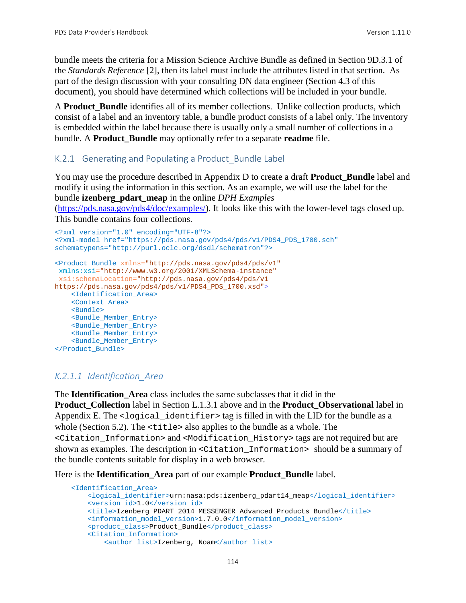bundle meets the criteria for a Mission Science Archive Bundle as defined in Section 9D.3.1 of the *Standards Reference* [2], then its label must include the attributes listed in that section. As part of the design discussion with your consulting DN data engineer (Section 4.3 of this document), you should have determined which collections will be included in your bundle.

A **Product** Bundle identifies all of its member collections. Unlike collection products, which consist of a label and an inventory table, a bundle product consists of a label only. The inventory is embedded within the label because there is usually only a small number of collections in a bundle. A **Product\_Bundle** may optionally refer to a separate **readme** file.

#### K.2.1 Generating and Populating a Product\_Bundle Label

You may use the procedure described in Appendix D to create a draft **Product\_Bundle** label and modify it using the information in this section. As an example, we will use the label for the bundle **izenberg\_pdart\_meap** in the online *DPH Examples*

[\(https://pds.nasa.gov/pds4/doc/examples/\)](https://pds.nasa.gov/pds4/doc/examples/). It looks like this with the lower-level tags closed up. This bundle contains four collections.

```
<?xml version="1.0" encoding="UTF-8"?>
<?xml-model href="https://pds.nasa.gov/pds4/pds/v1/PDS4_PDS_1700.sch" 
schematypens="http://purl.oclc.org/dsdl/schematron"?>
<Product_Bundle xmlns="http://pds.nasa.gov/pds4/pds/v1"
xmlns:xsi="http://www.w3.org/2001/XMLSchema-instance"
xsi:schemaLocation="http://pds.nasa.gov/pds4/pds/v1 
https://pds.nasa.gov/pds4/pds/v1/PDS4_PDS_1700.xsd">
     <Identification_Area>
    <Context_Area>
     <Bundle>
     <Bundle_Member_Entry>
     <Bundle_Member_Entry>
     <Bundle_Member_Entry>
     <Bundle_Member_Entry>
</Product_Bundle>
```
#### *K.2.1.1 Identification\_Area*

The **Identification\_Area** class includes the same subclasses that it did in the **Product** Collection label in Section L.1.3.1 above and in the **Product** Observational label in Appendix E. The <logical\_identifier> tag is filled in with the LID for the bundle as a whole (Section 5.2). The <title> also applies to the bundle as a whole. The <Citation\_Information> and <Modification\_History> tags are not required but are shown as examples. The description in  $\leq$  citation Information> should be a summary of the bundle contents suitable for display in a web browser.

Here is the **Identification\_Area** part of our example **Product\_Bundle** label.

```
 <Identification_Area>
    <logical_identifier>urn:nasa:pds:izenberg_pdart14_meap</logical_identifier>
     <version_id>1.0</version_id>
    <title>Izenberg PDART 2014 MESSENGER Advanced Products Bundle</title>
    <information_model_version>1.7.0.0</information_model_version>
     <product_class>Product_Bundle</product_class>
     <Citation_Information>
         <author_list>Izenberg, Noam</author_list>
```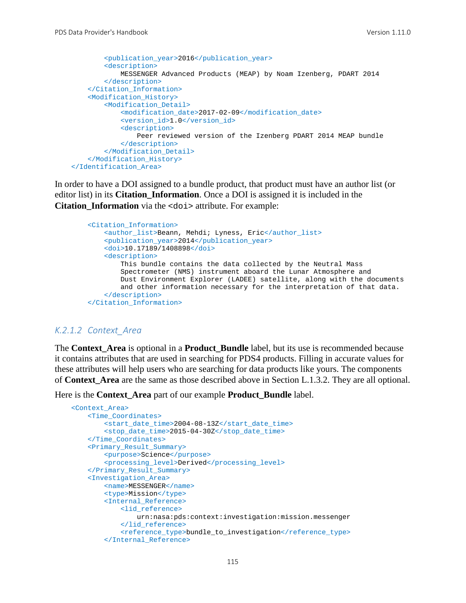```
 <publication_year>2016</publication_year>
         <description>
             MESSENGER Advanced Products (MEAP) by Noam Izenberg, PDART 2014
         </description>
    </Citation_Information>
     <Modification_History>
         <Modification_Detail>
             <modification_date>2017-02-09</modification_date>
             <version_id>1.0</version_id>
             <description>
                Peer reviewed version of the Izenberg PDART 2014 MEAP bundle
             </description>
         </Modification_Detail>
     </Modification_History>
 </Identification_Area>
```
In order to have a DOI assigned to a bundle product, that product must have an author list (or editor list) in its **Citation\_Information**. Once a DOI is assigned it is included in the **Citation Information** via the <doi> attribute. For example:

```
 <Citation_Information>
     <author_list>Beann, Mehdi; Lyness, Eric</author_list>
     <publication_year>2014</publication_year>
     <doi>10.17189/1408898</doi>
     <description>
         This bundle contains the data collected by the Neutral Mass 
         Spectrometer (NMS) instrument aboard the Lunar Atmosphere and 
         Dust Environment Explorer (LADEE) satellite, along with the documents 
         and other information necessary for the interpretation of that data.
     </description>
 </Citation_Information>
```
#### *K.2.1.2 Context\_Area*

The **Context\_Area** is optional in a **Product\_Bundle** label, but its use is recommended because it contains attributes that are used in searching for PDS4 products. Filling in accurate values for these attributes will help users who are searching for data products like yours. The components of **Context\_Area** are the same as those described above in Section L.1.3.2. They are all optional.

Here is the **Context\_Area** part of our example **Product\_Bundle** label.

```
 <Context_Area>
     <Time_Coordinates>
        <start_date_time>2004-08-13Z</start_date_time>
         <stop_date_time>2015-04-30Z</stop_date_time>
    </Time_Coordinates>
     <Primary_Result_Summary>
         <purpose>Science</purpose>
         <processing_level>Derived</processing_level>
     </Primary_Result_Summary>
     <Investigation_Area>
        <name>MESSENGER</name>
         <type>Mission</type>
         <Internal_Reference>
             <lid_reference>
                 urn:nasa:pds:context:investigation:mission.messenger
             </lid_reference>
            <reference_type>bundle_to_investigation</reference_type>
         </Internal_Reference>
```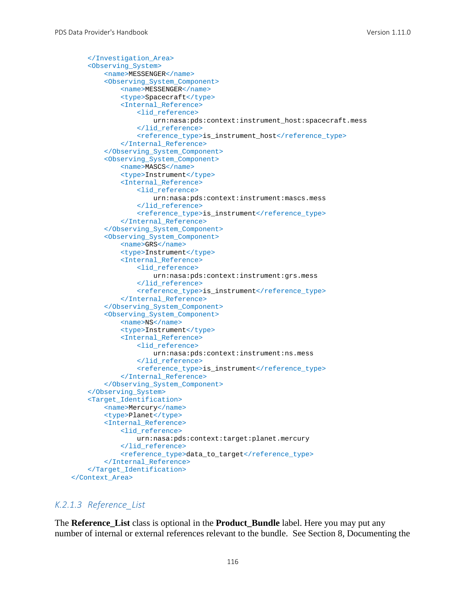```
 </Investigation_Area>
     <Observing_System>
         <name>MESSENGER</name>
         <Observing_System_Component>
             <name>MESSENGER</name>
            <type>Spacecraft</type>
             <Internal_Reference>
                 <lid_reference>
                      urn:nasa:pds:context:instrument_host:spacecraft.mess
                 </lid_reference>
                 <reference_type>is_instrument_host</reference_type>
             </Internal_Reference>
         </Observing_System_Component>
         <Observing_System_Component>
             <name>MASCS</name>
             <type>Instrument</type>
             <Internal_Reference>
                 <lid_reference>
                     urn:nasa:pds:context:instrument:mascs.mess
                 </lid_reference>
                 <reference_type>is_instrument</reference_type>
             </Internal_Reference>
         </Observing_System_Component>
         <Observing_System_Component>
             <name>GRS</name>
            <type>Instrument</type>
             <Internal_Reference>
                 <lid_reference>
                     urn:nasa:pds:context:instrument:grs.mess
                 </lid_reference>
                <reference_type>is_instrument</reference_type>
             </Internal_Reference>
         </Observing_System_Component>
         <Observing_System_Component>
             <name>NS</name>
             <type>Instrument</type>
             <Internal_Reference>
                 <lid_reference>
                     urn:nasa:pds:context:instrument:ns.mess
                 </lid_reference>
                  <reference_type>is_instrument</reference_type>
             </Internal_Reference>
         </Observing_System_Component>
     </Observing_System>
     <Target_Identification>
         <name>Mercury</name>
         <type>Planet</type>
         <Internal_Reference>
             <lid_reference>
                 urn:nasa:pds:context:target:planet.mercury
             </lid_reference>
             <reference_type>data_to_target</reference_type>
         </Internal_Reference>
     </Target_Identification>
 </Context_Area>
```
#### *K.2.1.3 Reference\_List*

The **Reference\_List** class is optional in the **Product\_Bundle** label. Here you may put any number of internal or external references relevant to the bundle. See Section 8, Documenting the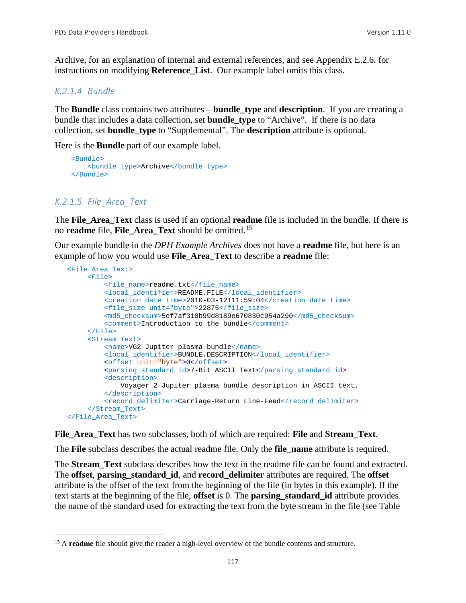Archive, for an explanation of internal and external references, and see Appendix E.2.6. for instructions on modifying **Reference\_List**. Our example label omits this class.

#### *K.2.1.4 Bundle*

The **Bundle** class contains two attributes – **bundle\_type** and **description**. If you are creating a bundle that includes a data collection, set **bundle\_type** to "Archive". If there is no data collection, set **bundle\_type** to "Supplemental". The **description** attribute is optional.

Here is the **Bundle** part of our example label.

```
 <Bundle>
     <bundle_type>Archive</bundle_type>
 </Bundle>
```
#### *K.2.1.5 File\_Area\_Text*

The **File\_Area\_Text** class is used if an optional **readme** file is included in the bundle. If there is no **readme** file, **File\_Area\_Text** should be omitted.[15](#page-123-0)

Our example bundle in the *DPH Example Archives* does not have a **readme** file, but here is an example of how you would use **File\_Area\_Text** to describe a **readme** file:

```
 <File_Area_Text>
      <File>
          <file_name>readme.txt</file_name>
          <local_identifier>README.FILE</local_identifier>
          <creation_date_time>2010-03-12T11:59:04</creation_date_time>
          <file_size unit="byte">22875</file_size>
          <md5_checksum>5ef7af310b99d8189e670830c954a290</md5_checksum>
          <comment>Introduction to the bundle</comment>
      </File>
      <Stream_Text>
          <name>VG2 Jupiter plasma bundle</name>
          <local_identifier>BUNDLE.DESCRIPTION</local_identifier>
          <offset unit="byte">0</offset>
          <parsing_standard_id>7-Bit ASCII Text</parsing_standard_id>
          <description>
              Voyager 2 Jupiter plasma bundle description in ASCII text.
          </description>
         <record_delimiter>Carriage-Return Line-Feed</record_delimiter>
      </Stream_Text> 
 </File_Area_Text>
```
**File\_Area\_Text** has two subclasses, both of which are required: **File** and **Stream\_Text**.

The **File** subclass describes the actual readme file. Only the **file\_name** attribute is required.

The **Stream\_Text** subclass describes how the text in the readme file can be found and extracted. The **offset**, **parsing\_standard\_id**, and **record\_delimiter** attributes are required. The **offset** attribute is the offset of the text from the beginning of the file (in bytes in this example). If the text starts at the beginning of the file, **offset** is 0. The **parsing\_standard\_id** attribute provides the name of the standard used for extracting the text from the byte stream in the file (see Table

<span id="page-123-0"></span><sup>&</sup>lt;sup>15</sup> A **readme** file should give the reader a high-level overview of the bundle contents and structure.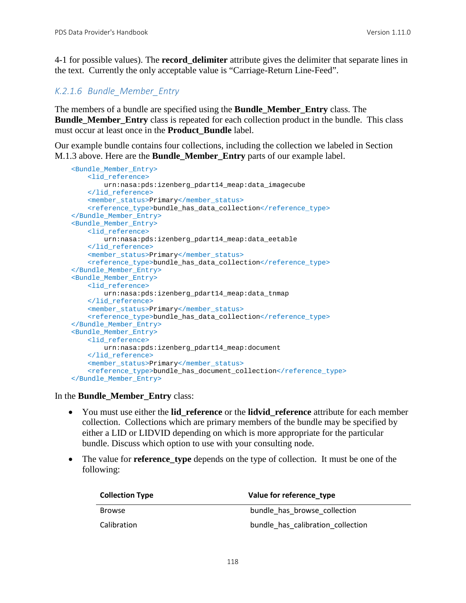4-1 for possible values). The **record\_delimiter** attribute gives the delimiter that separate lines in the text. Currently the only acceptable value is "Carriage-Return Line-Feed".

#### *K.2.1.6 Bundle\_Member\_Entry*

The members of a bundle are specified using the **Bundle\_Member\_Entry** class. The **Bundle Member Entry** class is repeated for each collection product in the bundle. This class must occur at least once in the **Product\_Bundle** label.

Our example bundle contains four collections, including the collection we labeled in Section M.1.3 above. Here are the **Bundle\_Member\_Entry** parts of our example label.

```
 <Bundle_Member_Entry>
    <lid_reference>
         urn:nasa:pds:izenberg_pdart14_meap:data_imagecube
     </lid_reference>
     <member_status>Primary</member_status>
     <reference_type>bundle_has_data_collection</reference_type>
 </Bundle_Member_Entry>
 <Bundle_Member_Entry>
    <lid_reference>
        urn:nasa:pds:izenberg_pdart14_meap:data_eetable
     </lid_reference>
    <member_status>Primary</member_status>
     <reference_type>bundle_has_data_collection</reference_type>
 </Bundle_Member_Entry>
 <Bundle_Member_Entry>
     <lid_reference>
         urn:nasa:pds:izenberg_pdart14_meap:data_tnmap
     </lid_reference>
     <member_status>Primary</member_status>
     <reference_type>bundle_has_data_collection</reference_type>
 </Bundle_Member_Entry>
 <Bundle_Member_Entry>
     <lid_reference>
         urn:nasa:pds:izenberg_pdart14_meap:document
    </lid_reference>
    <member_status>Primary</member_status>
     <reference_type>bundle_has_document_collection</reference_type>
 </Bundle_Member_Entry>
```
In the **Bundle\_Member\_Entry** class:

- You must use either the **lid\_reference** or the **lidvid\_reference** attribute for each member collection. Collections which are primary members of the bundle may be specified by either a LID or LIDVID depending on which is more appropriate for the particular bundle. Discuss which option to use with your consulting node.
- The value for **reference\_type** depends on the type of collection. It must be one of the following:

| <b>Collection Type</b> | Value for reference type          |
|------------------------|-----------------------------------|
| <b>Browse</b>          | bundle has browse collection      |
| Calibration            | bundle has calibration collection |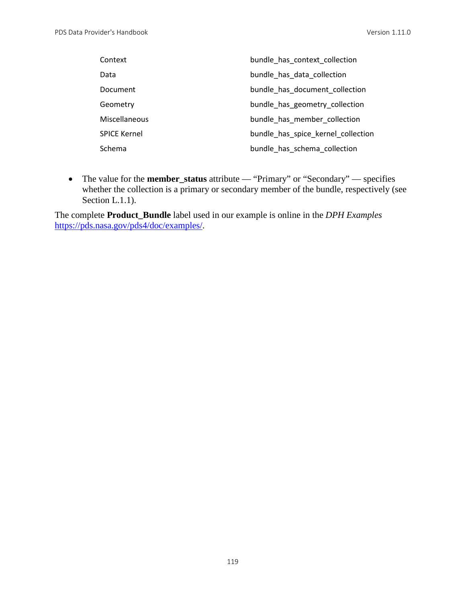| Context             | bundle has context collection      |
|---------------------|------------------------------------|
| Data                | bundle has data collection         |
| Document            | bundle_has_document_collection     |
| Geometry            | bundle has geometry collection     |
| Miscellaneous       | bundle has member collection       |
| <b>SPICE Kernel</b> | bundle has spice kernel collection |
| Schema              | bundle_has_schema_collection       |

• The value for the **member\_status** attribute — "Primary" or "Secondary" — specifies whether the collection is a primary or secondary member of the bundle, respectively (see Section L.1.1).

The complete **Product\_Bundle** label used in our example is online in the *DPH Examples* [https://pds.nasa.gov/pds4/doc/examples/.](https://pds.nasa.gov/pds4/doc/examples/)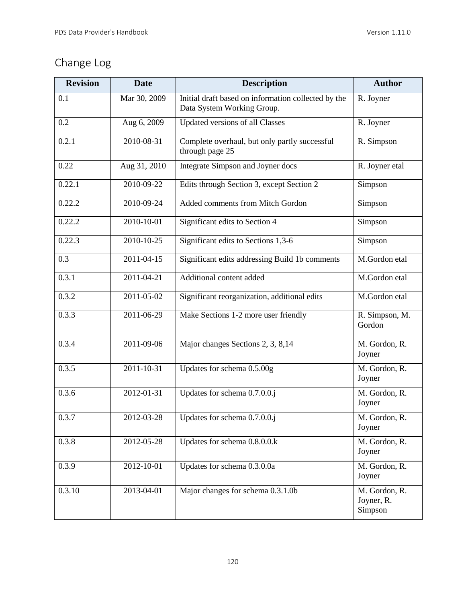# Change Log

| <b>Revision</b> | <b>Date</b>      | <b>Description</b>                                                                | <b>Author</b>                          |
|-----------------|------------------|-----------------------------------------------------------------------------------|----------------------------------------|
| 0.1             | Mar 30, 2009     | Initial draft based on information collected by the<br>Data System Working Group. | R. Joyner                              |
| 0.2             | Aug 6, 2009      | Updated versions of all Classes                                                   | R. Joyner                              |
| 0.2.1           | 2010-08-31       | Complete overhaul, but only partly successful<br>through page 25                  | R. Simpson                             |
| 0.22            | Aug 31, 2010     | Integrate Simpson and Joyner docs                                                 | R. Joyner etal                         |
| 0.22.1          | 2010-09-22       | Edits through Section 3, except Section 2                                         | Simpson                                |
| 0.22.2          | 2010-09-24       | Added comments from Mitch Gordon                                                  | Simpson                                |
| 0.22.2          | 2010-10-01       | Significant edits to Section 4                                                    | Simpson                                |
| 0.22.3          | 2010-10-25       | Significant edits to Sections 1,3-6                                               | Simpson                                |
| 0.3             | 2011-04-15       | Significant edits addressing Build 1b comments                                    | M.Gordon etal                          |
| 0.3.1           | 2011-04-21       | Additional content added                                                          | M.Gordon etal                          |
| 0.3.2           | 2011-05-02       | Significant reorganization, additional edits                                      | M.Gordon etal                          |
| 0.3.3           | 2011-06-29       | Make Sections 1-2 more user friendly                                              | R. Simpson, M.<br>Gordon               |
| 0.3.4           | 2011-09-06       | Major changes Sections 2, 3, 8,14                                                 | M. Gordon, R.<br>Joyner                |
| 0.3.5           | 2011-10-31       | Updates for schema 0.5.00g                                                        | M. Gordon, R.<br>Joyner                |
| 0.3.6           | $2012 - 01 - 31$ | Updates for schema 0.7.0.0.j                                                      | M. Gordon, R.<br>Joyner                |
| 0.3.7           | 2012-03-28       | Updates for schema 0.7.0.0.j                                                      | M. Gordon, R.<br>Joyner                |
| 0.3.8           | 2012-05-28       | Updates for schema 0.8.0.0.k                                                      | M. Gordon, R.<br>Joyner                |
| 0.3.9           | 2012-10-01       | Updates for schema 0.3.0.0a                                                       | M. Gordon, R.<br>Joyner                |
| 0.3.10          | 2013-04-01       | Major changes for schema 0.3.1.0b                                                 | M. Gordon, R.<br>Joyner, R.<br>Simpson |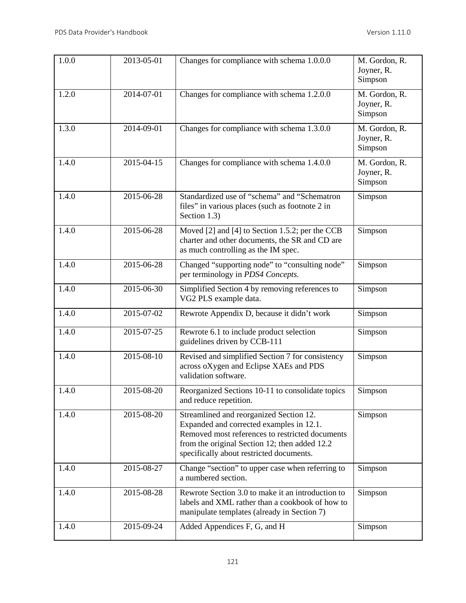| 1.0.0 | 2013-05-01 | Changes for compliance with schema 1.0.0.0                                                                                                                                                                                          | M. Gordon, R.<br>Joyner, R.<br>Simpson |
|-------|------------|-------------------------------------------------------------------------------------------------------------------------------------------------------------------------------------------------------------------------------------|----------------------------------------|
| 1.2.0 | 2014-07-01 | Changes for compliance with schema 1.2.0.0                                                                                                                                                                                          | M. Gordon, R.<br>Joyner, R.<br>Simpson |
| 1.3.0 | 2014-09-01 | Changes for compliance with schema 1.3.0.0                                                                                                                                                                                          | M. Gordon, R.<br>Joyner, R.<br>Simpson |
| 1.4.0 | 2015-04-15 | Changes for compliance with schema 1.4.0.0                                                                                                                                                                                          | M. Gordon, R.<br>Joyner, R.<br>Simpson |
| 1.4.0 | 2015-06-28 | Standardized use of "schema" and "Schematron<br>files" in various places (such as footnote 2 in<br>Section 1.3)                                                                                                                     | Simpson                                |
| 1.4.0 | 2015-06-28 | Moved [2] and [4] to Section 1.5.2; per the CCB<br>charter and other documents, the SR and CD are<br>as much controlling as the IM spec.                                                                                            | Simpson                                |
| 1.4.0 | 2015-06-28 | Changed "supporting node" to "consulting node"<br>per terminology in PDS4 Concepts.                                                                                                                                                 | Simpson                                |
| 1.4.0 | 2015-06-30 | Simplified Section 4 by removing references to<br>VG2 PLS example data.                                                                                                                                                             | Simpson                                |
| 1.4.0 | 2015-07-02 | Rewrote Appendix D, because it didn't work                                                                                                                                                                                          | Simpson                                |
| 1.4.0 | 2015-07-25 | Rewrote 6.1 to include product selection<br>guidelines driven by CCB-111                                                                                                                                                            | Simpson                                |
| 1.4.0 | 2015-08-10 | Revised and simplified Section 7 for consistency<br>across oXygen and Eclipse XAEs and PDS<br>validation software.                                                                                                                  | Simpson                                |
| 1.4.0 | 2015-08-20 | Reorganized Sections 10-11 to consolidate topics<br>and reduce repetition.                                                                                                                                                          | Simpson                                |
| 1.4.0 | 2015-08-20 | Streamlined and reorganized Section 12.<br>Expanded and corrected examples in 12.1.<br>Removed most references to restricted documents<br>from the original Section 12; then added 12.2<br>specifically about restricted documents. | Simpson                                |
| 1.4.0 | 2015-08-27 | Change "section" to upper case when referring to<br>a numbered section.                                                                                                                                                             | Simpson                                |
| 1.4.0 | 2015-08-28 | Rewrote Section 3.0 to make it an introduction to<br>labels and XML rather than a cookbook of how to<br>manipulate templates (already in Section 7)                                                                                 | Simpson                                |
| 1.4.0 | 2015-09-24 | Added Appendices F, G, and H                                                                                                                                                                                                        | Simpson                                |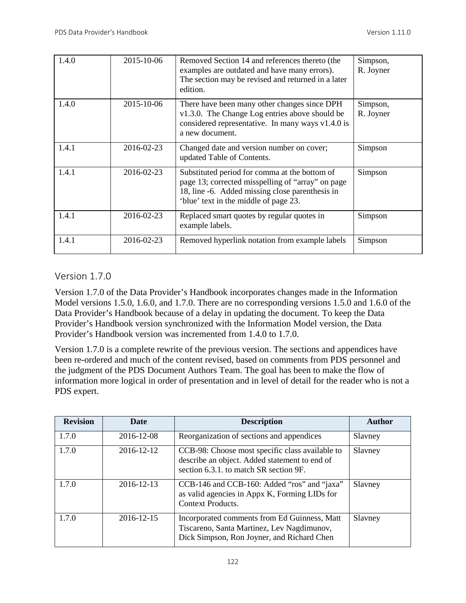| 1.4.0 | 2015-10-06 | Removed Section 14 and references thereto (the<br>examples are outdated and have many errors).<br>The section may be revised and returned in a later<br>edition.                               | Simpson,<br>R. Joyner |
|-------|------------|------------------------------------------------------------------------------------------------------------------------------------------------------------------------------------------------|-----------------------|
| 1.4.0 | 2015-10-06 | There have been many other changes since DPH<br>v1.3.0. The Change Log entries above should be<br>considered representative. In many ways $v1.4.0$ is<br>a new document.                       | Simpson,<br>R. Joyner |
| 1.4.1 | 2016-02-23 | Changed date and version number on cover;<br>updated Table of Contents.                                                                                                                        | Simpson               |
| 1.4.1 | 2016-02-23 | Substituted period for comma at the bottom of<br>page 13; corrected misspelling of "array" on page<br>18, line -6. Added missing close parenthesis in<br>'blue' text in the middle of page 23. | Simpson               |
| 1.4.1 | 2016-02-23 | Replaced smart quotes by regular quotes in<br>example labels.                                                                                                                                  | Simpson               |
| 1.4.1 | 2016-02-23 | Removed hyperlink notation from example labels                                                                                                                                                 | Simpson               |

# Version 1.7.0

Version 1.7.0 of the Data Provider's Handbook incorporates changes made in the Information Model versions 1.5.0, 1.6.0, and 1.7.0. There are no corresponding versions 1.5.0 and 1.6.0 of the Data Provider's Handbook because of a delay in updating the document. To keep the Data Provider's Handbook version synchronized with the Information Model version, the Data Provider's Handbook version was incremented from 1.4.0 to 1.7.0.

Version 1.7.0 is a complete rewrite of the previous version. The sections and appendices have been re-ordered and much of the content revised, based on comments from PDS personnel and the judgment of the PDS Document Authors Team. The goal has been to make the flow of information more logical in order of presentation and in level of detail for the reader who is not a PDS expert.

| <b>Revision</b> | <b>Date</b> | <b>Description</b>                                                                                                                         | <b>Author</b> |
|-----------------|-------------|--------------------------------------------------------------------------------------------------------------------------------------------|---------------|
| 1.7.0           | 2016-12-08  | Reorganization of sections and appendices                                                                                                  | Slavney       |
| 1.7.0           | 2016-12-12  | CCB-98: Choose most specific class available to<br>describe an object. Added statement to end of<br>section 6.3.1, to match SR section 9F. | Slavney       |
| 1.7.0           | 2016-12-13  | CCB-146 and CCB-160: Added "ros" and "jaxa"<br>as valid agencies in Appx K, Forming LIDs for<br><b>Context Products.</b>                   | Slavney       |
| 1.7.0           | 2016-12-15  | Incorporated comments from Ed Guinness, Matt<br>Tiscareno, Santa Martinez, Lev Nagdimunov,<br>Dick Simpson, Ron Joyner, and Richard Chen   | Slavney       |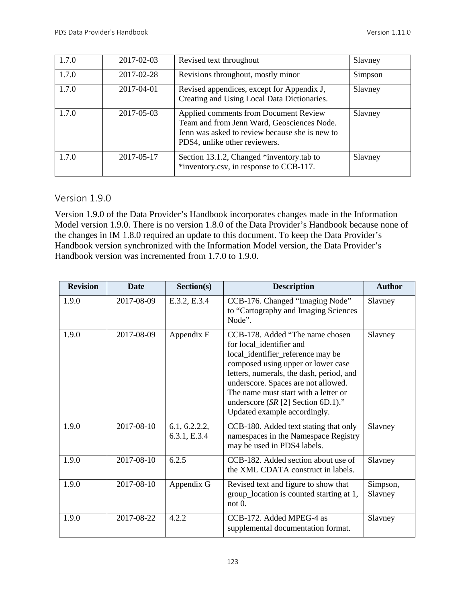| 1.7.0 | 2017-02-03 | Revised text throughout                                                                                                                                                | Slavney |
|-------|------------|------------------------------------------------------------------------------------------------------------------------------------------------------------------------|---------|
| 1.7.0 | 2017-02-28 | Revisions throughout, mostly minor                                                                                                                                     | Simpson |
| 1.7.0 | 2017-04-01 | Revised appendices, except for Appendix J,<br>Creating and Using Local Data Dictionaries.                                                                              | Slavney |
| 1.7.0 | 2017-05-03 | Applied comments from Document Review<br>Team and from Jenn Ward, Geosciences Node.<br>Jenn was asked to review because she is new to<br>PDS4, unlike other reviewers. | Slavney |
| 1.7.0 | 2017-05-17 | Section 13.1.2, Changed *inventory.tab to<br>*inventory.csv, in response to CCB-117.                                                                                   | Slavney |

## Version 1.9.0

Version 1.9.0 of the Data Provider's Handbook incorporates changes made in the Information Model version 1.9.0. There is no version 1.8.0 of the Data Provider's Handbook because none of the changes in IM 1.8.0 required an update to this document. To keep the Data Provider's Handbook version synchronized with the Information Model version, the Data Provider's Handbook version was incremented from 1.7.0 to 1.9.0.

| <b>Revision</b> | <b>Date</b> | Section(s)                    | <b>Description</b>                                                                                                                                                                                                                                                                                                                       | <b>Author</b>       |
|-----------------|-------------|-------------------------------|------------------------------------------------------------------------------------------------------------------------------------------------------------------------------------------------------------------------------------------------------------------------------------------------------------------------------------------|---------------------|
| 1.9.0           | 2017-08-09  | E.3.2, E.3.4                  | CCB-176. Changed "Imaging Node"<br>to "Cartography and Imaging Sciences"<br>Node".                                                                                                                                                                                                                                                       | Slavney             |
| 1.9.0           | 2017-08-09  | Appendix F                    | CCB-178. Added "The name chosen"<br>for local_identifier and<br>local_identifier_reference may be<br>composed using upper or lower case<br>letters, numerals, the dash, period, and<br>underscore. Spaces are not allowed.<br>The name must start with a letter or<br>underscore (SR [2] Section 6D.1)."<br>Updated example accordingly. | Slavney             |
| 1.9.0           | 2017-08-10  | 6.1, 6.2.2.2,<br>6.3.1, E.3.4 | CCB-180. Added text stating that only<br>namespaces in the Namespace Registry<br>may be used in PDS4 labels.                                                                                                                                                                                                                             | Slavney             |
| 1.9.0           | 2017-08-10  | 6.2.5                         | CCB-182. Added section about use of<br>the XML CDATA construct in labels.                                                                                                                                                                                                                                                                | Slavney             |
| 1.9.0           | 2017-08-10  | Appendix G                    | Revised text and figure to show that<br>group_location is counted starting at 1,<br>not 0.                                                                                                                                                                                                                                               | Simpson,<br>Slavney |
| 1.9.0           | 2017-08-22  | 4.2.2                         | CCB-172. Added MPEG-4 as<br>supplemental documentation format.                                                                                                                                                                                                                                                                           | Slavney             |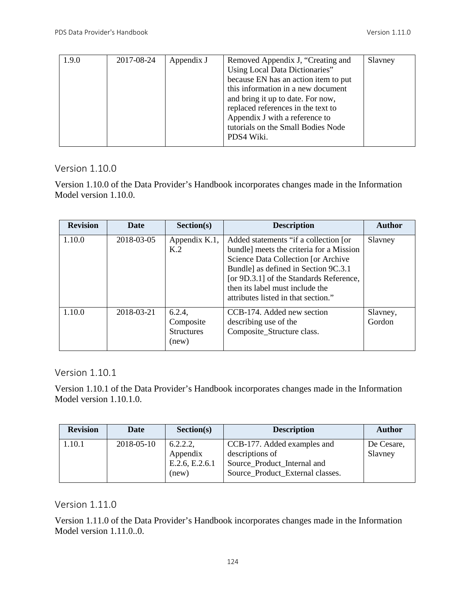| 1.9.0 | 2017-08-24 | Appendix J | Removed Appendix J, "Creating and    | Slavney |
|-------|------------|------------|--------------------------------------|---------|
|       |            |            | Using Local Data Dictionaries"       |         |
|       |            |            | because EN has an action item to put |         |
|       |            |            | this information in a new document   |         |
|       |            |            | and bring it up to date. For now,    |         |
|       |            |            | replaced references in the text to   |         |
|       |            |            | Appendix J with a reference to       |         |
|       |            |            | tutorials on the Small Bodies Node   |         |
|       |            |            | PDS4 Wiki.                           |         |
|       |            |            |                                      |         |

## Version 1.10.0

Version 1.10.0 of the Data Provider's Handbook incorporates changes made in the Information Model version 1.10.0.

| <b>Revision</b> | <b>Date</b> | Section(s)                                       | <b>Description</b>                                                                                                                                                                                                                                                                    | Author             |
|-----------------|-------------|--------------------------------------------------|---------------------------------------------------------------------------------------------------------------------------------------------------------------------------------------------------------------------------------------------------------------------------------------|--------------------|
| 1.10.0          | 2018-03-05  | Appendix K.1,<br>K.2                             | Added statements "if a collection [or<br>bundle] meets the criteria for a Mission<br>Science Data Collection [or Archive<br>Bundle] as defined in Section 9C.3.1<br>[or 9D.3.1] of the Standards Reference,<br>then its label must include the<br>attributes listed in that section." | Slavney            |
| 1.10.0          | 2018-03-21  | 6.2.4<br>Composite<br><b>Structures</b><br>(new) | CCB-174. Added new section<br>describing use of the<br>Composite_Structure class.                                                                                                                                                                                                     | Slavney,<br>Gordon |

Version 1.10.1

Version 1.10.1 of the Data Provider's Handbook incorporates changes made in the Information Model version 1.10.1.0.

|        | <b>Revision</b> | Date       | Section(s)                                     | <b>Description</b>                                                                                                | <b>Author</b>         |
|--------|-----------------|------------|------------------------------------------------|-------------------------------------------------------------------------------------------------------------------|-----------------------|
| 1.10.1 |                 | 2018-05-10 | 6.2.2.2<br>Appendix<br>E.2.6, E.2.6.1<br>(new) | CCB-177. Added examples and<br>descriptions of<br>Source Product Internal and<br>Source Product External classes. | De Cesare,<br>Slavney |

# Version 1.11.0

Version 1.11.0 of the Data Provider's Handbook incorporates changes made in the Information Model version 1.11.0..0.